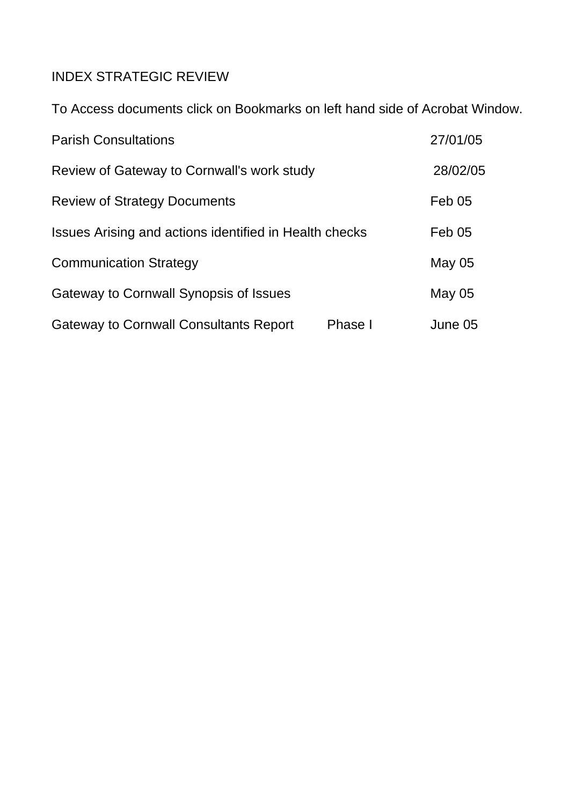# INDEX STRATEGIC REVIEW

To Access documents click on Bookmarks on left hand side of Acrobat Window.

| <b>Parish Consultations</b>                            |         | 27/01/05      |
|--------------------------------------------------------|---------|---------------|
| Review of Gateway to Cornwall's work study             |         | 28/02/05      |
| <b>Review of Strategy Documents</b>                    |         | Feb 05        |
| Issues Arising and actions identified in Health checks |         | <b>Feb 05</b> |
| <b>Communication Strategy</b>                          |         | May 05        |
| Gateway to Cornwall Synopsis of Issues                 |         | May 05        |
| <b>Gateway to Cornwall Consultants Report</b>          | Phase I | June 05       |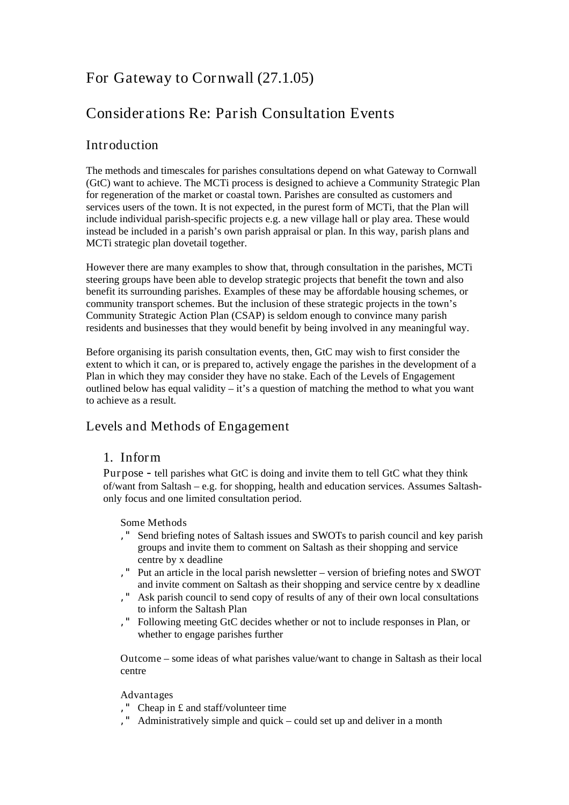# For Gateway to Cornwall (27.1.05)

# Considerations Re: Parish Consultation Events

# Introduction

The methods and timescales for parishes consultations depend on what Gateway to Cornwall (GtC) want to achieve. The MCTi process is designed to achieve a Community Strategic Plan for regeneration of the market or coastal town. Parishes are consulted as customers and services users of the town. It is not expected, in the purest form of MCTi, that the Plan will include individual parish-specific projects e.g. a new village hall or play area. These would instead be included in a parish's own parish appraisal or plan. In this way, parish plans and MCTi strategic plan dovetail together.

However there are many examples to show that, through consultation in the parishes, MCTi steering groups have been able to develop strategic projects that benefit the town and also benefit its surrounding parishes. Examples of these may be affordable housing schemes, or community transport schemes. But the inclusion of these strategic projects in the town's Community Strategic Action Plan (CSAP) is seldom enough to convince many parish residents and businesses that they would benefit by being involved in any meaningful way.

Before organising its parish consultation events, then, GtC may wish to first consider the extent to which it can, or is prepared to, actively engage the parishes in the development of a Plan in which they may consider they have no stake. Each of the Levels of Engagement outlined below has equal validity  $-i$  is a question of matching the method to what you want to achieve as a result.

# Levels and Methods of Engagement

# 1. Inform

Purpose - tell parishes what GtC is doing and invite them to tell GtC what they think of/want from Saltash – e.g. for shopping, health and education services. Assumes Saltashonly focus and one limited consultation period.

# Some Methods

- '" Send briefing notes of Saltash issues and SWOTs to parish council and key parish groups and invite them to comment on Saltash as their shopping and service centre by x deadline
- '" Put an article in the local parish newsletter version of briefing notes and SWOT and invite comment on Saltash as their shopping and service centre by x deadline
- '" Ask parish council to send copy of results of any of their own local consultations to inform the Saltash Plan
- '" Following meeting GtC decides whether or not to include responses in Plan, or whether to engage parishes further

Outcome – some ideas of what parishes value/want to change in Saltash as their local centre

# Advantages

- '" Cheap in £ and staff/volunteer time
- '" Administratively simple and quick could set up and deliver in a month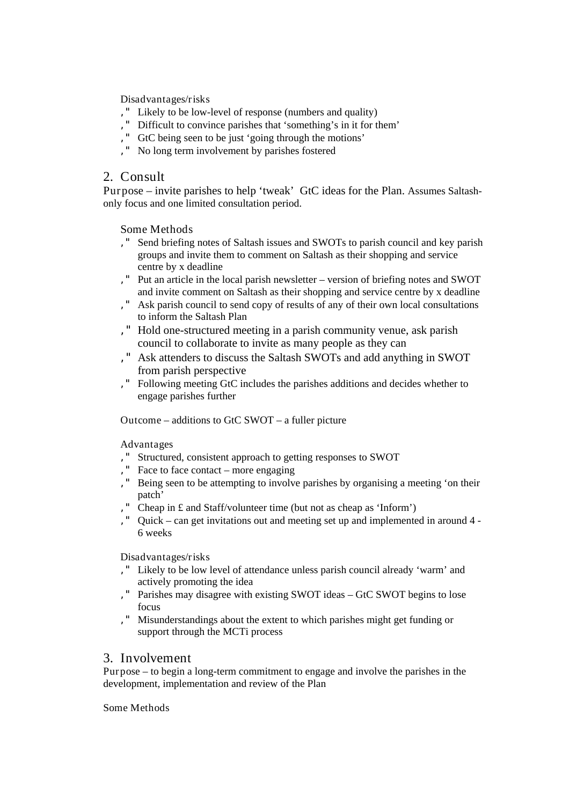Disadvantages/risks

- '" Likely to be low-level of response (numbers and quality)
- '" Difficult to convince parishes that 'something's in it for them'
- '" GtC being seen to be just 'going through the motions'
- '" No long term involvement by parishes fostered

# 2. Consult

Purpose – invite parishes to help 'tweak' GtC ideas for the Plan. Assumes Saltashonly focus and one limited consultation period.

Some Methods

- '" Send briefing notes of Saltash issues and SWOTs to parish council and key parish groups and invite them to comment on Saltash as their shopping and service centre by x deadline
- '" Put an article in the local parish newsletter version of briefing notes and SWOT and invite comment on Saltash as their shopping and service centre by x deadline
- '" Ask parish council to send copy of results of any of their own local consultations to inform the Saltash Plan
- '" Hold one-structured meeting in a parish community venue, ask parish council to collaborate to invite as many people as they can
- '" Ask attenders to discuss the Saltash SWOTs and add anything in SWOT from parish perspective
- '" Following meeting GtC includes the parishes additions and decides whether to engage parishes further

Outcome – additions to GtC SWOT – a fuller picture

Advantages

- '" Structured, consistent approach to getting responses to SWOT
- '" Face to face contact more engaging
- '" Being seen to be attempting to involve parishes by organising a meeting 'on their patch'
- '" Cheap in £ and Staff/volunteer time (but not as cheap as 'Inform')
- '" Quick can get invitations out and meeting set up and implemented in around 4 6 weeks

Disadvantages/risks

- '" Likely to be low level of attendance unless parish council already 'warm' and actively promoting the idea
- '" Parishes may disagree with existing SWOT ideas GtC SWOT begins to lose focus
- '" Misunderstandings about the extent to which parishes might get funding or support through the MCTi process

# 3. Involvement

Purpose – to begin a long-term commitment to engage and involve the parishes in the development, implementation and review of the Plan

Some Methods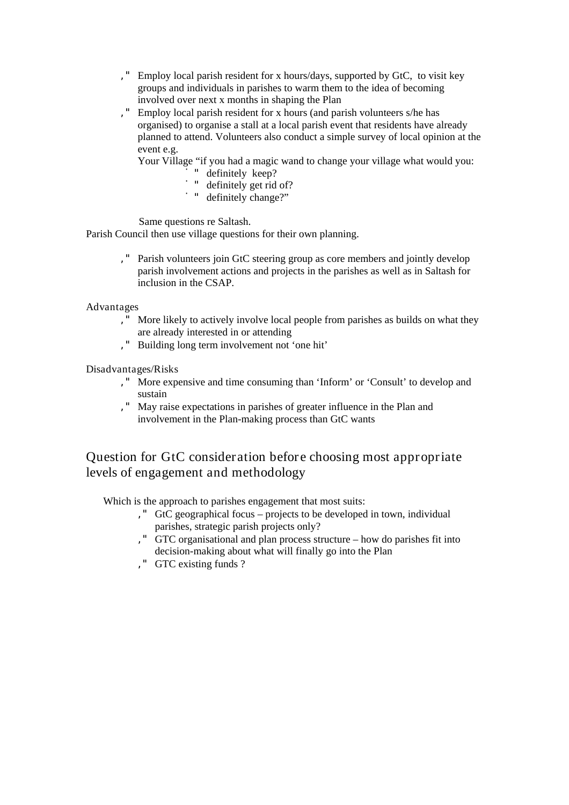- '" Employ local parish resident for x hours/days, supported by GtC, to visit key groups and individuals in parishes to warm them to the idea of becoming involved over next x months in shaping the Plan
- '" Employ local parish resident for x hours (and parish volunteers s/he has organised) to organise a stall at a local parish event that residents have already planned to attend. Volunteers also conduct a simple survey of local opinion at the event e.g.

Your Village "if you had a magic wand to change your village what would you:

- definitely keep?
- ̇" definitely get rid of?
- " definitely change?"

Same questions re Saltash.

Parish Council then use village questions for their own planning.

'" Parish volunteers join GtC steering group as core members and jointly develop parish involvement actions and projects in the parishes as well as in Saltash for inclusion in the CSAP.

#### Advantages

- '" More likely to actively involve local people from parishes as builds on what they are already interested in or attending
- '" Building long term involvement not 'one hit'

Disadvantages/Risks

- '" More expensive and time consuming than 'Inform' or 'Consult' to develop and sustain
- '" May raise expectations in parishes of greater influence in the Plan and involvement in the Plan-making process than GtC wants

# Question for GtC consideration before choosing most appropriate levels of engagement and methodology

Which is the approach to parishes engagement that most suits:

- '" GtC geographical focus projects to be developed in town, individual parishes, strategic parish projects only?
- '" GTC organisational and plan process structure how do parishes fit into decision-making about what will finally go into the Plan
- '" GTC existing funds ?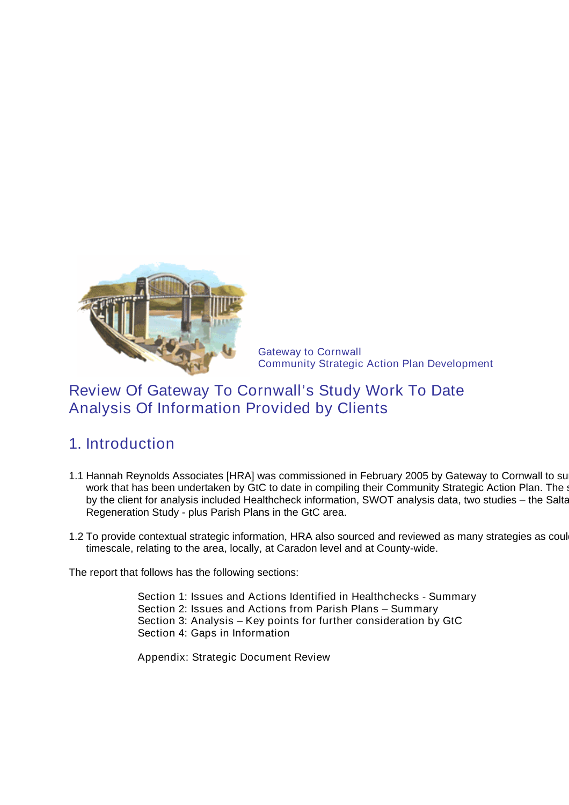

Gateway to Cornwall Community Strategic Action Plan Development

# Review Of Gateway To Cornwall's Study Work To Date Analysis Of Information Provided by Clients

# 1. Introduction

- 1.1 Hannah Reynolds Associates [HRA] was commissioned in February 2005 by Gateway to Cornwall to summary to analyse the analyse the analyse the analyse the analyse the analyse the analyse the analyse the analyse the analys work that has been undertaken by GtC to date in compiling their Community Strategic Action Plan. The s by the client for analysis included Healthcheck information, SWOT analysis data, two studies – the Salta Regeneration Study - plus Parish Plans in the GtC area.
- 1.2 To provide contextual strategic information, HRA also sourced and reviewed as many strategies as coul timescale, relating to the area, locally, at Caradon level and at County-wide.

The report that follows has the following sections:

Section 1: Issues and Actions Identified in Healthchecks - Summary Section 2: Issues and Actions from Parish Plans – Summary Section 3: Analysis – Key points for further consideration by GtC Section 4: Gaps in Information

Appendix: Strategic Document Review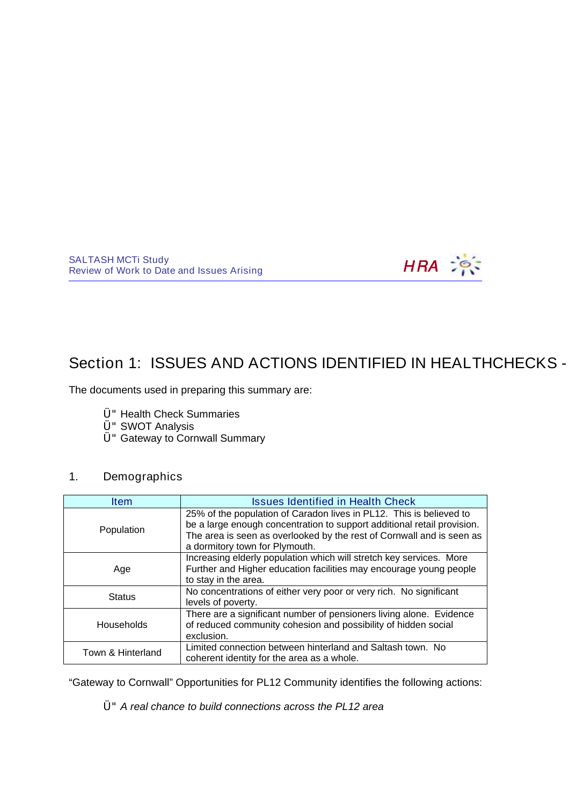

# Section 1: ISSUES AND ACTIONS IDENTIFIED IN HEALTHCHECKS -

The documents used in preparing this summary are:

- Ü"Health Check Summaries
- Ü"SWOT Analysis
- Ü"Gateway to Cornwall Summary

# 1. Demographics

| <b>Item</b>       | <b>Issues Identified in Health Check</b>                                                                                                                                                                                                                  |
|-------------------|-----------------------------------------------------------------------------------------------------------------------------------------------------------------------------------------------------------------------------------------------------------|
| Population        | 25% of the population of Caradon lives in PL12. This is believed to<br>be a large enough concentration to support additional retail provision.<br>The area is seen as overlooked by the rest of Cornwall and is seen as<br>a dormitory town for Plymouth. |
| Age               | Increasing elderly population which will stretch key services. More<br>Further and Higher education facilities may encourage young people<br>to stay in the area.                                                                                         |
| <b>Status</b>     | No concentrations of either very poor or very rich. No significant<br>levels of poverty.                                                                                                                                                                  |
| <b>Households</b> | There are a significant number of pensioners living alone. Evidence<br>of reduced community cohesion and possibility of hidden social<br>exclusion.                                                                                                       |
| Town & Hinterland | Limited connection between hinterland and Saltash town. No<br>coherent identity for the area as a whole.                                                                                                                                                  |

"Gateway to Cornwall" Opportunities for PL12 Community identifies the following actions:

Ü"A real chance to build connections across the PL12 area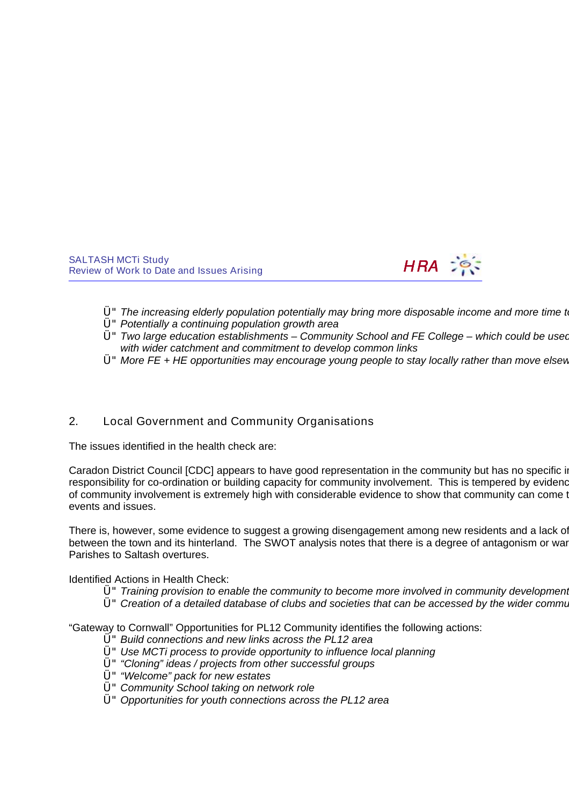

- $Ü$ " The increasing elderly population potentially may bring more disposable income and more time to
- Ü"Potentially a continuing population growth area
- $U^{\prime\prime}$  Two large education establishments Community School and FE College which could be used with wider catchment and commitment to develop common links
- $U^{\prime\prime}$  More FE + HE opportunities may encourage young people to stay locally rather than move elsew

# 2. Local Government and Community Organisations

The issues identified in the health check are:

Caradon District Council [CDC] appears to have good representation in the community but has no specific in responsibility for co-ordination or building capacity for community involvement. This is tempered by evidence of community involvement is extremely high with considerable evidence to show that community can come to events and issues.

There is, however, some evidence to suggest a growing disengagement among new residents and a lack of between the town and its hinterland. The SWOT analysis notes that there is a degree of antagonism or ware Parishes to Saltash overtures.

Identified Actions in Health Check:

- $U^{\dagger}$  Training provision to enable the community to become more involved in community development.
- U" Creation of a detailed database of clubs and societies that can be accessed by the wider commu

"Gateway to Cornwall" Opportunities for PL12 Community identifies the following actions:

- Ü"Build connections and new links across the PL12 area
- Ü"Use MCTi process to provide opportunity to influence local planning
- Ü""Cloning" ideas / projects from other successful groups
- Ü""Welcome" pack for new estates
- Ü"Community School taking on network role
- $Ü$ " Opportunities for youth connections across the PL12 area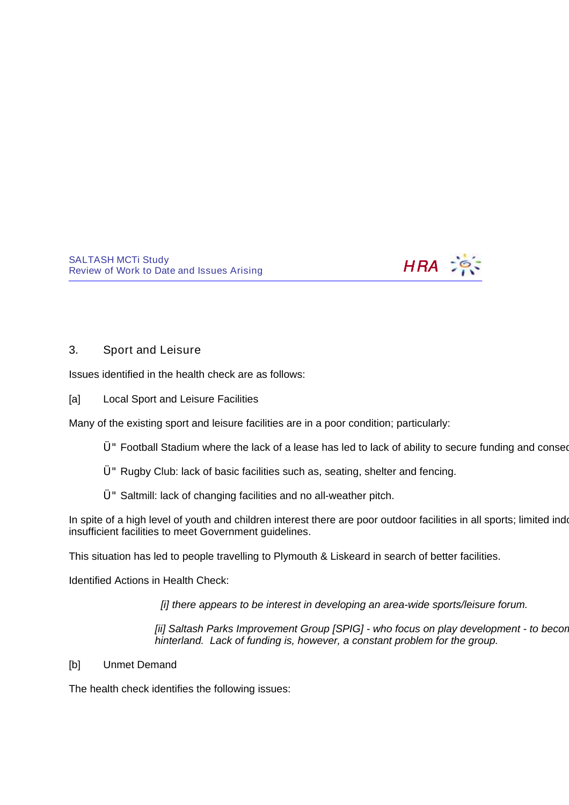

# 3. Sport and Leisure

Issues identified in the health check are as follows:

# [a] Local Sport and Leisure Facilities

Many of the existing sport and leisure facilities are in a poor condition; particularly:

- Ü"Football Stadium where the lack of a lease has led to lack of ability to secure funding and consequent neglect.
- Ü"Rugby Club: lack of basic facilities such as, seating, shelter and fencing.
- Ü"Saltmill: lack of changing facilities and no all-weather pitch.

In spite of a high level of youth and children interest there are poor outdoor facilities in all sports; limited indo insufficient facilities to meet Government guidelines.

This situation has led to people travelling to Plymouth & Liskeard in search of better facilities.

Identified Actions in Health Check:

[i] there appears to be interest in developing an area-wide sports/leisure forum.

[ii] Saltash Parks Improvement Group [SPIG] - who focus on play development - to becor hinterland. Lack of funding is, however, a constant problem for the group.

[b] Unmet Demand

The health check identifies the following issues: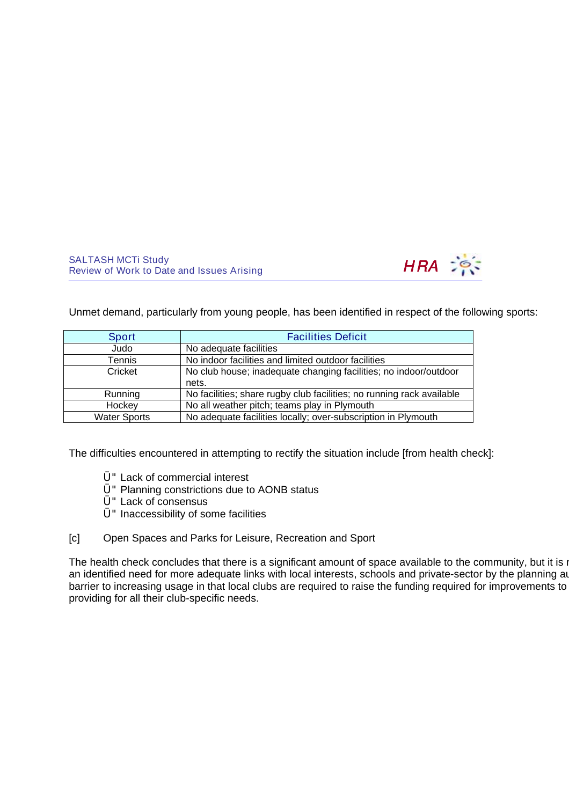

Unmet demand, particularly from young people, has been identified in respect of the following sports:

| Sport               | <b>Facilities Deficit</b>                                             |
|---------------------|-----------------------------------------------------------------------|
| Judo                | No adequate facilities                                                |
| Tennis              | No indoor facilities and limited outdoor facilities                   |
| Cricket             | No club house; inadequate changing facilities; no indoor/outdoor      |
|                     | nets.                                                                 |
| Running             | No facilities; share rugby club facilities; no running rack available |
| Hockey              | No all weather pitch; teams play in Plymouth                          |
| <b>Water Sports</b> | No adequate facilities locally; over-subscription in Plymouth         |

The difficulties encountered in attempting to rectify the situation include [from health check]:

- Ü"Lack of commercial interest
- Ü"Planning constrictions due to AONB status
- Ü"Lack of consensus
- $Ü$ " Inaccessibility of some facilities
- [c] Open Spaces and Parks for Leisure, Recreation and Sport

The health check concludes that there is a significant amount of space available to the community, but it is no an identified need for more adequate links with local interests, schools and private-sector by the planning au barrier to increasing usage in that local clubs are required to raise the funding required for improvements to providing for all their club-specific needs.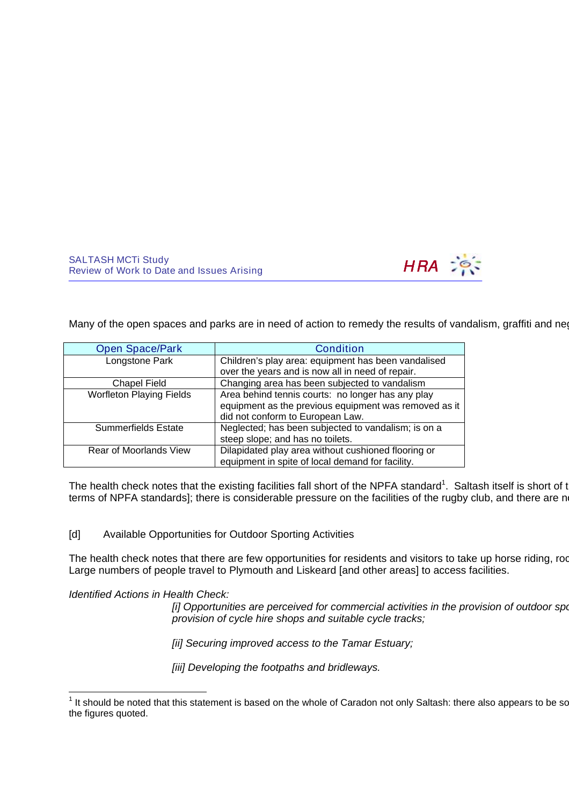<span id="page-9-0"></span>

Many of the open spaces and parks are in need of action to remedy the results of vandalism, graffiti and neglect

| <b>Open Space/Park</b>          | <b>Condition</b>                                      |
|---------------------------------|-------------------------------------------------------|
| Longstone Park                  | Children's play area: equipment has been vandalised   |
|                                 | over the years and is now all in need of repair.      |
| <b>Chapel Field</b>             | Changing area has been subjected to vandalism         |
| <b>Worfleton Playing Fields</b> | Area behind tennis courts: no longer has any play     |
|                                 | equipment as the previous equipment was removed as it |
|                                 | did not conform to European Law.                      |
| <b>Summerfields Estate</b>      | Neglected; has been subjected to vandalism; is on a   |
|                                 | steep slope; and has no toilets.                      |
| Rear of Moorlands View          | Dilapidated play area without cushioned flooring or   |
|                                 | equipment in spite of local demand for facility.      |

The health check notes that the existing facilities fall short of the NPFA standard<sup>[1](#page-9-0)</sup>. Saltash itself is short of tl terms of NPFA standards]; there is considerable pressure on the facilities of the rugby club, and there are no

# [d] Available Opportunities for Outdoor Sporting Activities

The health check notes that there are few opportunities for residents and visitors to take up horse riding, roc Large numbers of people travel to Plymouth and Liskeard [and other areas] to access facilities.

### Identified Actions in Health Check:

[i] Opportunities are perceived for commercial activities in the provision of outdoor sport provision of cycle hire shops and suitable cycle tracks;

[ii] Securing improved access to the Tamar Estuary;

[iii] Developing the footpaths and bridleways.

 1 It should be noted that this statement is based on the whole of Caradon not only Saltash: there also appears to be something n the figures quoted.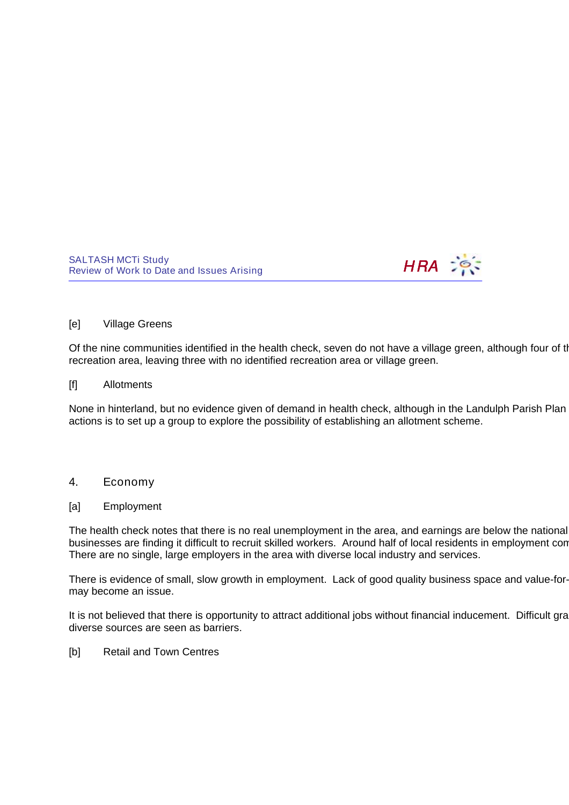

#### [e] Village Greens

Of the nine communities identified in the health check, seven do not have a village green, although four of the recreation area, leaving three with no identified recreation area or village green.

#### [f] Allotments

None in hinterland, but no evidence given of demand in health check, although in the Landulph Parish Plan actions is to set up a group to explore the possibility of establishing an allotment scheme.

## 4. Economy

#### [a] Employment

The health check notes that there is no real unemployment in the area, and earnings are below the national businesses are finding it difficult to recruit skilled workers. Around half of local residents in employment con There are no single, large employers in the area with diverse local industry and services.

There is evidence of small, slow growth in employment. Lack of good quality business space and value-formay become an issue.

It is not believed that there is opportunity to attract additional jobs without financial inducement. Difficult gra diverse sources are seen as barriers.

#### [b] Retail and Town Centres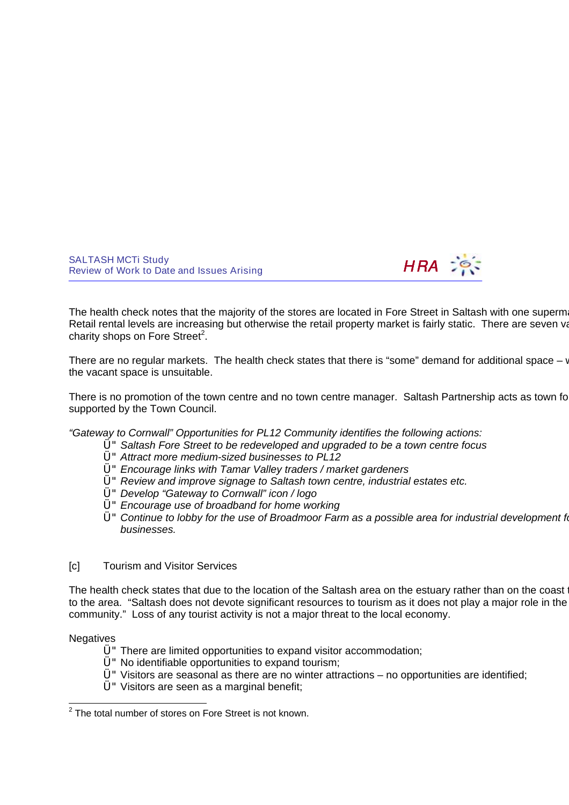<span id="page-11-0"></span>

The health check notes that the majority of the stores are located in Fore Street in Saltash with one supermarket on the outskill Retail rental levels are increasing but otherwise the retail property market is fairly static. There are seven va charity shops on Fore Street<sup>[2](#page-11-0)</sup>.

There are no regular markets. The health check states that there is "some" demand for additional space  $-\nu$ the vacant space is unsuitable.

There is no promotion of the town centre and no town centre manager. Saltash Partnership acts as town for supported by the Town Council.

"Gateway to Cornwall" Opportunities for PL12 Community identifies the following actions:

- Ü"Saltash Fore Street to be redeveloped and upgraded to be a town centre focus
- Ü"Attract more medium-sized businesses to PL12
- Ü"Encourage links with Tamar Valley traders / market gardeners
- Ü"Review and improve signage to Saltash town centre, industrial estates etc.
- Ü"Develop "Gateway to Cornwall" icon / logo
- Ü"Encourage use of broadband for home working
- $U^{\prime\prime}$  Continue to lobby for the use of Broadmoor Farm as a possible area for industrial development for businesses.

# [c] Tourism and Visitor Services

The health check states that due to the location of the Saltash area on the estuary rather than on the coast i to the area. "Saltash does not devote significant resources to tourism as it does not play a major role in the community." Loss of any tourist activity is not a major threat to the local economy.

### **Negatives**

- Ü"There are limited opportunities to expand visitor accommodation;
- Ü"No identifiable opportunities to expand tourism;
- $U$ " Visitors are seasonal as there are no winter attractions no opportunities are identified;
- Ü"Visitors are seen as a marginal benefit;

 2 The total number of stores on Fore Street is not known.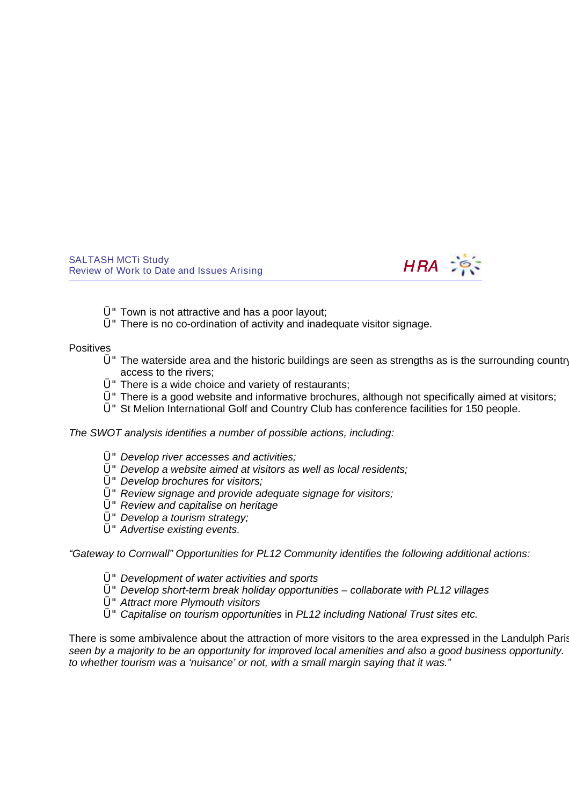

- Ü"Town is not attractive and has a poor layout;
- Ü"There is no co-ordination of activity and inadequate visitor signage.

#### **Positives**

- $Ü$ " The waterside area and the historic buildings are seen as strengths as is the surrounding country access to the rivers;
- Ü"There is a wide choice and variety of restaurants;
- $U$ " There is a good website and informative brochures, although not specifically aimed at visitors;
- Ü"St Melion International Golf and Country Club has conference facilities for 150 people.

The SWOT analysis identifies a number of possible actions, including:

- Ü"Develop river accesses and activities;
- Ü"Develop a website aimed at visitors as well as local residents;
- Ü"Develop brochures for visitors;
- Ü"Review signage and provide adequate signage for visitors;
- Ü"Review and capitalise on heritage
- Ü"Develop a tourism strategy;
- Ü"Advertise existing events.

"Gateway to Cornwall" Opportunities for PL12 Community identifies the following additional actions:

- Ü"Development of water activities and sports
- $Ü$ " Develop short-term break holiday opportunities collaborate with PL12 villages
- Ü"Attract more Plymouth visitors
- Ü"Capitalise on tourism opportunities in PL12 including National Trust sites etc.

There is some ambivalence about the attraction of more visitors to the area expressed in the Landulph Parish seen by a majority to be an opportunity for improved local amenities and also a good business opportunity. to whether tourism was a 'nuisance' or not, with a small margin saying that it was."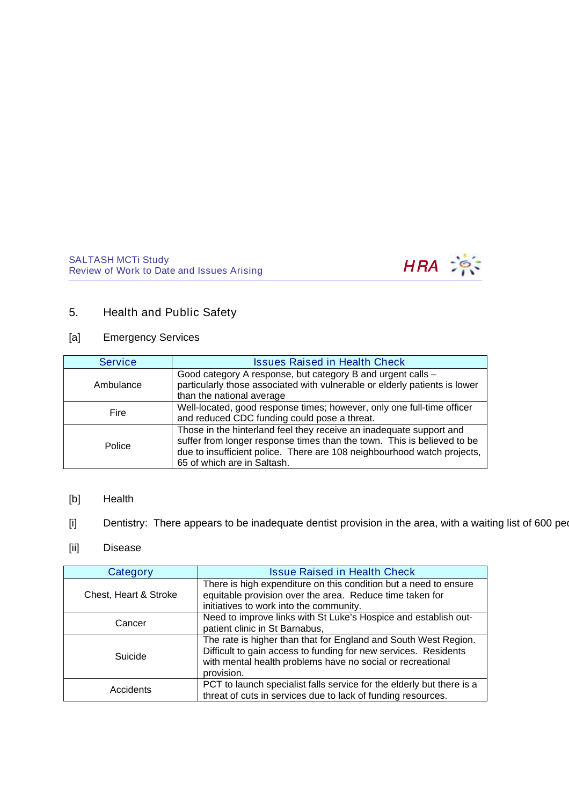

# 5. Health and Public Safety

# [a] Emergency Services

| <b>Service</b> | <b>Issues Raised in Health Check</b>                                                                                                                                                                                                                     |
|----------------|----------------------------------------------------------------------------------------------------------------------------------------------------------------------------------------------------------------------------------------------------------|
| Ambulance      | Good category A response, but category B and urgent calls -<br>particularly those associated with vulnerable or elderly patients is lower<br>than the national average                                                                                   |
| Fire           | Well-located, good response times; however, only one full-time officer<br>and reduced CDC funding could pose a threat.                                                                                                                                   |
| Police         | Those in the hinterland feel they receive an inadequate support and<br>suffer from longer response times than the town. This is believed to be<br>due to insufficient police. There are 108 neighbourhood watch projects,<br>65 of which are in Saltash. |

- [b] Health
- [i] Dentistry: There appears to be inadequate dentist provision in the area, with a waiting list of 600 peon
- [ii] Disease

| Category              | <b>Issue Raised in Health Check</b>                                                                                                                                                                            |
|-----------------------|----------------------------------------------------------------------------------------------------------------------------------------------------------------------------------------------------------------|
| Chest, Heart & Stroke | There is high expenditure on this condition but a need to ensure<br>equitable provision over the area. Reduce time taken for<br>initiatives to work into the community.                                        |
| Cancer                | Need to improve links with St Luke's Hospice and establish out-<br>patient clinic in St Barnabus,                                                                                                              |
| Suicide               | The rate is higher than that for England and South West Region.<br>Difficult to gain access to funding for new services. Residents<br>with mental health problems have no social or recreational<br>provision. |
| Accidents             | PCT to launch specialist falls service for the elderly but there is a<br>threat of cuts in services due to lack of funding resources.                                                                          |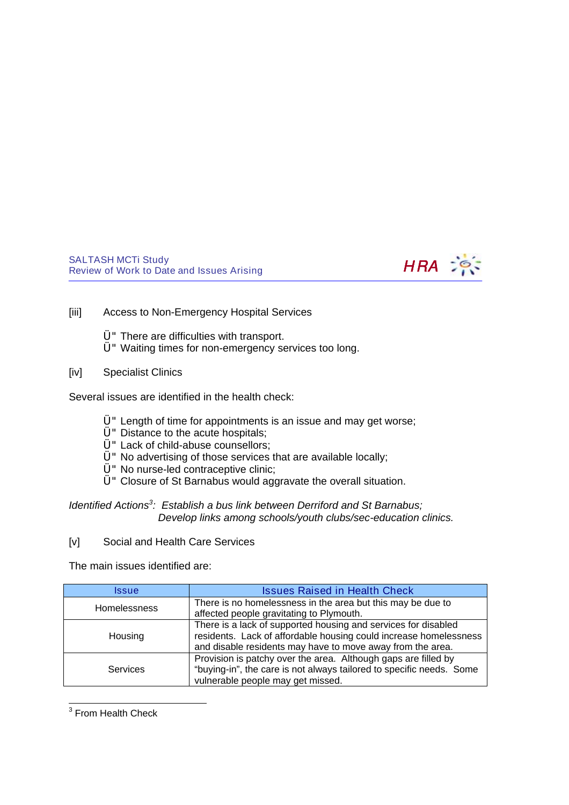

- <span id="page-14-0"></span>[iii] Access to Non-Emergency Hospital Services
	- Ü"There are difficulties with transport.
	- Ü"Waiting times for non-emergency services too long.
- [iv] Specialist Clinics

Several issues are identified in the health check:

- Ü"Length of time for appointments is an issue and may get worse;
- U" Distance to the acute hospitals;
- Ü"Lack of child-abuse counsellors;
- Ü"No advertising of those services that are available locally;
- Ü"No nurse-led contraceptive clinic;
- Ü"Closure of St Barnabus would aggravate the overall situation.
- Identified Actions<sup>[3](#page-14-0)</sup>: Establish a bus link between Derriford and St Barnabus; Develop links among schools/youth clubs/sec-education clinics.
- [v] Social and Health Care Services

The main issues identified are:

| Issue               | <b>Issues Raised in Health Check</b>                                                                                                                                                              |
|---------------------|---------------------------------------------------------------------------------------------------------------------------------------------------------------------------------------------------|
| <b>Homelessness</b> | There is no homelessness in the area but this may be due to<br>affected people gravitating to Plymouth.                                                                                           |
| Housing             | There is a lack of supported housing and services for disabled<br>residents. Lack of affordable housing could increase homelessness<br>and disable residents may have to move away from the area. |
| Services            | Provision is patchy over the area. Although gaps are filled by<br>"buying-in", the care is not always tailored to specific needs. Some<br>vulnerable people may get missed.                       |

3 From Health Check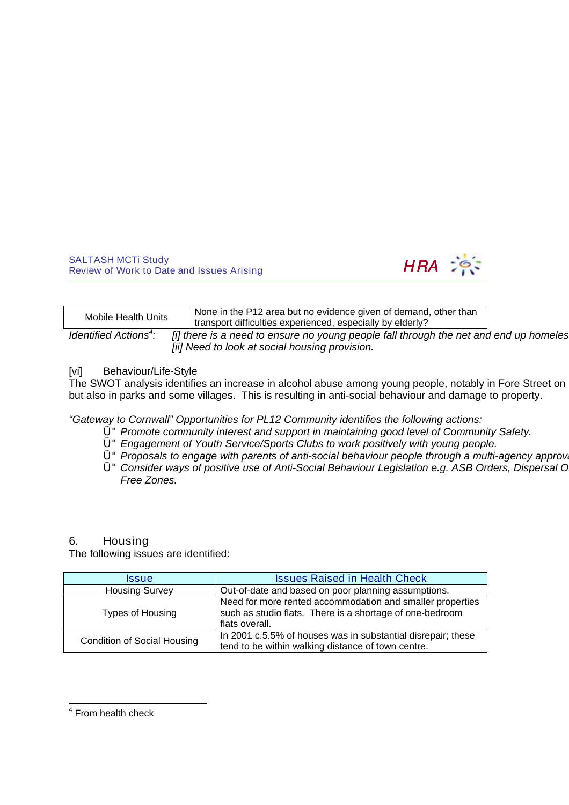

| Mobile Health Units                    | None in the P12 area but no evidence given of demand, other than<br>transport difficulties experienced, especially by elderly? |  |
|----------------------------------------|--------------------------------------------------------------------------------------------------------------------------------|--|
| <i>Identified Actions<sup>4</sup>:</i> | [i] there is a need to ensure no young people fall through the net and end up homeles                                          |  |

<span id="page-15-0"></span>[ii] Need to look at social housing provision.

# [vi] Behaviour/Life-Style

The SWOT analysis identifies an increase in alcohol abuse among young people, notably in Fore Street on but also in parks and some villages. This is resulting in anti-social behaviour and damage to property.

"Gateway to Cornwall" Opportunities for PL12 Community identifies the following actions:

- Ü"Promote community interest and support in maintaining good level of Community Safety.
- Ü"Engagement of Youth Service/Sports Clubs to work positively with young people.
- $U'$  Proposals to engage with parents of anti-social behaviour people through a multi-agency approval.
- U" Consider ways of positive use of Anti-Social Behaviour Legislation e.g. ASB Orders, Dispersal O Free Zones.

# 6. Housing

The following issues are identified:

| <i><b>Issue</b></i>                | <b>Issues Raised in Health Check</b>                                                                                                    |
|------------------------------------|-----------------------------------------------------------------------------------------------------------------------------------------|
| <b>Housing Survey</b>              | Out-of-date and based on poor planning assumptions.                                                                                     |
| Types of Housing                   | Need for more rented accommodation and smaller properties<br>such as studio flats. There is a shortage of one-bedroom<br>flats overall. |
| <b>Condition of Social Housing</b> | In 2001 c.5.5% of houses was in substantial disrepair; these<br>tend to be within walking distance of town centre.                      |

 <sup>4</sup> From health check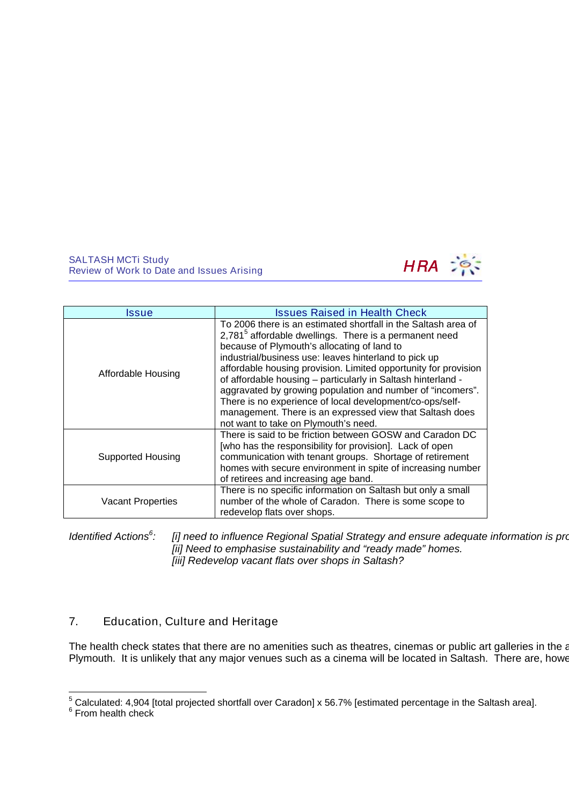<span id="page-16-0"></span>

<span id="page-16-1"></span>

| Issue                    | <b>Issues Raised in Health Check</b>                                                                                                                                                                                                                                                                                                                                                                                                                                                                                                                                                                          |
|--------------------------|---------------------------------------------------------------------------------------------------------------------------------------------------------------------------------------------------------------------------------------------------------------------------------------------------------------------------------------------------------------------------------------------------------------------------------------------------------------------------------------------------------------------------------------------------------------------------------------------------------------|
| Affordable Housing       | To 2006 there is an estimated shortfall in the Saltash area of<br>2,781 <sup>5</sup> affordable dwellings. There is a permanent need<br>because of Plymouth's allocating of land to<br>industrial/business use: leaves hinterland to pick up<br>affordable housing provision. Limited opportunity for provision<br>of affordable housing - particularly in Saltash hinterland -<br>aggravated by growing population and number of "incomers".<br>There is no experience of local development/co-ops/self-<br>management. There is an expressed view that Saltash does<br>not want to take on Plymouth's need. |
| <b>Supported Housing</b> | There is said to be friction between GOSW and Caradon DC<br>[who has the responsibility for provision]. Lack of open<br>communication with tenant groups. Shortage of retirement<br>homes with secure environment in spite of increasing number<br>of retirees and increasing age band.                                                                                                                                                                                                                                                                                                                       |
| <b>Vacant Properties</b> | There is no specific information on Saltash but only a small<br>number of the whole of Caradon. There is some scope to<br>redevelop flats over shops.                                                                                                                                                                                                                                                                                                                                                                                                                                                         |

Identified Actions<sup>[6](#page-16-1)</sup>: [i] need to influence Regional Spatial Strategy and ensure adequate information is pro [ii] Need to emphasise sustainability and "ready made" homes. [iii] Redevelop vacant flats over shops in Saltash?

# 7. Education, Culture and Heritage

The health check states that there are no amenities such as theatres, cinemas or public art galleries in the a Plymouth. It is unlikely that any major venues such as a cinema will be located in Saltash. There are, howe

 5 Calculated: 4,904 [total projected shortfall over Caradon] x 56.7% [estimated percentage in the Saltash area]. 6 From health check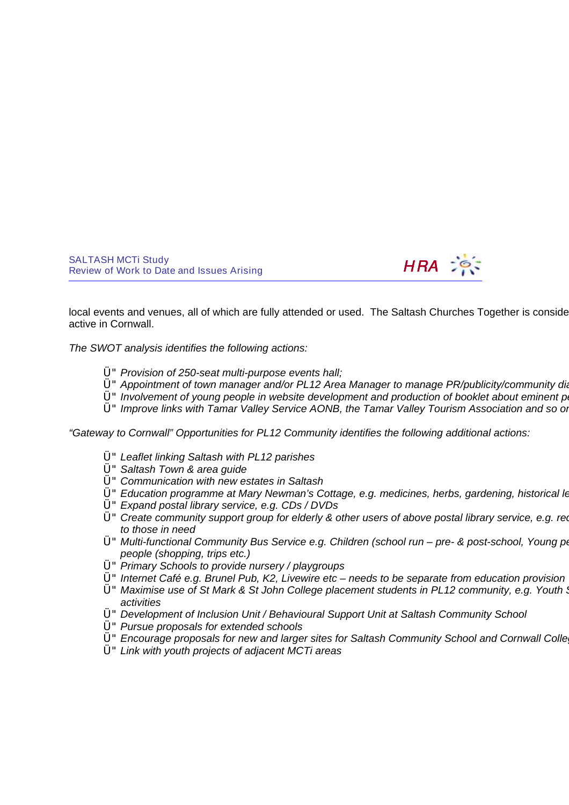

local events and venues, all of which are fully attended or used. The Saltash Churches Together is conside active in Cornwall.

The SWOT analysis identifies the following actions:

- Ü" Provision of 250-seat multi-purpose events hall;
- U" Appointment of town manager and/or PL12 Area Manager to manage PR/publicity/community diary
- $U$ " Involvement of young people in website development and production of booklet about eminent per
- U" Improve links with Tamar Valley Service AONB, the Tamar Valley Tourism Association and so or

"Gateway to Cornwall" Opportunities for PL12 Community identifies the following additional actions:

- Ü"Leaflet linking Saltash with PL12 parishes
- Ü"Saltash Town & area guide
- Ü"Communication with new estates in Saltash
- U" Education programme at Mary Newman's Cottage, e.g. medicines, herbs, gardening, historical learning
- Ü"Expand postal library service, e.g. CDs / DVDs
- Ü" Create community support group for elderly & other users of above postal library service, e.g. red to those in need
- Ü" Multi-functional Community Bus Service e.g. Children (school run pre- & post-school, Young pe people (shopping, trips etc.)
- $Ü''$  Primary Schools to provide nursery / playgroups
- Ü"Internet Café e.g. Brunel Pub, K2, Livewire etc needs to be separate from education provision
- $Ü''$  Maximise use of St Mark & St John College placement students in PL12 community, e.g. Youth  $\ddot{o}$ activities
- Ü"Development of Inclusion Unit / Behavioural Support Unit at Saltash Community School
- Ü"Pursue proposals for extended schools
- Ü"Encourage proposals for new and larger sites for Saltash Community School and Cornwall College, Saltash
- Ü"Link with youth projects of adjacent MCTi areas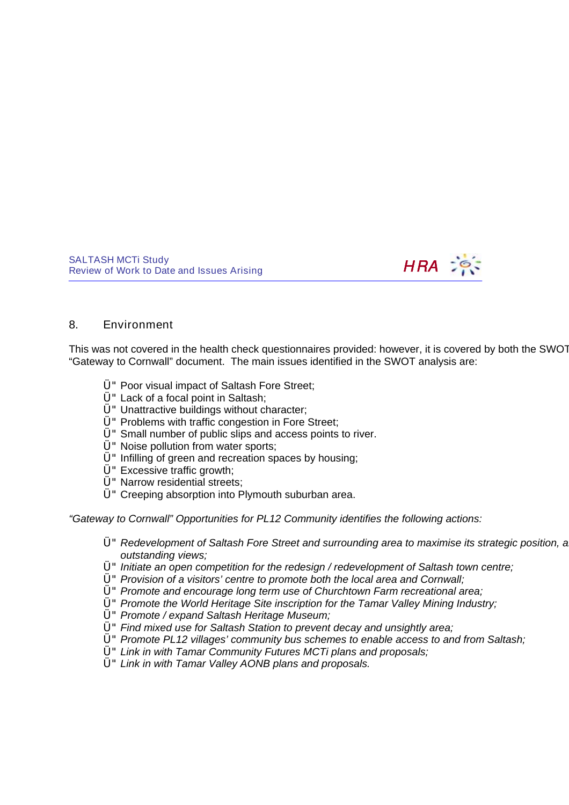

### 8. Environment

This was not covered in the health check questionnaires provided: however, it is covered by both the SWOT "Gateway to Cornwall" document. The main issues identified in the SWOT analysis are:

- Ü"Poor visual impact of Saltash Fore Street;
- Ü"Lack of a focal point in Saltash;
- Ü" Unattractive buildings without character;
- Ü"Problems with traffic congestion in Fore Street;
- Ü"Small number of public slips and access points to river.
- Ü"Noise pollution from water sports;
- $Ü$ " Infilling of green and recreation spaces by housing;
- Ü"Excessive traffic growth;
- Ü"Narrow residential streets;
- Ü"Creeping absorption into Plymouth suburban area.

"Gateway to Cornwall" Opportunities for PL12 Community identifies the following actions:

- U" Redevelopment of Saltash Fore Street and surrounding area to maximise its strategic position, and to capital outstanding views;
- $U^*$  Initiate an open competition for the redesign / redevelopment of Saltash town centre;
- Ü"Provision of a visitors' centre to promote both the local area and Cornwall;
- Ü"Promote and encourage long term use of Churchtown Farm recreational area;
- U" Promote the World Heritage Site inscription for the Tamar Valley Mining Industry;
- Ü"Promote / expand Saltash Heritage Museum;
- Ü"Find mixed use for Saltash Station to prevent decay and unsightly area;
- Ü"Promote PL12 villages' community bus schemes to enable access to and from Saltash;
- Ü"Link in with Tamar Community Futures MCTi plans and proposals;
- Ü"Link in with Tamar Valley AONB plans and proposals.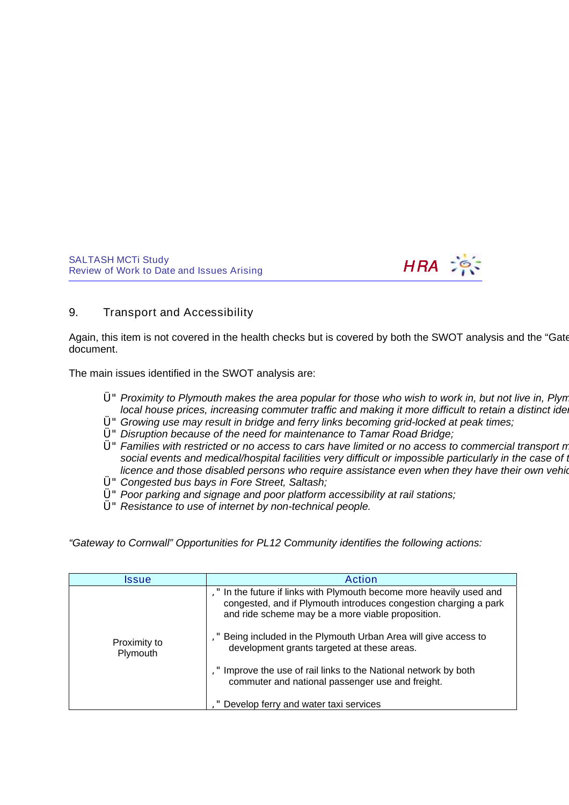

## 9. Transport and Accessibility

Again, this item is not covered in the health checks but is covered by both the SWOT analysis and the "Gate document.

The main issues identified in the SWOT analysis are:

- $Ü''$  Proximity to Plymouth makes the area popular for those who wish to work in, but not live in, Plyn local house prices, increasing commuter traffic and making it more difficult to retain a distinct ide
- Ü"Growing use may result in bridge and ferry links becoming grid-locked at peak times;
- U" Disruption because of the need for maintenance to Tamar Road Bridge;
- $U$ " Families with restricted or no access to cars have limited or no access to commercial transport n social events and medical/hospital facilities very difficult or impossible particularly in the case of the licence and those disabled persons who require assistance even when they have their own vehid
- Ü"Congested bus bays in Fore Street, Saltash;
- Ü"Poor parking and signage and poor platform accessibility at rail stations;
- Ü"Resistance to use of internet by non-technical people.

"Gateway to Cornwall" Opportunities for PL12 Community identifies the following actions:

| Issue                    | <b>Action</b>                                                                                                                                                                              |
|--------------------------|--------------------------------------------------------------------------------------------------------------------------------------------------------------------------------------------|
|                          | In the future if links with Plymouth become more heavily used and<br>congested, and if Plymouth introduces congestion charging a park<br>and ride scheme may be a more viable proposition. |
| Proximity to<br>Plymouth | Being included in the Plymouth Urban Area will give access to<br>development grants targeted at these areas.                                                                               |
|                          | Improve the use of rail links to the National network by both<br>commuter and national passenger use and freight.                                                                          |
|                          | Develop ferry and water taxi services                                                                                                                                                      |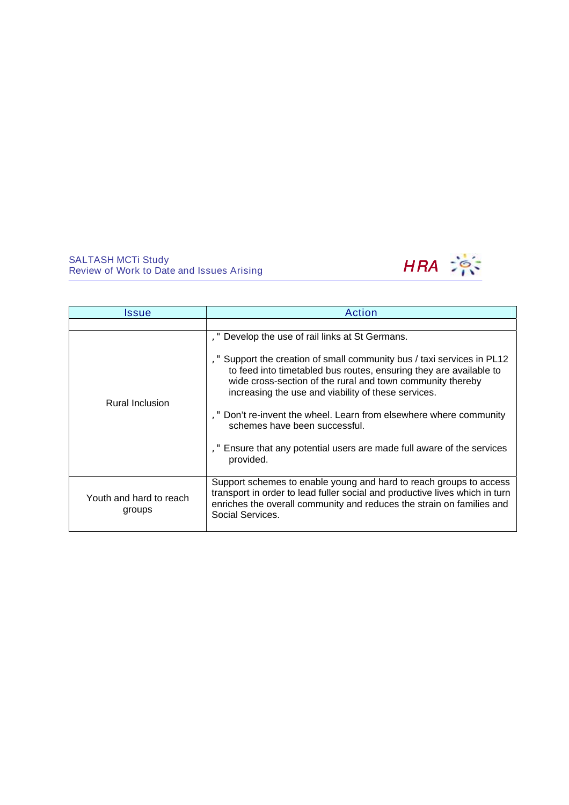

| Issue                             | Action                                                                                                                                                                                                                                                  |
|-----------------------------------|---------------------------------------------------------------------------------------------------------------------------------------------------------------------------------------------------------------------------------------------------------|
| <b>Rural Inclusion</b>            | Develop the use of rail links at St Germans.<br>Support the creation of small community bus / taxi services in PL12<br>to feed into timetabled bus routes, ensuring they are available to<br>wide cross-section of the rural and town community thereby |
|                                   | increasing the use and viability of these services.<br>," Don't re-invent the wheel. Learn from elsewhere where community<br>schemes have been successful.<br>Ensure that any potential users are made full aware of the services<br>provided.          |
| Youth and hard to reach<br>groups | Support schemes to enable young and hard to reach groups to access<br>transport in order to lead fuller social and productive lives which in turn<br>enriches the overall community and reduces the strain on families and<br>Social Services.          |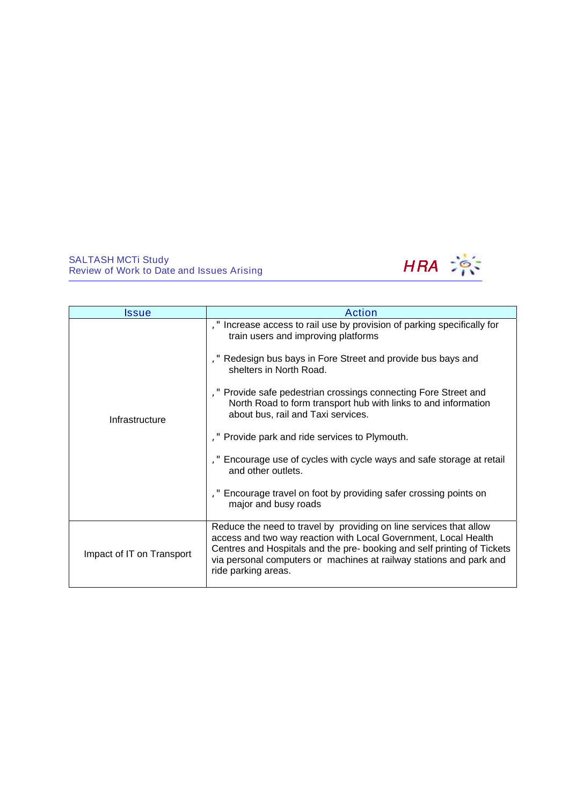

| Issue                     | <b>Action</b>                                                                                                                                                                                                                                                                                                                                                                                                                                                                                                                                                                                                                      |  |
|---------------------------|------------------------------------------------------------------------------------------------------------------------------------------------------------------------------------------------------------------------------------------------------------------------------------------------------------------------------------------------------------------------------------------------------------------------------------------------------------------------------------------------------------------------------------------------------------------------------------------------------------------------------------|--|
| Infrastructure            | ," Increase access to rail use by provision of parking specifically for<br>train users and improving platforms<br>," Redesign bus bays in Fore Street and provide bus bays and<br>shelters in North Road.<br>," Provide safe pedestrian crossings connecting Fore Street and<br>North Road to form transport hub with links to and information<br>about bus, rail and Taxi services.<br>," Provide park and ride services to Plymouth.<br>," Encourage use of cycles with cycle ways and safe storage at retail<br>and other outlets.<br>," Encourage travel on foot by providing safer crossing points on<br>major and busy roads |  |
| Impact of IT on Transport | Reduce the need to travel by providing on line services that allow<br>access and two way reaction with Local Government, Local Health<br>Centres and Hospitals and the pre- booking and self printing of Tickets<br>via personal computers or machines at railway stations and park and<br>ride parking areas.                                                                                                                                                                                                                                                                                                                     |  |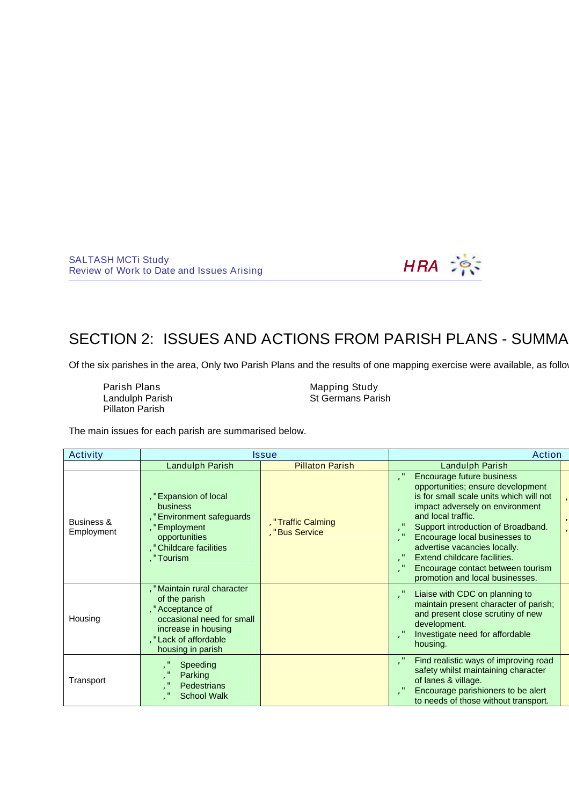

# SECTION 2: ISSUES AND ACTIONS FROM PARISH PLANS - SUMMA

Of the six parishes in the area, Only two Parish Plans and the results of one mapping exercise were available, as follow

| Parish Plans    | Mapping Study            |
|-----------------|--------------------------|
| Landulph Parish | <b>St Germans Parish</b> |
| Pillaton Parish |                          |

The main issues for each parish are summarised below.

| Activity                 | <b>Issue</b>                                                                                                                                                     |                                   | Action                                                                                                                                                                                                                                                                                                                                                                            |
|--------------------------|------------------------------------------------------------------------------------------------------------------------------------------------------------------|-----------------------------------|-----------------------------------------------------------------------------------------------------------------------------------------------------------------------------------------------------------------------------------------------------------------------------------------------------------------------------------------------------------------------------------|
|                          | <b>Landulph Parish</b>                                                                                                                                           | <b>Pillaton Parish</b>            | Landulph Parish                                                                                                                                                                                                                                                                                                                                                                   |
| Business &<br>Employment | , "Expansion of local<br>business<br>" Environment safeguards<br>"Employment<br>opportunities<br>" Childcare facilities<br>"Tourism                              | "Traffic Calming<br>"Bus Service" | Encourage future business<br>opportunities; ensure development<br>is for small scale units which will not<br>impact adversely on environment<br>and local traffic.<br>Support introduction of Broadband.<br>Encourage local businesses to<br>advertise vacancies locally.<br>Extend childcare facilities.<br>Encourage contact between tourism<br>promotion and local businesses. |
| Housing                  | " Maintain rural character<br>of the parish<br>" Acceptance of<br>occasional need for small<br>increase in housing<br>," Lack of affordable<br>housing in parish |                                   | Liaise with CDC on planning to<br>maintain present character of parish;<br>and present close scrutiny of new<br>development.<br>Investigate need for affordable<br>housing.                                                                                                                                                                                                       |
| Transport                | Speeding<br>Parking<br><b>Pedestrians</b><br><b>School Walk</b>                                                                                                  |                                   | Find realistic ways of improving road<br>safety whilst maintaining character<br>of lanes & village.<br>Encourage parishioners to be alert<br>to needs of those without transport.                                                                                                                                                                                                 |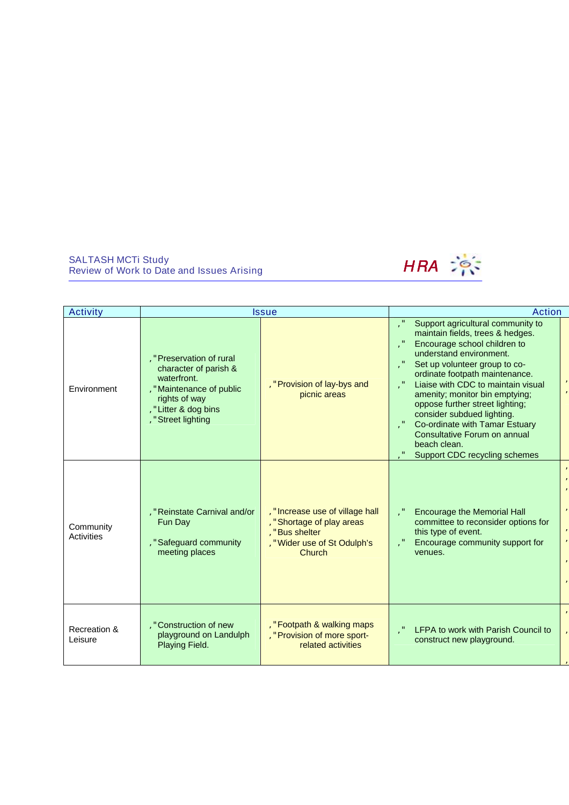

| <b>Activity</b>         | <b>Issue</b>                                                                                                                                                |                                                                                                                            | <b>Action</b>                                                                                                                                                                                                                                                                                                                                                                                                                                                   |
|-------------------------|-------------------------------------------------------------------------------------------------------------------------------------------------------------|----------------------------------------------------------------------------------------------------------------------------|-----------------------------------------------------------------------------------------------------------------------------------------------------------------------------------------------------------------------------------------------------------------------------------------------------------------------------------------------------------------------------------------------------------------------------------------------------------------|
| Environment             | , " Preservation of rural<br>character of parish &<br>waterfront.<br>" Maintenance of public<br>rights of way<br>, "Litter & dog bins<br>, "Street lighting | , "Provision of lay-bys and<br>picnic areas                                                                                | Support agricultural community to<br>maintain fields, trees & hedges.<br>Encourage school children to<br>understand environment.<br>Set up volunteer group to co-<br>ordinate footpath maintenance.<br>Liaise with CDC to maintain visual<br>amenity; monitor bin emptying;<br>oppose further street lighting;<br>consider subdued lighting.<br>Co-ordinate with Tamar Estuary<br>Consultative Forum on annual<br>beach clean.<br>Support CDC recycling schemes |
| Community<br>Activities | "Reinstate Carnival and/or<br>Fun Day<br>, "Safeguard community<br>meeting places                                                                           | , "Increase use of village hall<br>"Shortage of play areas<br>"Bus shelter<br>, "Wider use of St Odulph's<br><b>Church</b> | <b>Encourage the Memorial Hall</b><br>committee to reconsider options for<br>this type of event.<br>Encourage community support for<br>venues.                                                                                                                                                                                                                                                                                                                  |
| Recreation &<br>Leisure | ," Construction of new<br>playground on Landulph<br>Playing Field.                                                                                          | , "Footpath & walking maps<br>, " Provision of more sport-<br>related activities                                           | LFPA to work with Parish Council to<br>construct new playground.                                                                                                                                                                                                                                                                                                                                                                                                |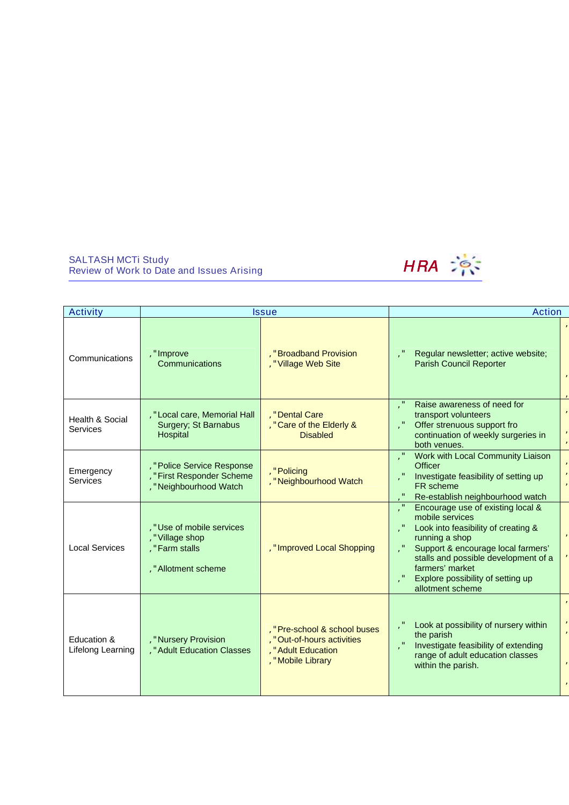

| <b>Activity</b>                    |                                                                                   | <b>Issue</b>                                                                                       | <b>Action</b>                                                                                                                                                                                                                                                           |
|------------------------------------|-----------------------------------------------------------------------------------|----------------------------------------------------------------------------------------------------|-------------------------------------------------------------------------------------------------------------------------------------------------------------------------------------------------------------------------------------------------------------------------|
| Communications                     | , "Improve<br>Communications                                                      | "Broadband Provision<br>, "Village Web Site                                                        | Regular newsletter; active website;<br><b>Parish Council Reporter</b>                                                                                                                                                                                                   |
| Health & Social<br><b>Services</b> | , " Local care, Memorial Hall<br>Surgery; St Barnabus<br>Hospital                 | . "Dental Care<br>," Care of the Elderly &<br><b>Disabled</b>                                      | Raise awareness of need for<br>transport volunteers<br>Offer strenuous support fro<br>continuation of weekly surgeries in<br>both venues.                                                                                                                               |
| Emergency<br>Services              | " Police Service Response<br>"First Responder Scheme<br>, "Neighbourhood Watch    | "Policing<br>, "Neighbourhood Watch                                                                | Work with Local Community Liaison<br><b>Officer</b><br>Investigate feasibility of setting up<br>FR scheme<br>Re-establish neighbourhood watch                                                                                                                           |
| <b>Local Services</b>              | "Use of mobile services<br>" Village shop<br>"Farm stalls<br>, " Allotment scheme | , "Improved Local Shopping                                                                         | Encourage use of existing local &<br>mobile services<br>Look into feasibility of creating &<br>running a shop<br>Support & encourage local farmers'<br>stalls and possible development of a<br>farmers' market<br>Explore possibility of setting up<br>allotment scheme |
| Education &<br>Lifelong Learning   | "Nursery Provision<br>, " Adult Education Classes                                 | "Pre-school & school buses<br>, "Out-of-hours activities<br>" Adult Education<br>, "Mobile Library | Look at possibility of nursery within<br>the parish<br>Investigate feasibility of extending<br>range of adult education classes<br>within the parish.                                                                                                                   |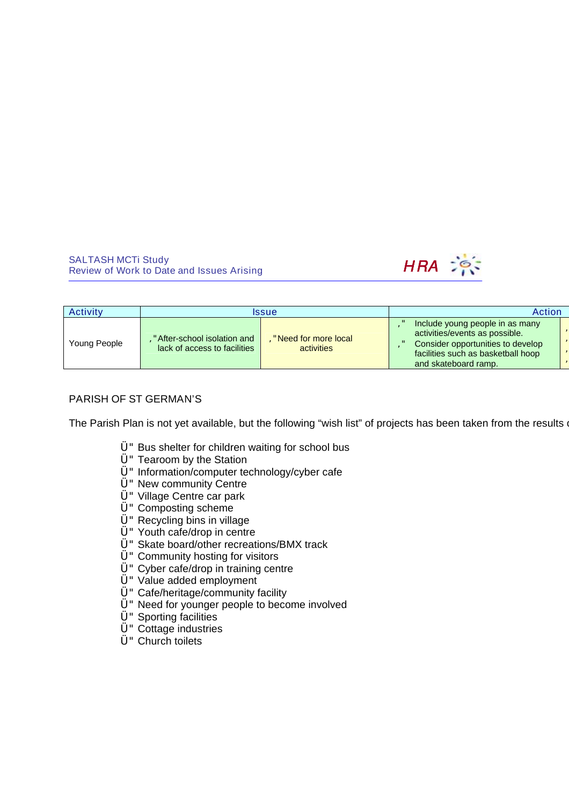

| Activity     | <i><b>Issue</b></i>                                          |                                    | Action                                                                                                                                                               |
|--------------|--------------------------------------------------------------|------------------------------------|----------------------------------------------------------------------------------------------------------------------------------------------------------------------|
| Young People | " After-school isolation and<br>lack of access to facilities | "Need for more local<br>activities | Include young people in as many<br>activities/events as possible.<br>Consider opportunities to develop<br>facilities such as basketball hoop<br>and skateboard ramp. |

## PARISH OF ST GERMAN'S

The Parish Plan is not yet available, but the following "wish list" of projects has been taken from the results of

- Ü"Bus shelter for children waiting for school bus
- Ü"Tearoom by the Station
- Ü" Information/computer technology/cyber cafe
- U" New community Centre
- Ü"Village Centre car park
- Ü"Composting scheme
- Ü"Recycling bins in village
- Ü"Youth cafe/drop in centre
- Ü"Skate board/other recreations/BMX track
- $U$ " Community hosting for visitors
- Ü"Cyber cafe/drop in training centre
- Ü"Value added employment
- Ü"Cafe/heritage/community facility
- Ü"Need for younger people to become involved
- Ü"Sporting facilities
- Ü"Cottage industries
- Ü"Church toilets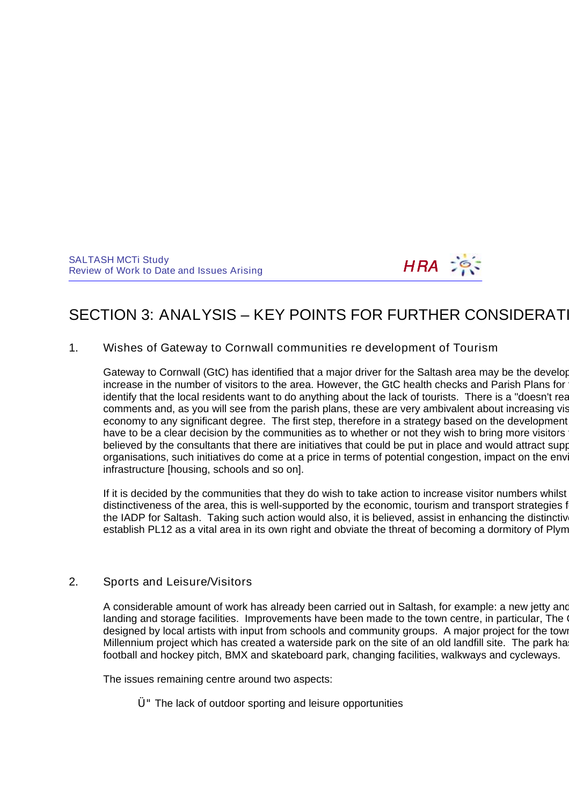

# SECTION 3: ANALYSIS – KEY POINTS FOR FURTHER CONSIDERATI

1. Wishes of Gateway to Cornwall communities re development of Tourism

Gateway to Cornwall (GtC) has identified that a major driver for the Saltash area may be the develop increase in the number of visitors to the area. However, the GtC health checks and Parish Plans for identify that the local residents want to do anything about the lack of tourists. There is a "doesn't rea comments and, as you will see from the parish plans, these are very ambivalent about increasing vistors or developing the visitors of the parish plans, these are very ambivalent about increasing visitors or developing the economy to any significant degree. The first step, therefore in a strategy based on the development have to be a clear decision by the communities as to whether or not they wish to bring more visitors believed by the consultants that there are initiatives that could be put in place and would attract support from the public-section of public-section of public-section of the public-section of public-section of public-sect organisations, such initiatives do come at a price in terms of potential congestion, impact on the environment, infrastructure [housing, schools and so on].

If it is decided by the communities that they do wish to take action to increase visitor numbers whilst distinctiveness of the area, this is well-supported by the economic, tourism and transport strategies f the IADP for Saltash. Taking such action would also, it is believed, assist in enhancing the distinctiven establish PL12 as a vital area in its own right and obviate the threat of becoming a dormitory of Plym

# 2. Sports and Leisure/Visitors

A considerable amount of work has already been carried out in Saltash, for example: a new jetty and landing and storage facilities. Improvements have been made to the town centre, in particular, The Guilding designed by local artists with input from schools and community groups. A major project for the town Millennium project which has created a waterside park on the site of an old landfill site. The park has football and hockey pitch, BMX and skateboard park, changing facilities, walkways and cycleways.

The issues remaining centre around two aspects:

Ü"The lack of outdoor sporting and leisure opportunities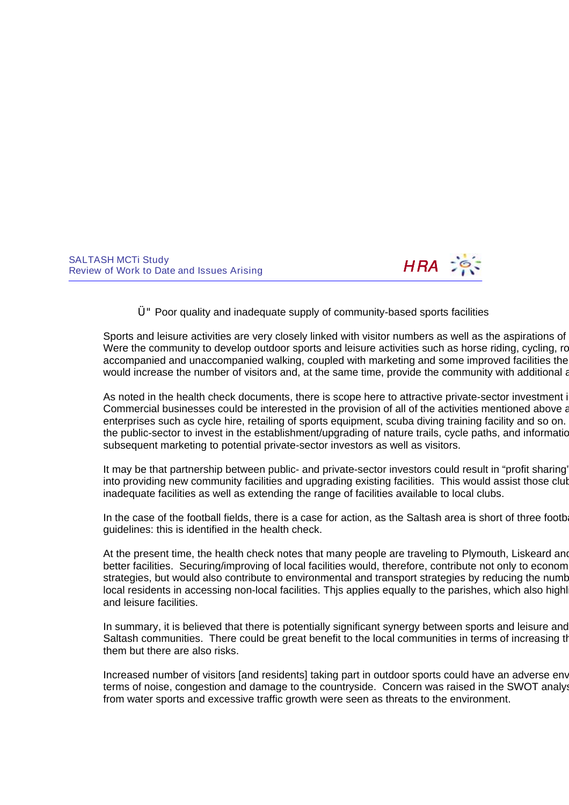

Ü"Poor quality and inadequate supply of community-based sports facilities

Sports and leisure activities are very closely linked with visitor numbers as well as the aspirations of Were the community to develop outdoor sports and leisure activities such as horse riding, cycling, ro accompanied and unaccompanied walking, coupled with marketing and some improved facilities the would increase the number of visitors and, at the same time, provide the community with additional amenginal

As noted in the health check documents, there is scope here to attractive private-sector investment into the area. Commercial businesses could be interested in the provision of all of the activities mentioned above and  $\epsilon$ enterprises such as cycle hire, retailing of sports equipment, scuba diving training facility and so on. the public-sector to invest in the establishment/upgrading of nature trails, cycle paths, and information subsequent marketing to potential private-sector investors as well as visitors.

It may be that partnership between public- and private-sector investors could result in "profit sharing" into providing new community facilities and upgrading existing facilities. This would assist those clubs struggling with no or inadequate facilities as well as extending the range of facilities available to local clubs.

In the case of the football fields, there is a case for action, as the Saltash area is short of three football guidelines: this is identified in the health check.

At the present time, the health check notes that many people are traveling to Plymouth, Liskeard and better facilities. Securing/improving of local facilities would, therefore, contribute not only to economic strategies, but would also contribute to environmental and transport strategies by reducing the numb local residents in accessing non-local facilities. This applies equally to the parishes, which also highl and leisure facilities.

In summary, it is believed that there is potentially significant synergy between sports and leisure and Saltash communities. There could be great benefit to the local communities in terms of increasing the saltable to them but there are also risks.

Increased number of visitors [and residents] taking part in outdoor sports could have an adverse env terms of noise, congestion and damage to the countryside. Concern was raised in the SWOT analyst from water sports and excessive traffic growth were seen as threats to the environment.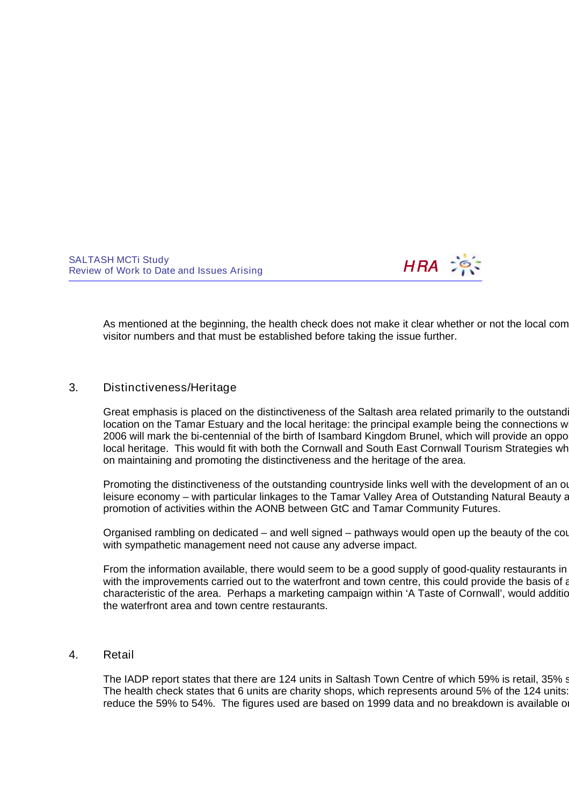

As mentioned at the beginning, the health check does not make it clear whether or not the local com visitor numbers and that must be established before taking the issue further.

# 3. Distinctiveness/Heritage

Great emphasis is placed on the distinctiveness of the Saltash area related primarily to the outstanding country location on the Tamar Estuary and the local heritage: the principal example being the connections w 2006 will mark the bi-centennial of the birth of Isambard Kingdom Brunel, which will provide an opportunity on local heritage. This would fit with both the Cornwall and South East Cornwall Tourism Strategies where emphasis on maintaining and promoting the distinctiveness and the heritage of the area.

Promoting the distinctiveness of the outstanding countryside links well with the development of an out leisure economy – with particular linkages to the Tamar Valley Area of Outstanding Natural Beauty and opportunities for the Tamar Valley Area of Outstanding Natural Beauty and opportunities for the Tamar School and School promotion of activities within the AONB between GtC and Tamar Community Futures.

Organised rambling on dedicated – and well signed – pathways would open up the beauty of the count with sympathetic management need not cause any adverse impact.

From the information available, there would seem to be a good supply of good-quality restaurants in with the improvements carried out to the waterfront and town centre, this could provide the basis of a characteristic of the area. Perhaps a marketing campaign within 'A Taste of Cornwall', would additionally the waterfront area and town centre restaurants.

#### 4. Retail

The IADP report states that there are 124 units in Saltash Town Centre of which 59% is retail, 35% s The health check states that 6 units are charity shops, which represents around 5% of the 124 units: reduce the 59% to 54%. The figures used are based on 1999 data and no breakdown is available on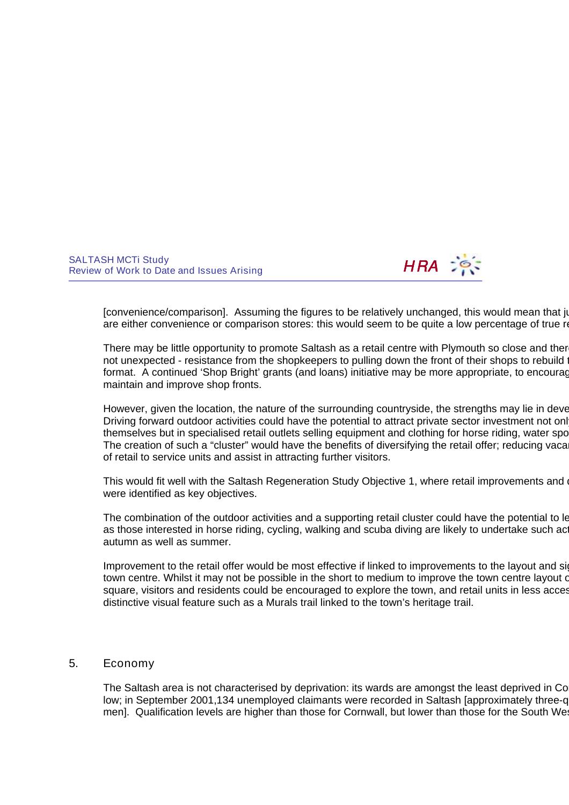

[convenience/comparison]. Assuming the figures to be relatively unchanged, this would mean that ju are either convenience or comparison stores: this would seem to be quite a low percentage of true re

There may be little opportunity to promote Saltash as a retail centre with Plymouth so close and there not unexpected - resistance from the shopkeepers to pulling down the front of their shops to rebuild them in a more traditional them in a more traditional them in a more traditional them in a more traditional them in a mor format. A continued 'Shop Bright' grants (and loans) initiative may be more appropriate, to encourage maintain and improve shop fronts.

However, given the location, the nature of the surrounding countryside, the strengths may lie in deve Driving forward outdoor activities could have the potential to attract private sector investment not only themselves but in specialised retail outlets selling equipment and clothing for horse riding, water sports, cycling and so on. The creation of such a "cluster" would have the benefits of diversifying the retail offer; reducing vacantle of retail to service units and assist in attracting further visitors.

This would fit well with the Saltash Regeneration Study Objective 1, where retail improvements and diversion were identified as key objectives.

The combination of the outdoor activities and a supporting retail cluster could have the potential to let as those interested in horse riding, cycling, walking and scuba diving are likely to undertake such activities autumn as well as summer.

Improvement to the retail offer would be most effective if linked to improvements to the layout and signage with Saltash town centre. Whilst it may not be possible in the short to medium to improve the town centre layout or square, visitors and residents could be encouraged to explore the town, and retail units in less acces distinctive visual feature such as a Murals trail linked to the town's heritage trail.

## 5. Economy

The Saltash area is not characterised by deprivation: its wards are amongst the least deprived in Co low; in September 2001,134 unemployed claimants were recorded in Saltash [approximately three-q men]. Qualification levels are higher than those for Cornwall, but lower than those for the South West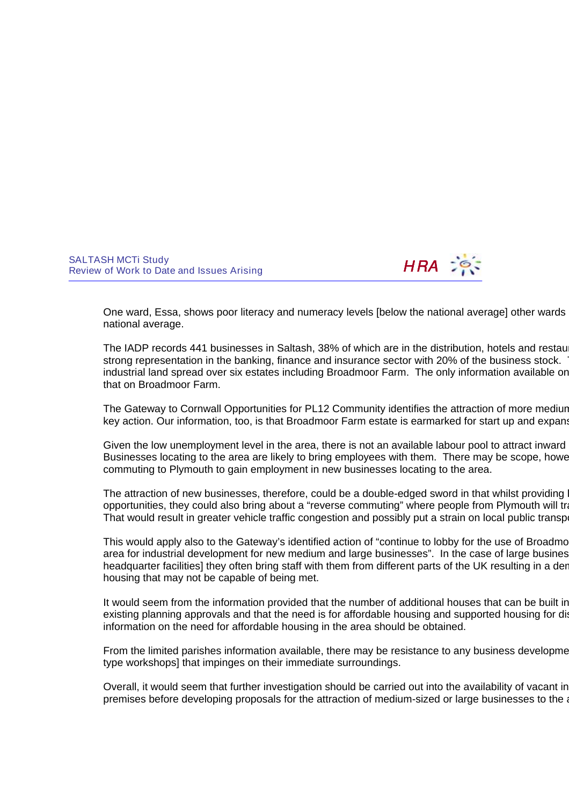

One ward, Essa, shows poor literacy and numeracy levels [below the national average] other wards national average.

The IADP records 441 businesses in Saltash, 38% of which are in the distribution, hotels and restaurants and restaurants sector. The strong representation in the banking, finance and insurance sector with 20% of the business stock. industrial land spread over six estates including Broadmoor Farm. The only information available on that on Broadmoor Farm.

The Gateway to Cornwall Opportunities for PL12 Community identifies the attraction of more mediun key action. Our information, too, is that Broadmoor Farm estate is earmarked for start up and expansion of local business

Given the low unemployment level in the area, there is not an available labour pool to attract inward Businesses locating to the area are likely to bring employees with them. There may be scope, howe commuting to Plymouth to gain employment in new businesses locating to the area.

The attraction of new businesses, therefore, could be a double-edged sword in that whilst providing local employment opportunities, they could also bring about a "reverse commuting" where people from Plymouth will tra That would result in greater vehicle traffic congestion and possibly put a strain on local public transport.

This would apply also to the Gateway's identified action of "continue to lobby for the use of Broadmo area for industrial development for new medium and large businesses". In the case of large busines headquarter facilities] they often bring staff with them from different parts of the UK resulting in a der housing that may not be capable of being met.

It would seem from the information provided that the number of additional houses that can be built in existing planning approvals and that the need is for affordable housing and supported housing for dis information on the need for affordable housing in the area should be obtained.

From the limited parishes information available, there may be resistance to any business developme type workshops] that impinges on their immediate surroundings.

Overall, it would seem that further investigation should be carried out into the availability of vacant in premises before developing proposals for the attraction of medium-sized or large businesses to the a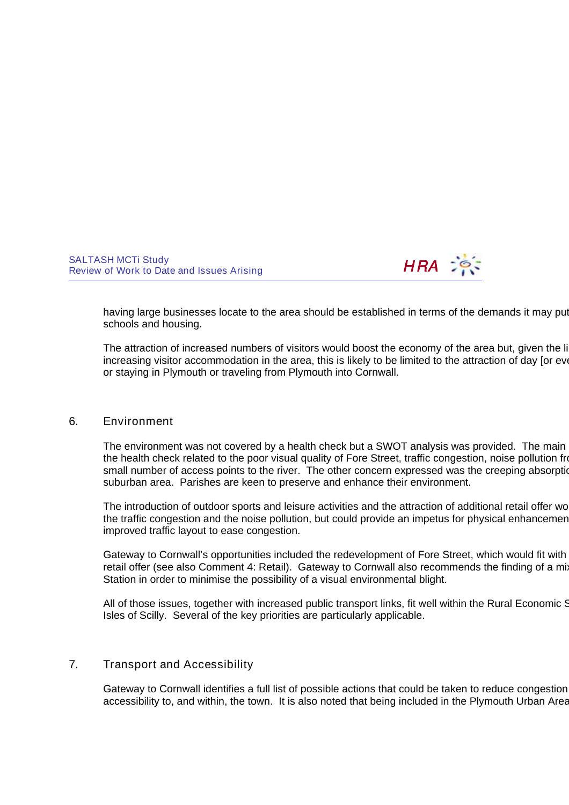

having large businesses locate to the area should be established in terms of the demands it may put schools and housing.

The attraction of increased numbers of visitors would boost the economy of the area but, given the limited opportunities for the limited opportunities for area for the limited opportunities for all the limited opportunitie increasing visitor accommodation in the area, this is likely to be limited to the attraction of day [or event] or staying in Plymouth or traveling from Plymouth into Cornwall.

#### 6. Environment

The environment was not covered by a health check but a SWOT analysis was provided. The main the health check related to the poor visual quality of Fore Street, traffic congestion, noise pollution from small number of access points to the river. The other concern expressed was the creeping absorption suburban area. Parishes are keen to preserve and enhance their environment.

The introduction of outdoor sports and leisure activities and the attraction of additional retail offer wo the traffic congestion and the noise pollution, but could provide an impetus for physical enhancement improved traffic layout to ease congestion.

Gateway to Cornwall's opportunities included the redevelopment of Fore Street, which would fit with retail offer (see also Comment 4: Retail). Gateway to Cornwall also recommends the finding of a mix Station in order to minimise the possibility of a visual environmental blight.

All of those issues, together with increased public transport links, fit well within the Rural Economic S Isles of Scilly. Several of the key priorities are particularly applicable.

### 7. Transport and Accessibility

Gateway to Cornwall identifies a full list of possible actions that could be taken to reduce congestion accessibility to, and within, the town. It is also noted that being included in the Plymouth Urban Area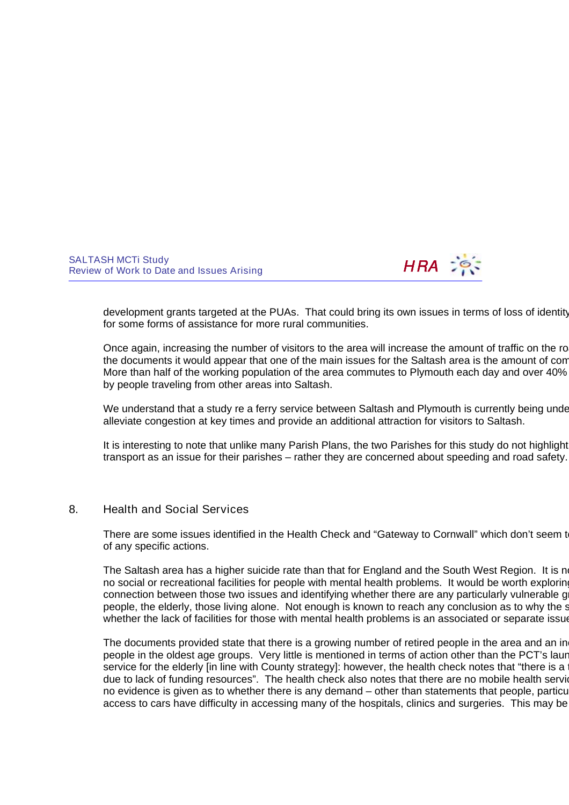

development grants targeted at the PUAs. That could bring its own issues in terms of loss of identity for some forms of assistance for more rural communities.

Once again, increasing the number of visitors to the area will increase the amount of traffic on the roads. the documents it would appear that one of the main issues for the Saltash area is the amount of com-More than half of the working population of the area commutes to Plymouth each day and over 40% by people traveling from other areas into Saltash.

We understand that a study re a ferry service between Saltash and Plymouth is currently being under alleviate congestion at key times and provide an additional attraction for visitors to Saltash.

It is interesting to note that unlike many Parish Plans, the two Parishes for this study do not highlight transport as an issue for their parishes – rather they are concerned about speeding and road safety.

### 8. Health and Social Services

There are some issues identified in the Health Check and "Gateway to Cornwall" which don't seem to of any specific actions.

The Saltash area has a higher suicide rate than that for England and the South West Region. It is not no social or recreational facilities for people with mental health problems. It would be worth exploring connection between those two issues and identifying whether there are any particularly vulnerable g people, the elderly, those living alone. Not enough is known to reach any conclusion as to why the s whether the lack of facilities for those with mental health problems is an associated or separate issue.

The documents provided state that there is a growing number of retired people in the area and an in people in the oldest age groups. Very little is mentioned in terms of action other than the PCT's laur service for the elderly [in line with County strategy]: however, the health check notes that "there is a due to lack of funding resources". The health check also notes that there are no mobile health services no evidence is given as to whether there is any demand – other than statements that people, particularly, the elderly, without elderly, and the elderly, without the elderly, without the elderly, without the elderly, withou access to cars have difficulty in accessing many of the hospitals, clinics and surgeries. This may be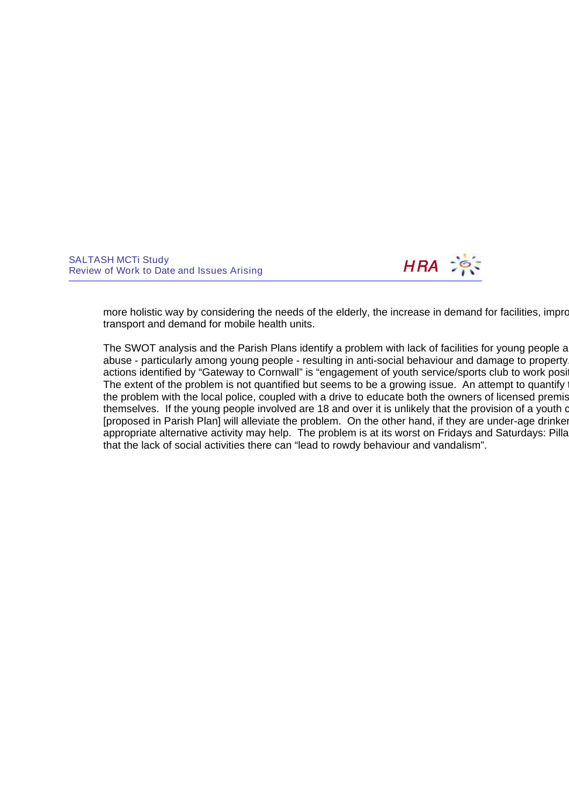

more holistic way by considering the needs of the elderly, the increase in demand for facilities, improvement transport and demand for mobile health units.

The SWOT analysis and the Parish Plans identify a problem with lack of facilities for young people a abuse - particularly among young people - resulting in anti-social behaviour and damage to property. actions identified by "Gateway to Cornwall" is "engagement of youth service/sports club to work position The extent of the problem is not quantified but seems to be a growing issue. An attempt to quantify  $\overline{a}$ the problem with the local police, coupled with a drive to educate both the owners of licensed premises themselves. If the young people involved are 18 and over it is unlikely that the provision of a youth or [proposed in Parish Plan] will alleviate the problem. On the other hand, if they are under-age drinker appropriate alternative activity may help. The problem is at its worst on Fridays and Saturdays: Pilla that the lack of social activities there can "lead to rowdy behaviour and vandalism".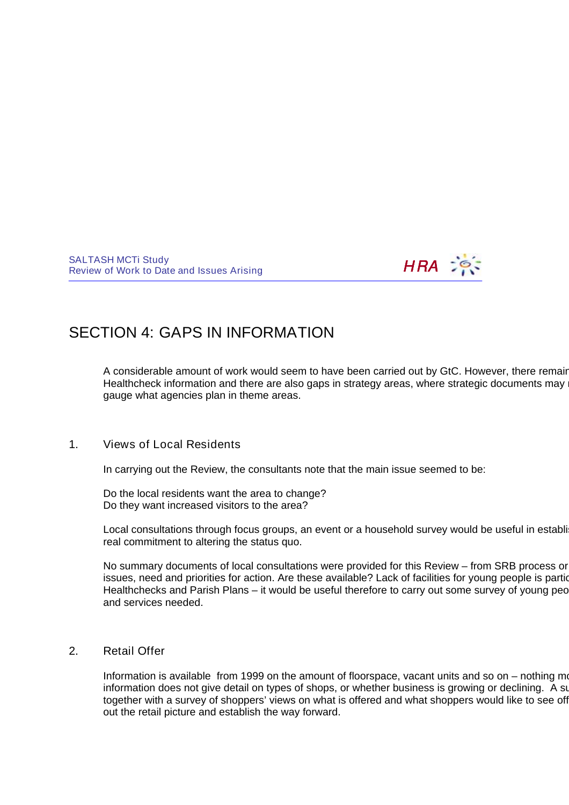

# SECTION 4: GAPS IN INFORMATION

A considerable amount of work would seem to have been carried out by GtC. However, there remain Healthcheck information and there are also gaps in strategy areas, where strategic documents may gauge what agencies plan in theme areas.

## 1. Views of Local Residents

In carrying out the Review, the consultants note that the main issue seemed to be:

Do the local residents want the area to change? Do they want increased visitors to the area?

Local consultations through focus groups, an event or a household survey would be useful in establi real commitment to altering the status quo.

No summary documents of local consultations were provided for this Review – from SRB process or issues, need and priorities for action. Are these available? Lack of facilities for young people is partic Healthchecks and Parish Plans – it would be useful therefore to carry out some survey of young peo and services needed.

### 2. Retail Offer

Information is available from 1999 on the amount of floorspace, vacant units and so on – nothing more information does not give detail on types of shops, or whether business is growing or declining. A sure together with a survey of shoppers' views on what is offered and what shoppers would like to see off out the retail picture and establish the way forward.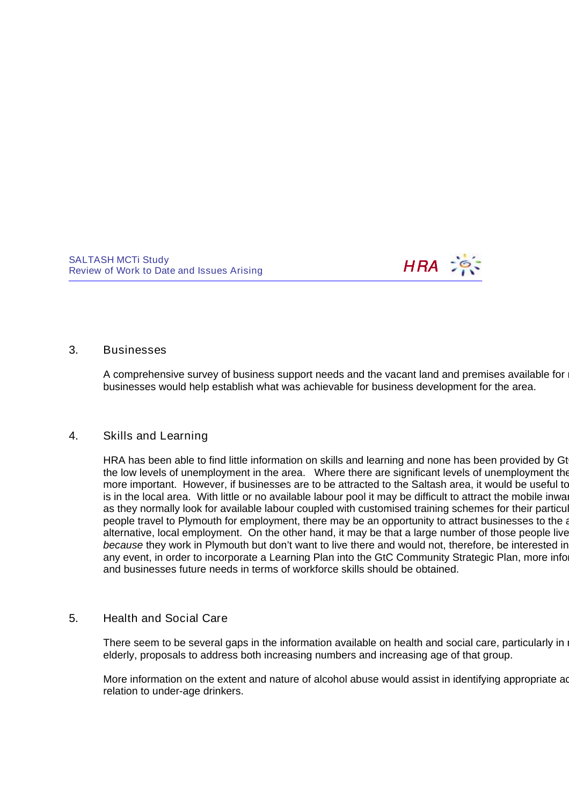

#### 3. Businesses

A comprehensive survey of business support needs and the vacant land and premises available for businesses would help establish what was achievable for business development for the area.

### 4. Skills and Learning

HRA has been able to find little information on skills and learning and none has been provided by Gt the low levels of unemployment in the area. Where there are significant levels of unemployment the more important. However, if businesses are to be attracted to the Saltash area, it would be useful to is in the local area. With little or no available labour pool it may be difficult to attract the mobile inward as they normally look for available labour coupled with customised training schemes for their particul people travel to Plymouth for employment, there may be an opportunity to attract businesses to the a alternative, local employment. On the other hand, it may be that a large number of those people live because they work in Plymouth but don't want to live there and would not, therefore, be interested in any event, in order to incorporate a Learning Plan into the GtC Community Strategic Plan, more infor and businesses future needs in terms of workforce skills should be obtained.

### 5. Health and Social Care

There seem to be several gaps in the information available on health and social care, particularly in  $\vert$ elderly, proposals to address both increasing numbers and increasing age of that group.

More information on the extent and nature of alcohol abuse would assist in identifying appropriate ad relation to under-age drinkers.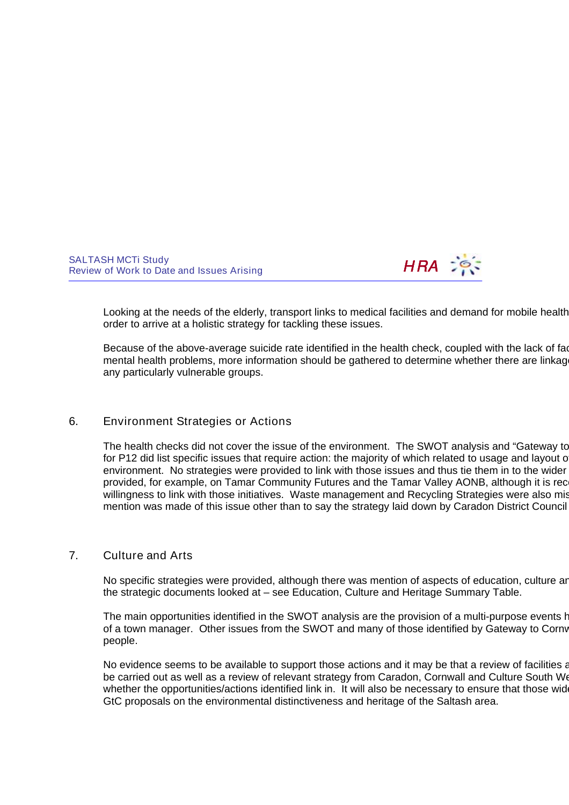

Looking at the needs of the elderly, transport links to medical facilities and demand for mobile health order to arrive at a holistic strategy for tackling these issues.

Because of the above-average suicide rate identified in the health check, coupled with the lack of facilities mental health problems, more information should be gathered to determine whether there are linkage any particularly vulnerable groups.

#### 6. Environment Strategies or Actions

The health checks did not cover the issue of the environment. The SWOT analysis and "Gateway to for P12 did list specific issues that require action: the majority of which related to usage and layout of environment. No strategies were provided to link with those issues and thus tie them in to the wider provided, for example, on Tamar Community Futures and the Tamar Valley AONB, although it is rec willingness to link with those initiatives. Waste management and Recycling Strategies were also mis mention was made of this issue other than to say the strategy laid down by Caradon District Council

#### 7. Culture and Arts

No specific strategies were provided, although there was mention of aspects of education, culture are the strategic documents looked at – see Education, Culture and Heritage Summary Table.

The main opportunities identified in the SWOT analysis are the provision of a multi-purpose events hall and the appointment and the appointment and the main approximate approximate approximate and the main the main the mai of a town manager. Other issues from the SWOT and many of those identified by Gateway to Corny people.

No evidence seems to be available to support those actions and it may be that a review of facilities and it need to be carried out as well as a review of relevant strategy from Caradon, Cornwall and Culture South We whether the opportunities/actions identified link in. It will also be necessary to ensure that those wider-GtC proposals on the environmental distinctiveness and heritage of the Saltash area.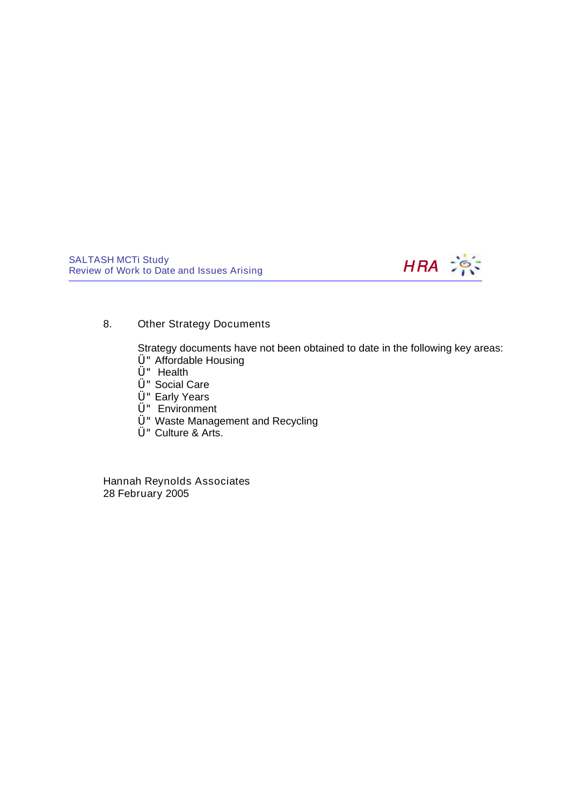

### 8. Other Strategy Documents

Strategy documents have not been obtained to date in the following key areas:

- Ü"Affordable Housing
- Ü" Health
- Ü"Social Care
- Ü"Early Years
- Ü" Environment
- Ü"Waste Management and Recycling
- Ü"Culture & Arts.

Hannah Reynolds Associates 28 February 2005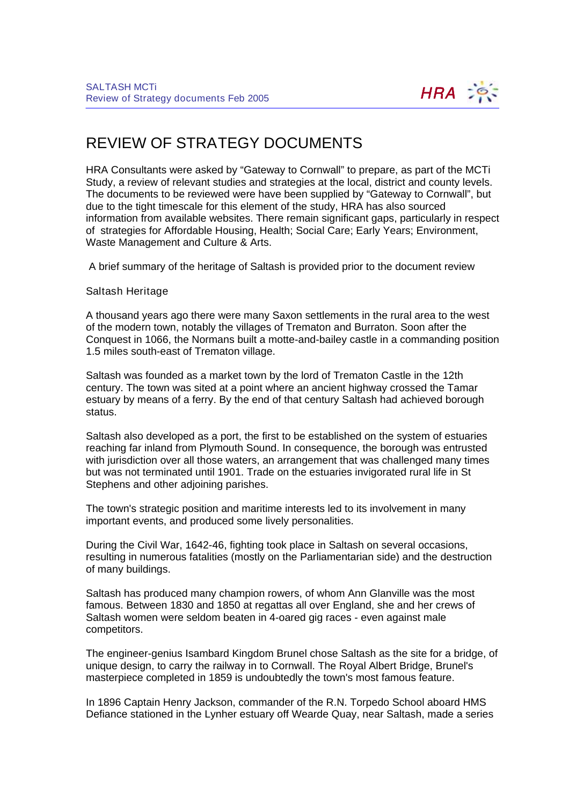

# REVIEW OF STRATEGY DOCUMENTS

HRA Consultants were asked by "Gateway to Cornwall" to prepare, as part of the MCTi Study, a review of relevant studies and strategies at the local, district and county levels. The documents to be reviewed were have been supplied by "Gateway to Cornwall", but due to the tight timescale for this element of the study, HRA has also sourced information from available websites. There remain significant gaps, particularly in respect of strategies for Affordable Housing, Health; Social Care; Early Years; Environment, Waste Management and Culture & Arts.

A brief summary of the heritage of Saltash is provided prior to the document review

Saltash Heritage

A thousand years ago there were many Saxon settlements in the rural area to the west of the modern town, notably the villages of Trematon and Burraton. Soon after the Conquest in 1066, the Normans built a motte-and-bailey castle in a commanding position 1.5 miles south-east of Trematon village.

Saltash was founded as a market town by the lord of Trematon Castle in the 12th century. The town was sited at a point where an ancient highway crossed the Tamar estuary by means of a ferry. By the end of that century Saltash had achieved borough status.

Saltash also developed as a port, the first to be established on the system of estuaries reaching far inland from Plymouth Sound. In consequence, the borough was entrusted with jurisdiction over all those waters, an arrangement that was challenged many times but was not terminated until 1901. Trade on the estuaries invigorated rural life in St Stephens and other adjoining parishes.

The town's strategic position and maritime interests led to its involvement in many important events, and produced some lively personalities.

During the Civil War, 1642-46, fighting took place in Saltash on several occasions, resulting in numerous fatalities (mostly on the Parliamentarian side) and the destruction of many buildings.

Saltash has produced many champion rowers, of whom Ann Glanville was the most famous. Between 1830 and 1850 at regattas all over England, she and her crews of Saltash women were seldom beaten in 4-oared gig races - even against male competitors.

The engineer-genius Isambard Kingdom Brunel chose Saltash as the site for a bridge, of unique design, to carry the railway in to Cornwall. The Royal Albert Bridge, Brunel's masterpiece completed in 1859 is undoubtedly the town's most famous feature.

In 1896 Captain Henry Jackson, commander of the R.N. Torpedo School aboard HMS Defiance stationed in the Lynher estuary off Wearde Quay, near Saltash, made a series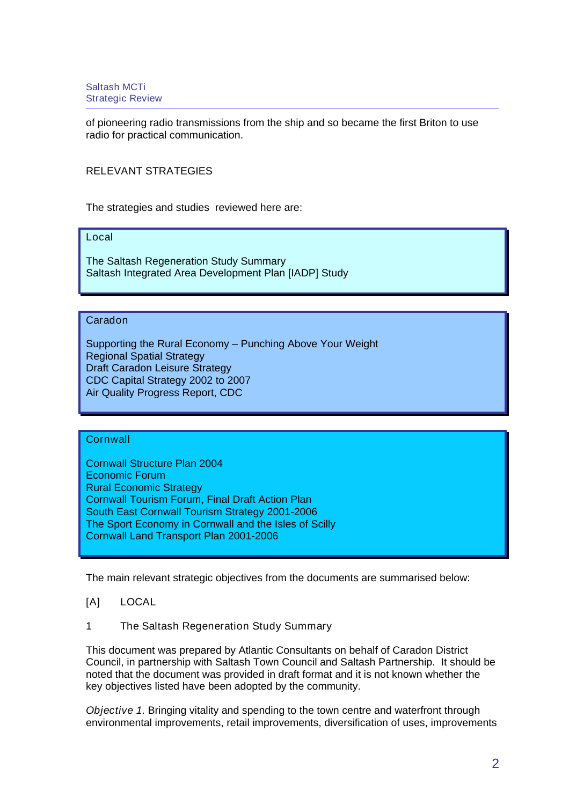of pioneering radio transmissions from the ship and so became the first Briton to use radio for practical communication.

### RELEVANT STRATEGIES

The strategies and studies reviewed here are:

### Local

The Saltash Regeneration Study Summary Saltash Integrated Area Development Plan [IADP] Study

#### Caradon

Supporting the Rural Economy – Punching Above Your Weight Regional Spatial Strategy Draft Caradon Leisure Strategy CDC Capital Strategy 2002 to 2007 Air Quality Progress Report, CDC

#### **Cornwall**

Cornwall Structure Plan 2004 Economic Forum Rural Economic Strategy Cornwall Tourism Forum, Final Draft Action Plan South East Cornwall Tourism Strategy 2001-2006 The Sport Economy in Cornwall and the Isles of Scilly Cornwall Land Transport Plan 2001-2006

The main relevant strategic objectives from the documents are summarised below:

### [A] LOCAL

1 The Saltash Regeneration Study Summary

This document was prepared by Atlantic Consultants on behalf of Caradon District Council, in partnership with Saltash Town Council and Saltash Partnership. It should be noted that the document was provided in draft format and it is not known whether the key objectives listed have been adopted by the community.

Objective 1. Bringing vitality and spending to the town centre and waterfront through environmental improvements, retail improvements, diversification of uses, improvements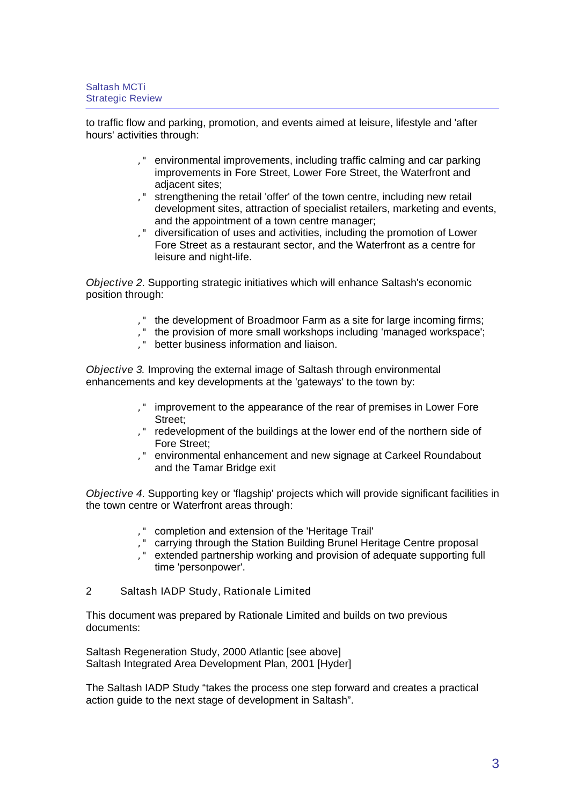to traffic flow and parking, promotion, and events aimed at leisure, lifestyle and 'after hours' activities through:

- '" environmental improvements, including traffic calming and car parking improvements in Fore Street, Lower Fore Street, the Waterfront and adjacent sites;
- '" strengthening the retail 'offer' of the town centre, including new retail development sites, attraction of specialist retailers, marketing and events, and the appointment of a town centre manager;
- '" diversification of uses and activities, including the promotion of Lower Fore Street as a restaurant sector, and the Waterfront as a centre for leisure and night-life.

Objective 2. Supporting strategic initiatives which will enhance Saltash's economic position through:

- '" the development of Broadmoor Farm as a site for large incoming firms;
- '" the provision of more small workshops including 'managed workspace';
- '" better business information and liaison.

Objective 3. Improving the external image of Saltash through environmental enhancements and key developments at the 'gateways' to the town by:

- '" improvement to the appearance of the rear of premises in Lower Fore Street;
- '" redevelopment of the buildings at the lower end of the northern side of Fore Street;
- '" environmental enhancement and new signage at Carkeel Roundabout and the Tamar Bridge exit

Objective 4. Supporting key or 'flagship' projects which will provide significant facilities in the town centre or Waterfront areas through:

- '" completion and extension of the 'Heritage Trail'
- '" carrying through the Station Building Brunel Heritage Centre proposal
- '" extended partnership working and provision of adequate supporting full time 'personpower'.
- 2 Saltash IADP Study, Rationale Limited

This document was prepared by Rationale Limited and builds on two previous documents:

Saltash Regeneration Study, 2000 Atlantic [see above] Saltash Integrated Area Development Plan, 2001 [Hyder]

The Saltash IADP Study "takes the process one step forward and creates a practical action guide to the next stage of development in Saltash".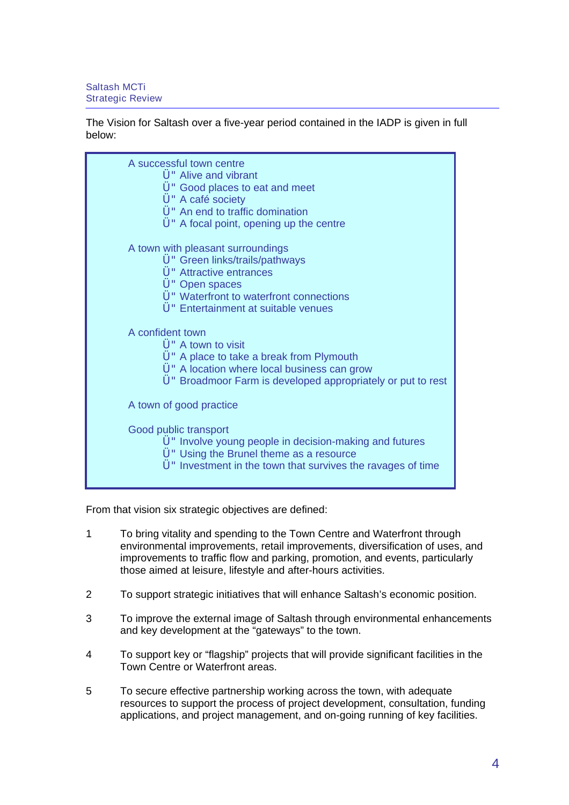#### The Vision for Saltash over a five-year period contained in the IADP is given in full below:

| A successful town centre<br>U " Alive and vibrant<br>U " Good places to eat and meet<br>Ü" A café society<br>Ü " An end to traffic domination<br>U A focal point, opening up the centre            |
|----------------------------------------------------------------------------------------------------------------------------------------------------------------------------------------------------|
| A town with pleasant surroundings<br>Ü" Green links/trails/pathways<br>Ü" Attractive entrances<br>Ü" Open spaces<br>Ü" Waterfront to waterfront connections<br>Ü" Entertainment at suitable venues |
| A confident town                                                                                                                                                                                   |
| Ü " A town to visit<br>U A place to take a break from Plymouth<br>Ü" A location where local business can grow<br>U " Broadmoor Farm is developed appropriately or put to rest                      |
| A town of good practice                                                                                                                                                                            |
| Good public transport<br>U "Involve young people in decision-making and futures<br>Ü" Using the Brunel theme as a resource<br>Ü" Investment in the town that survives the ravages of time          |

From that vision six strategic objectives are defined:

- 1 To bring vitality and spending to the Town Centre and Waterfront through environmental improvements, retail improvements, diversification of uses, and improvements to traffic flow and parking, promotion, and events, particularly those aimed at leisure, lifestyle and after-hours activities.
- 2 To support strategic initiatives that will enhance Saltash's economic position.
- 3 To improve the external image of Saltash through environmental enhancements and key development at the "gateways" to the town.
- 4 To support key or "flagship" projects that will provide significant facilities in the Town Centre or Waterfront areas.
- 5 To secure effective partnership working across the town, with adequate resources to support the process of project development, consultation, funding applications, and project management, and on-going running of key facilities.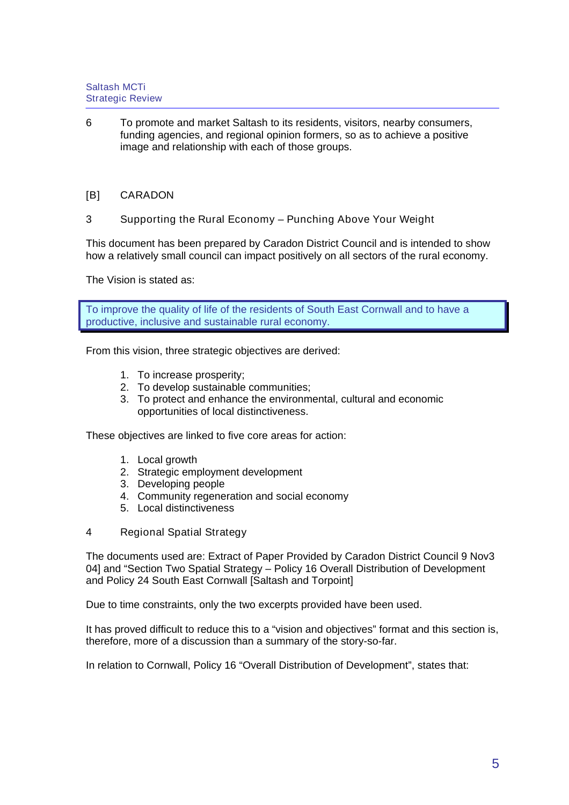- 6 To promote and market Saltash to its residents, visitors, nearby consumers, funding agencies, and regional opinion formers, so as to achieve a positive image and relationship with each of those groups.
- [B] CARADON
- 3 Supporting the Rural Economy Punching Above Your Weight

This document has been prepared by Caradon District Council and is intended to show how a relatively small council can impact positively on all sectors of the rural economy.

The Vision is stated as:

To improve the quality of life of the residents of South East Cornwall and to have a productive, inclusive and sustainable rural economy.

From this vision, three strategic objectives are derived:

- 1. To increase prosperity;
- 2. To develop sustainable communities;
- 3. To protect and enhance the environmental, cultural and economic opportunities of local distinctiveness.

These objectives are linked to five core areas for action:

- 1. Local growth
- 2. Strategic employment development
- 3. Developing people
- 4. Community regeneration and social economy
- 5. Local distinctiveness
- 4 Regional Spatial Strategy

The documents used are: Extract of Paper Provided by Caradon District Council 9 Nov3 04] and "Section Two Spatial Strategy – Policy 16 Overall Distribution of Development and Policy 24 South East Cornwall [Saltash and Torpoint]

Due to time constraints, only the two excerpts provided have been used.

It has proved difficult to reduce this to a "vision and objectives" format and this section is, therefore, more of a discussion than a summary of the story-so-far.

In relation to Cornwall, Policy 16 "Overall Distribution of Development", states that: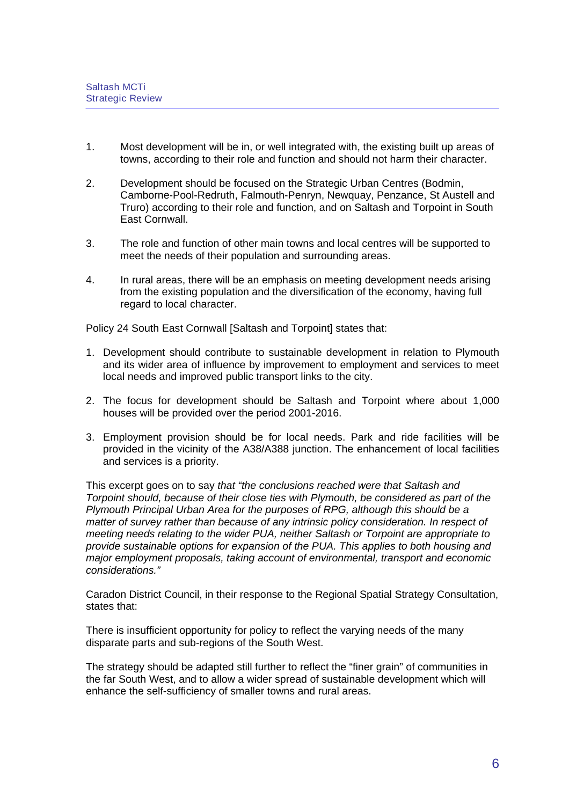- 1. Most development will be in, or well integrated with, the existing built up areas of towns, according to their role and function and should not harm their character.
- 2. Development should be focused on the Strategic Urban Centres (Bodmin, Camborne-Pool-Redruth, Falmouth-Penryn, Newquay, Penzance, St Austell and Truro) according to their role and function, and on Saltash and Torpoint in South East Cornwall.
- 3. The role and function of other main towns and local centres will be supported to meet the needs of their population and surrounding areas.
- 4. In rural areas, there will be an emphasis on meeting development needs arising from the existing population and the diversification of the economy, having full regard to local character.

Policy 24 South East Cornwall [Saltash and Torpoint] states that:

- 1. Development should contribute to sustainable development in relation to Plymouth and its wider area of influence by improvement to employment and services to meet local needs and improved public transport links to the city.
- 2. The focus for development should be Saltash and Torpoint where about 1,000 houses will be provided over the period 2001-2016.
- 3. Employment provision should be for local needs. Park and ride facilities will be provided in the vicinity of the A38/A388 junction. The enhancement of local facilities and services is a priority.

This excerpt goes on to say that "the conclusions reached were that Saltash and Torpoint should, because of their close ties with Plymouth, be considered as part of the Plymouth Principal Urban Area for the purposes of RPG, although this should be a matter of survey rather than because of any intrinsic policy consideration. In respect of meeting needs relating to the wider PUA, neither Saltash or Torpoint are appropriate to provide sustainable options for expansion of the PUA. This applies to both housing and major employment proposals, taking account of environmental, transport and economic considerations."

Caradon District Council, in their response to the Regional Spatial Strategy Consultation, states that:

There is insufficient opportunity for policy to reflect the varying needs of the many disparate parts and sub-regions of the South West.

The strategy should be adapted still further to reflect the "finer grain" of communities in the far South West, and to allow a wider spread of sustainable development which will enhance the self-sufficiency of smaller towns and rural areas.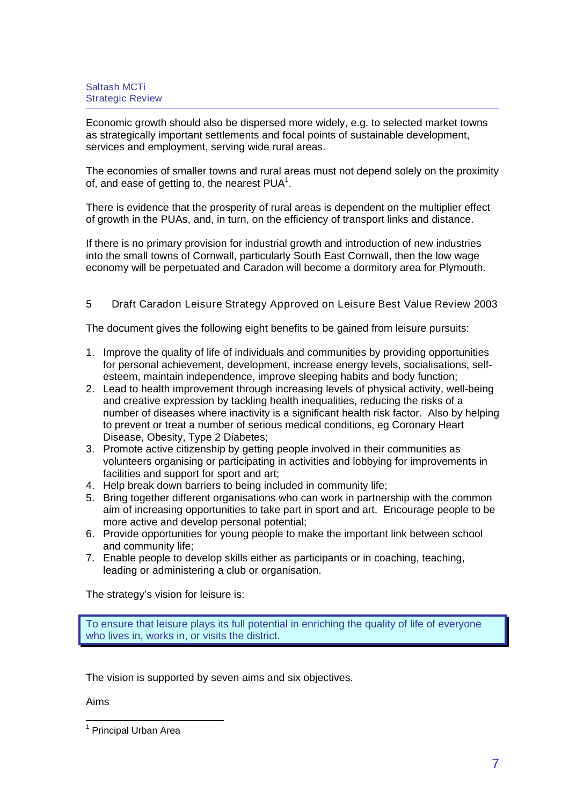Economic growth should also be dispersed more widely, e.g. to selected market towns as strategically important settlements and focal points of sustainable development, services and employment, serving wide rural areas.

The economies of smaller towns and rural areas must not depend solely on the proximity of, and ease of getting to, the nearest  $PUA<sup>1</sup>$  $PUA<sup>1</sup>$  $PUA<sup>1</sup>$ .

There is evidence that the prosperity of rural areas is dependent on the multiplier effect of growth in the PUAs, and, in turn, on the efficiency of transport links and distance.

If there is no primary provision for industrial growth and introduction of new industries into the small towns of Cornwall, particularly South East Cornwall, then the low wage economy will be perpetuated and Caradon will become a dormitory area for Plymouth.

### 5 Draft Caradon Leisure Strategy Approved on Leisure Best Value Review 2003

The document gives the following eight benefits to be gained from leisure pursuits:

- 1. Improve the quality of life of individuals and communities by providing opportunities for personal achievement, development, increase energy levels, socialisations, selfesteem, maintain independence, improve sleeping habits and body function;
- 2. Lead to health improvement through increasing levels of physical activity, well-being and creative expression by tackling health inequalities, reducing the risks of a number of diseases where inactivity is a significant health risk factor. Also by helping to prevent or treat a number of serious medical conditions, eg Coronary Heart Disease, Obesity, Type 2 Diabetes;
- 3. Promote active citizenship by getting people involved in their communities as volunteers organising or participating in activities and lobbying for improvements in facilities and support for sport and art;
- 4. Help break down barriers to being included in community life;
- 5. Bring together different organisations who can work in partnership with the common aim of increasing opportunities to take part in sport and art. Encourage people to be more active and develop personal potential;
- 6. Provide opportunities for young people to make the important link between school and community life;
- 7. Enable people to develop skills either as participants or in coaching, teaching, leading or administering a club or organisation.

The strategy's vision for leisure is:

To ensure that leisure plays its full potential in enriching the quality of life of everyone who lives in, works in, or visits the district.

The vision is supported by seven aims and six objectives.

Aims

<span id="page-44-0"></span> <sup>1</sup> Principal Urban Area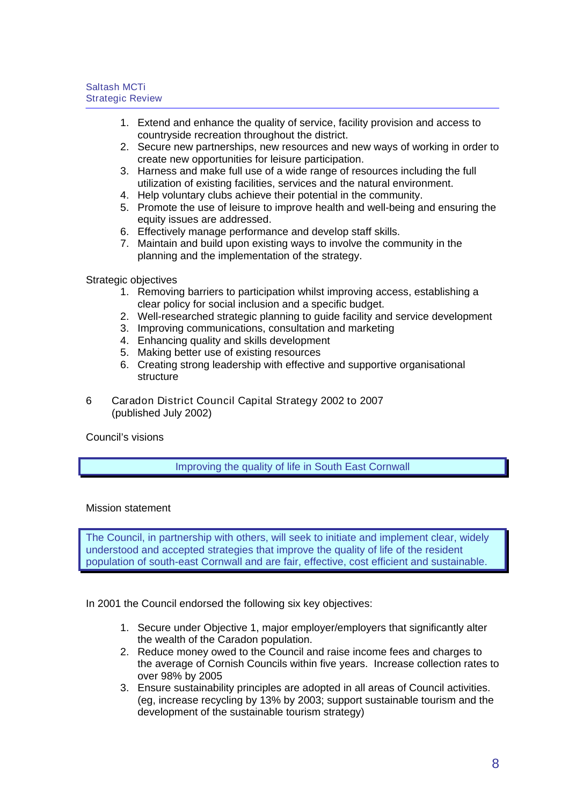- 1. Extend and enhance the quality of service, facility provision and access to countryside recreation throughout the district.
- 2. Secure new partnerships, new resources and new ways of working in order to create new opportunities for leisure participation.
- 3. Harness and make full use of a wide range of resources including the full utilization of existing facilities, services and the natural environment.
- 4. Help voluntary clubs achieve their potential in the community.
- 5. Promote the use of leisure to improve health and well-being and ensuring the equity issues are addressed.
- 6. Effectively manage performance and develop staff skills.
- 7. Maintain and build upon existing ways to involve the community in the planning and the implementation of the strategy.

Strategic objectives

- 1. Removing barriers to participation whilst improving access, establishing a clear policy for social inclusion and a specific budget.
- 2. Well-researched strategic planning to guide facility and service development
- 3. Improving communications, consultation and marketing
- 4. Enhancing quality and skills development
- 5. Making better use of existing resources
- 6. Creating strong leadership with effective and supportive organisational structure
- 6 Caradon District Council Capital Strategy 2002 to 2007 (published July 2002)

Council's visions

# Improving the quality of life in South East Cornwall

### Mission statement

The Council, in partnership with others, will seek to initiate and implement clear, widely understood and accepted strategies that improve the quality of life of the resident population of south-east Cornwall and are fair, effective, cost efficient and sustainable.

In 2001 the Council endorsed the following six key objectives:

- 1. Secure under Objective 1, major employer/employers that significantly alter the wealth of the Caradon population.
- 2. Reduce money owed to the Council and raise income fees and charges to the average of Cornish Councils within five years. Increase collection rates to over 98% by 2005
- 3. Ensure sustainability principles are adopted in all areas of Council activities. (eg, increase recycling by 13% by 2003; support sustainable tourism and the development of the sustainable tourism strategy)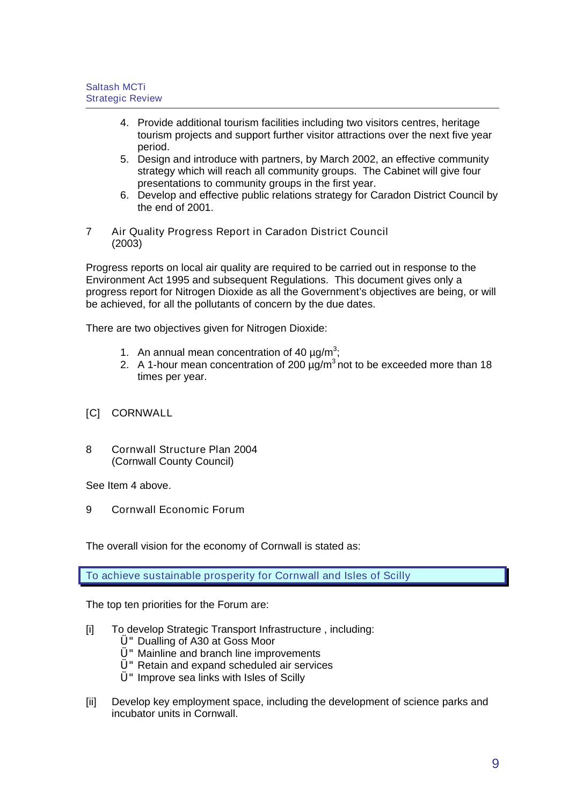- 4. Provide additional tourism facilities including two visitors centres, heritage tourism projects and support further visitor attractions over the next five year period.
- 5. Design and introduce with partners, by March 2002, an effective community strategy which will reach all community groups. The Cabinet will give four presentations to community groups in the first year.
- 6. Develop and effective public relations strategy for Caradon District Council by the end of 2001.
- 7 Air Quality Progress Report in Caradon District Council (2003)

Progress reports on local air quality are required to be carried out in response to the Environment Act 1995 and subsequent Regulations. This document gives only a progress report for Nitrogen Dioxide as all the Government's objectives are being, or will be achieved, for all the pollutants of concern by the due dates.

There are two objectives given for Nitrogen Dioxide:

- 1. An annual mean concentration of 40  $\mu$ g/m<sup>3</sup>;
- 2. A 1-hour mean concentration of 200  $\mu q/m^3$  not to be exceeded more than 18 times per year.
- [C] CORNWALL
- 8 Cornwall Structure Plan 2004 (Cornwall County Council)

See Item 4 above.

9 Cornwall Economic Forum

The overall vision for the economy of Cornwall is stated as:

To achieve sustainable prosperity for Cornwall and Isles of Scilly

The top ten priorities for the Forum are:

- [i] To develop Strategic Transport Infrastructure, including:
	- U " Dualling of A30 at Goss Moor
	- Ü"Mainline and branch line improvements
	- Ü"Retain and expand scheduled air services
	- $U$ " Improve sea links with Isles of Scilly
- [ii] Develop key employment space, including the development of science parks and incubator units in Cornwall.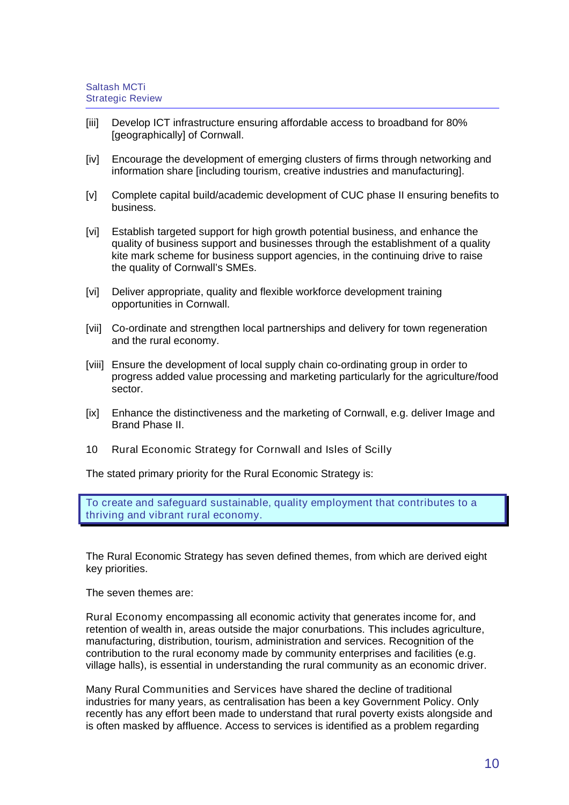- [iii] Develop ICT infrastructure ensuring affordable access to broadband for 80% [geographically] of Cornwall.
- [iv] Encourage the development of emerging clusters of firms through networking and information share [including tourism, creative industries and manufacturing].
- [v] Complete capital build/academic development of CUC phase II ensuring benefits to business.
- [vi] Establish targeted support for high growth potential business, and enhance the quality of business support and businesses through the establishment of a quality kite mark scheme for business support agencies, in the continuing drive to raise the quality of Cornwall's SMEs.
- [vi] Deliver appropriate, quality and flexible workforce development training opportunities in Cornwall.
- [vii] Co-ordinate and strengthen local partnerships and delivery for town regeneration and the rural economy.
- [viii] Ensure the development of local supply chain co-ordinating group in order to progress added value processing and marketing particularly for the agriculture/food sector.
- [ix] Enhance the distinctiveness and the marketing of Cornwall, e.g. deliver Image and Brand Phase II.
- 10 Rural Economic Strategy for Cornwall and Isles of Scilly

The stated primary priority for the Rural Economic Strategy is:

To create and safeguard sustainable, quality employment that contributes to a thriving and vibrant rural economy.

The Rural Economic Strategy has seven defined themes, from which are derived eight key priorities.

The seven themes are:

Rural Economy encompassing all economic activity that generates income for, and retention of wealth in, areas outside the major conurbations. This includes agriculture, manufacturing, distribution, tourism, administration and services. Recognition of the contribution to the rural economy made by community enterprises and facilities (e.g. village halls), is essential in understanding the rural community as an economic driver.

Many Rural Communities and Services have shared the decline of traditional industries for many years, as centralisation has been a key Government Policy. Only recently has any effort been made to understand that rural poverty exists alongside and is often masked by affluence. Access to services is identified as a problem regarding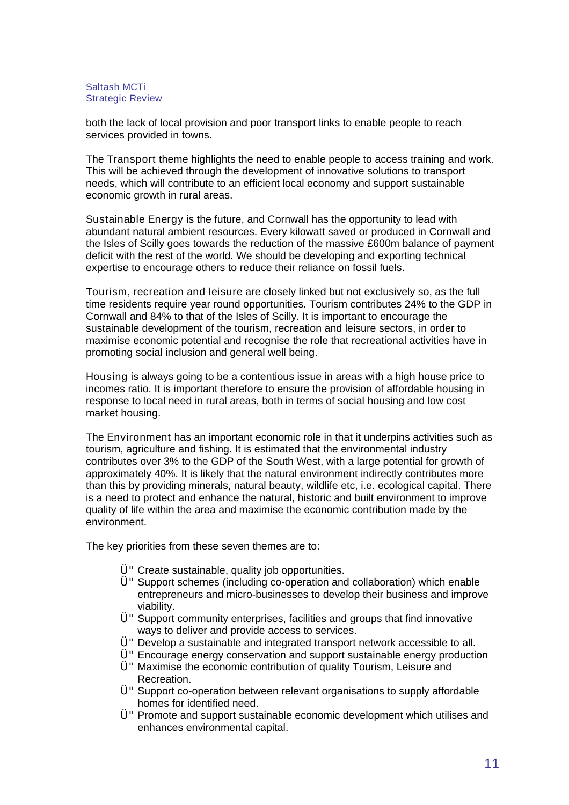both the lack of local provision and poor transport links to enable people to reach services provided in towns.

The Transport theme highlights the need to enable people to access training and work. This will be achieved through the development of innovative solutions to transport needs, which will contribute to an efficient local economy and support sustainable economic growth in rural areas.

Sustainable Energy is the future, and Cornwall has the opportunity to lead with abundant natural ambient resources. Every kilowatt saved or produced in Cornwall and the Isles of Scilly goes towards the reduction of the massive £600m balance of payment deficit with the rest of the world. We should be developing and exporting technical expertise to encourage others to reduce their reliance on fossil fuels.

Tourism, recreation and leisure are closely linked but not exclusively so, as the full time residents require year round opportunities. Tourism contributes 24% to the GDP in Cornwall and 84% to that of the Isles of Scilly. It is important to encourage the sustainable development of the tourism, recreation and leisure sectors, in order to maximise economic potential and recognise the role that recreational activities have in promoting social inclusion and general well being.

Housing is always going to be a contentious issue in areas with a high house price to incomes ratio. It is important therefore to ensure the provision of affordable housing in response to local need in rural areas, both in terms of social housing and low cost market housing.

The Environment has an important economic role in that it underpins activities such as tourism, agriculture and fishing. It is estimated that the environmental industry contributes over 3% to the GDP of the South West, with a large potential for growth of approximately 40%. It is likely that the natural environment indirectly contributes more than this by providing minerals, natural beauty, wildlife etc, i.e. ecological capital. There is a need to protect and enhance the natural, historic and built environment to improve quality of life within the area and maximise the economic contribution made by the environment.

The key priorities from these seven themes are to:

- Ü"Create sustainable, quality job opportunities.
- Ü"Support schemes (including co-operation and collaboration) which enable entrepreneurs and micro-businesses to develop their business and improve viability.
- Ü"Support community enterprises, facilities and groups that find innovative ways to deliver and provide access to services.
- Ü"Develop a sustainable and integrated transport network accessible to all.
- Ü"Encourage energy conservation and support sustainable energy production
- Ü"Maximise the economic contribution of quality Tourism, Leisure and Recreation.
- Ü"Support co-operation between relevant organisations to supply affordable homes for identified need.
- Ü"Promote and support sustainable economic development which utilises and enhances environmental capital.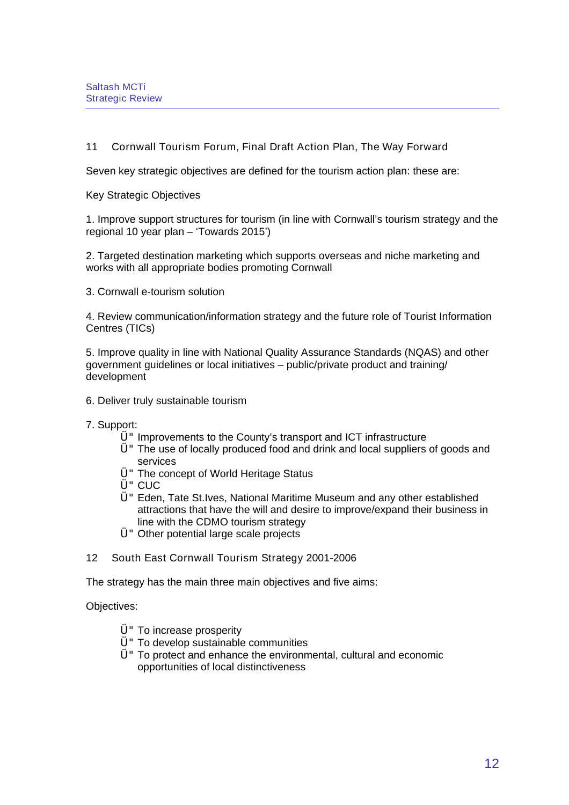# 11 Cornwall Tourism Forum, Final Draft Action Plan, The Way Forward

Seven key strategic objectives are defined for the tourism action plan: these are:

Key Strategic Objectives

1. Improve support structures for tourism (in line with Cornwall's tourism strategy and the regional 10 year plan – 'Towards 2015')

2. Targeted destination marketing which supports overseas and niche marketing and works with all appropriate bodies promoting Cornwall

3. Cornwall e-tourism solution

4. Review communication/information strategy and the future role of Tourist Information Centres (TICs)

5. Improve quality in line with National Quality Assurance Standards (NQAS) and other government guidelines or local initiatives – public/private product and training/ development

- 6. Deliver truly sustainable tourism
- 7. Support:
	- $Ü$ " Improvements to the County's transport and ICT infrastructure
	- Ü"The use of locally produced food and drink and local suppliers of goods and services
	- Ü"The concept of World Heritage Status
	- **Ü**" CUC
	- Ü"Eden, Tate St.Ives, National Maritime Museum and any other established attractions that have the will and desire to improve/expand their business in line with the CDMO tourism strategy
	- Ü"Other potential large scale projects
- 12 South East Cornwall Tourism Strategy 2001-2006

The strategy has the main three main objectives and five aims:

Objectives:

- Ü"To increase prosperity
- Ü"To develop sustainable communities
- $U$ " To protect and enhance the environmental, cultural and economic opportunities of local distinctiveness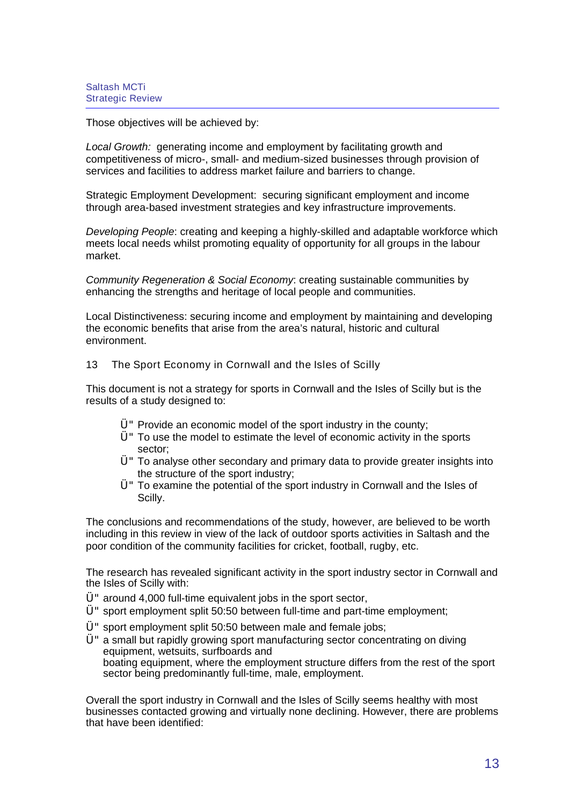Those objectives will be achieved by:

Local Growth: generating income and employment by facilitating growth and competitiveness of micro-, small- and medium-sized businesses through provision of services and facilities to address market failure and barriers to change.

Strategic Employment Development: securing significant employment and income through area-based investment strategies and key infrastructure improvements.

Developing People: creating and keeping a highly-skilled and adaptable workforce which meets local needs whilst promoting equality of opportunity for all groups in the labour market.

Community Regeneration & Social Economy: creating sustainable communities by enhancing the strengths and heritage of local people and communities.

Local Distinctiveness: securing income and employment by maintaining and developing the economic benefits that arise from the area's natural, historic and cultural environment.

13 The Sport Economy in Cornwall and the Isles of Scilly

This document is not a strategy for sports in Cornwall and the Isles of Scilly but is the results of a study designed to:

- $\ddot{\text{U}}$ " Provide an economic model of the sport industry in the county;
- $U$ " To use the model to estimate the level of economic activity in the sports sector;
- Ü"To analyse other secondary and primary data to provide greater insights into the structure of the sport industry;
- Ü"To examine the potential of the sport industry in Cornwall and the Isles of Scilly.

The conclusions and recommendations of the study, however, are believed to be worth including in this review in view of the lack of outdoor sports activities in Saltash and the poor condition of the community facilities for cricket, football, rugby, etc.

The research has revealed significant activity in the sport industry sector in Cornwall and the Isles of Scilly with:

- Ü"around 4,000 full-time equivalent jobs in the sport sector,
- Ü"sport employment split 50:50 between full-time and part-time employment;
- $Ü$ " sport employment split 50:50 between male and female jobs;
- Ü"a small but rapidly growing sport manufacturing sector concentrating on diving equipment, wetsuits, surfboards and boating equipment, where the employment structure differs from the rest of the sport sector being predominantly full-time, male, employment.

Overall the sport industry in Cornwall and the Isles of Scilly seems healthy with most businesses contacted growing and virtually none declining. However, there are problems that have been identified: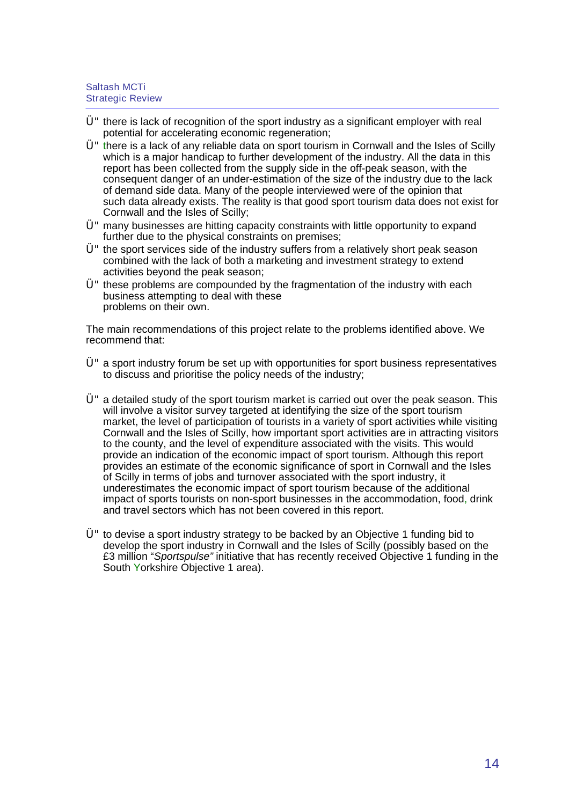- $U$ " there is lack of recognition of the sport industry as a significant employer with real potential for accelerating economic regeneration;
- $U$ " there is a lack of any reliable data on sport tourism in Cornwall and the Isles of Scilly which is a major handicap to further development of the industry. All the data in this report has been collected from the supply side in the off-peak season, with the consequent danger of an under-estimation of the size of the industry due to the lack of demand side data. Many of the people interviewed were of the opinion that such data already exists. The reality is that good sport tourism data does not exist for Cornwall and the Isles of Scilly;
- $U<sup>+</sup>$  many businesses are hitting capacity constraints with little opportunity to expand further due to the physical constraints on premises;
- $U^*$  the sport services side of the industry suffers from a relatively short peak season combined with the lack of both a marketing and investment strategy to extend activities beyond the peak season;
- $U$ " these problems are compounded by the fragmentation of the industry with each business attempting to deal with these problems on their own.

The main recommendations of this project relate to the problems identified above. We recommend that:

- Ü"a sport industry forum be set up with opportunities for sport business representatives to discuss and prioritise the policy needs of the industry;
- Ü"a detailed study of the sport tourism market is carried out over the peak season. This will involve a visitor survey targeted at identifying the size of the sport tourism market, the level of participation of tourists in a variety of sport activities while visiting Cornwall and the Isles of Scilly, how important sport activities are in attracting visitors to the county, and the level of expenditure associated with the visits. This would provide an indication of the economic impact of sport tourism. Although this report provides an estimate of the economic significance of sport in Cornwall and the Isles of Scilly in terms of jobs and turnover associated with the sport industry, it underestimates the economic impact of sport tourism because of the additional impact of sports tourists on non-sport businesses in the accommodation, food, drink and travel sectors which has not been covered in this report.
- $U^{\prime}$  to devise a sport industry strategy to be backed by an Objective 1 funding bid to develop the sport industry in Cornwall and the Isles of Scilly (possibly based on the £3 million "Sportspulse" initiative that has recently received Objective 1 funding in the South Yorkshire Objective 1 area).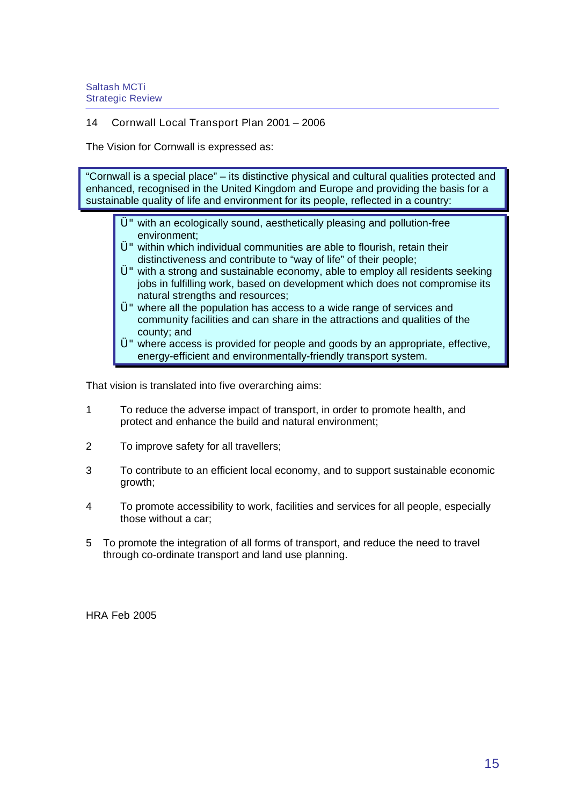### 14 Cornwall Local Transport Plan 2001 – 2006

The Vision for Cornwall is expressed as:

"Cornwall is a special place" – its distinctive physical and cultural qualities protected and enhanced, recognised in the United Kingdom and Europe and providing the basis for a sustainable quality of life and environment for its people, reflected in a country:

- Ü"with an ecologically sound, aesthetically pleasing and pollution-free environment;
- Ü"within which individual communities are able to flourish, retain their distinctiveness and contribute to "way of life" of their people;
- Ü"with a strong and sustainable economy, able to employ all residents seeking jobs in fulfilling work, based on development which does not compromise its natural strengths and resources;
- Ü"where all the population has access to a wide range of services and community facilities and can share in the attractions and qualities of the county; and
- Ü"where access is provided for people and goods by an appropriate, effective, energy-efficient and environmentally-friendly transport system.

That vision is translated into five overarching aims:

- 1 To reduce the adverse impact of transport, in order to promote health, and protect and enhance the build and natural environment;
- 2 To improve safety for all travellers;
- 3 To contribute to an efficient local economy, and to support sustainable economic growth;
- 4 To promote accessibility to work, facilities and services for all people, especially those without a car;
- 5 To promote the integration of all forms of transport, and reduce the need to travel through co-ordinate transport and land use planning.

HRA Feb 2005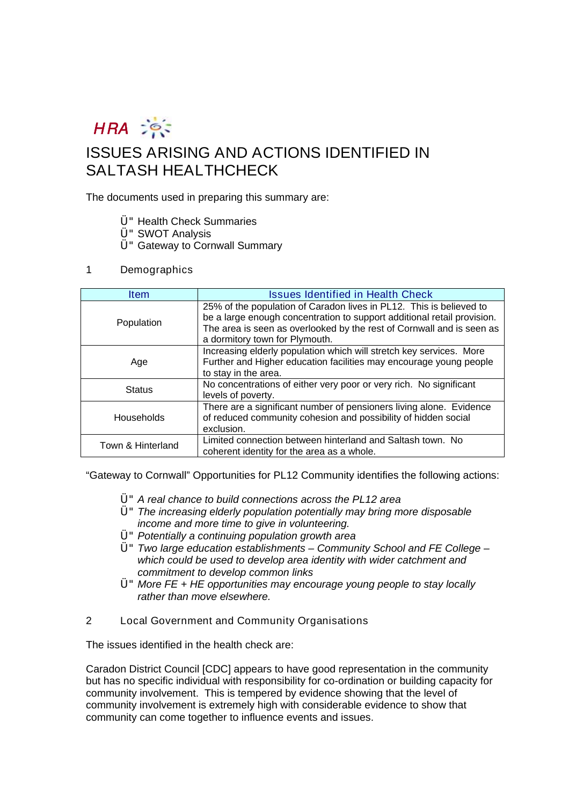

# ISSUES ARISING AND ACTIONS IDENTIFIED IN SALTASH HEALTHCHECK

The documents used in preparing this summary are:

- Ü"Health Check Summaries
- Ü"SWOT Analysis
- Ü"Gateway to Cornwall Summary

#### 1 Demographics

| <b>Item</b>       | <b>Issues Identified in Health Check</b>                                                                                                                                                                                                                  |  |
|-------------------|-----------------------------------------------------------------------------------------------------------------------------------------------------------------------------------------------------------------------------------------------------------|--|
| Population        | 25% of the population of Caradon lives in PL12. This is believed to<br>be a large enough concentration to support additional retail provision.<br>The area is seen as overlooked by the rest of Cornwall and is seen as<br>a dormitory town for Plymouth. |  |
| Age               | Increasing elderly population which will stretch key services. More<br>Further and Higher education facilities may encourage young people<br>to stay in the area.                                                                                         |  |
| <b>Status</b>     | No concentrations of either very poor or very rich. No significant<br>levels of poverty.                                                                                                                                                                  |  |
| Households        | There are a significant number of pensioners living alone. Evidence<br>of reduced community cohesion and possibility of hidden social<br>exclusion.                                                                                                       |  |
| Town & Hinterland | Limited connection between hinterland and Saltash town. No<br>coherent identity for the area as a whole.                                                                                                                                                  |  |

"Gateway to Cornwall" Opportunities for PL12 Community identifies the following actions:

- Ü"A real chance to build connections across the PL12 area
- Ü"The increasing elderly population potentially may bring more disposable income and more time to give in volunteering.
- Ü"Potentially a continuing population growth area
- $U^*$  Two large education establishments Community School and FE College which could be used to develop area identity with wider catchment and commitment to develop common links
- Ü"More FE + HE opportunities may encourage young people to stay locally rather than move elsewhere.
- 2 Local Government and Community Organisations

The issues identified in the health check are:

Caradon District Council [CDC] appears to have good representation in the community but has no specific individual with responsibility for co-ordination or building capacity for community involvement. This is tempered by evidence showing that the level of community involvement is extremely high with considerable evidence to show that community can come together to influence events and issues.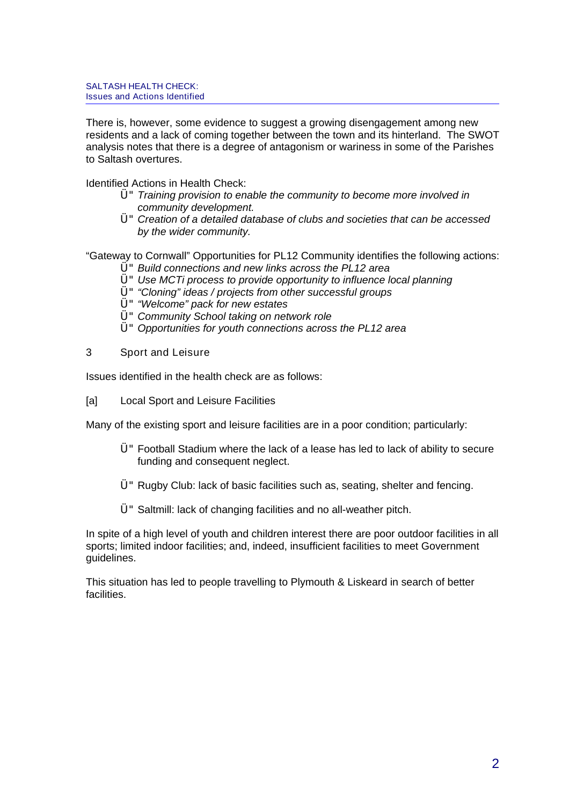There is, however, some evidence to suggest a growing disengagement among new residents and a lack of coming together between the town and its hinterland. The SWOT analysis notes that there is a degree of antagonism or wariness in some of the Parishes to Saltash overtures.

Identified Actions in Health Check:

- $U$ " Training provision to enable the community to become more involved in community development.
- Ü"Creation of a detailed database of clubs and societies that can be accessed by the wider community.

"Gateway to Cornwall" Opportunities for PL12 Community identifies the following actions:

- Ü"Build connections and new links across the PL12 area
- Ü"Use MCTi process to provide opportunity to influence local planning
- Ü""Cloning" ideas / projects from other successful groups
- Ü""Welcome" pack for new estates
- Ü"Community School taking on network role
- $Ü$ " Opportunities for youth connections across the PL12 area
- 3 Sport and Leisure

Issues identified in the health check are as follows:

[a] Local Sport and Leisure Facilities

Many of the existing sport and leisure facilities are in a poor condition; particularly:

- Ü"Football Stadium where the lack of a lease has led to lack of ability to secure funding and consequent neglect.
- Ü"Rugby Club: lack of basic facilities such as, seating, shelter and fencing.
- Ü"Saltmill: lack of changing facilities and no all-weather pitch.

In spite of a high level of youth and children interest there are poor outdoor facilities in all sports; limited indoor facilities; and, indeed, insufficient facilities to meet Government guidelines.

This situation has led to people travelling to Plymouth & Liskeard in search of better facilities.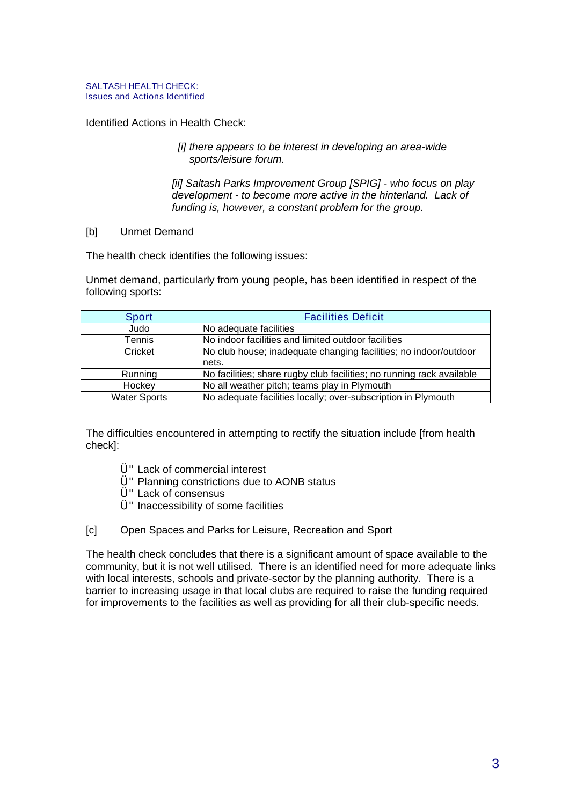Identified Actions in Health Check:

 [i] there appears to be interest in developing an area-wide sports/leisure forum.

[ii] Saltash Parks Improvement Group [SPIG] - who focus on play development - to become more active in the hinterland. Lack of funding is, however, a constant problem for the group.

#### [b] Unmet Demand

The health check identifies the following issues:

Unmet demand, particularly from young people, has been identified in respect of the following sports:

| <b>Sport</b>        | <b>Facilities Deficit</b>                                             |  |
|---------------------|-----------------------------------------------------------------------|--|
| Judo                | No adequate facilities                                                |  |
| Tennis              | No indoor facilities and limited outdoor facilities                   |  |
| Cricket             | No club house; inadequate changing facilities; no indoor/outdoor      |  |
|                     | nets.                                                                 |  |
| Running             | No facilities; share rugby club facilities; no running rack available |  |
| Hockey              | No all weather pitch; teams play in Plymouth                          |  |
| <b>Water Sports</b> | No adequate facilities locally; over-subscription in Plymouth         |  |

The difficulties encountered in attempting to rectify the situation include [from health check]:

- Ü"Lack of commercial interest
- Ü"Planning constrictions due to AONB status
- Ü"Lack of consensus
- $U$ " Inaccessibility of some facilities
- [c] Open Spaces and Parks for Leisure, Recreation and Sport

The health check concludes that there is a significant amount of space available to the community, but it is not well utilised. There is an identified need for more adequate links with local interests, schools and private-sector by the planning authority. There is a barrier to increasing usage in that local clubs are required to raise the funding required for improvements to the facilities as well as providing for all their club-specific needs.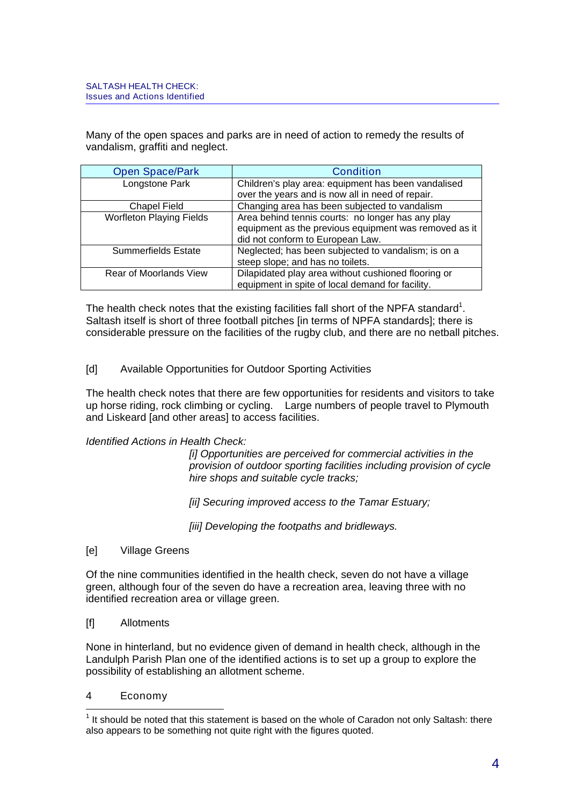Many of the open spaces and parks are in need of action to remedy the results of vandalism, graffiti and neglect.

| Open Space/Park                 | <b>Condition</b>                                      |  |
|---------------------------------|-------------------------------------------------------|--|
| Longstone Park                  | Children's play area: equipment has been vandalised   |  |
|                                 | over the years and is now all in need of repair.      |  |
| <b>Chapel Field</b>             | Changing area has been subjected to vandalism         |  |
| <b>Worfleton Playing Fields</b> | Area behind tennis courts: no longer has any play     |  |
|                                 | equipment as the previous equipment was removed as it |  |
|                                 | did not conform to European Law.                      |  |
| <b>Summerfields Estate</b>      | Neglected; has been subjected to vandalism; is on a   |  |
|                                 | steep slope; and has no toilets.                      |  |
| Rear of Moorlands View          | Dilapidated play area without cushioned flooring or   |  |
|                                 | equipment in spite of local demand for facility.      |  |

The health check notes that the existing facilities fall short of the NPFA standard<sup>[1](#page-56-0)</sup>. Saltash itself is short of three football pitches [in terms of NPFA standards]; there is considerable pressure on the facilities of the rugby club, and there are no netball pitches.

[d] Available Opportunities for Outdoor Sporting Activities

The health check notes that there are few opportunities for residents and visitors to take up horse riding, rock climbing or cycling. Large numbers of people travel to Plymouth and Liskeard [and other areas] to access facilities.

### Identified Actions in Health Check:

 [i] Opportunities are perceived for commercial activities in the provision of outdoor sporting facilities including provision of cycle hire shops and suitable cycle tracks;

[ii] Securing improved access to the Tamar Estuary;

[iii] Developing the footpaths and bridleways.

[e] Village Greens

Of the nine communities identified in the health check, seven do not have a village green, although four of the seven do have a recreation area, leaving three with no identified recreation area or village green.

[f] Allotments

None in hinterland, but no evidence given of demand in health check, although in the Landulph Parish Plan one of the identified actions is to set up a group to explore the possibility of establishing an allotment scheme.

4 Economy

<span id="page-56-0"></span>  $<sup>1</sup>$  It should be noted that this statement is based on the whole of Caradon not only Saltash: there</sup> also appears to be something not quite right with the figures quoted.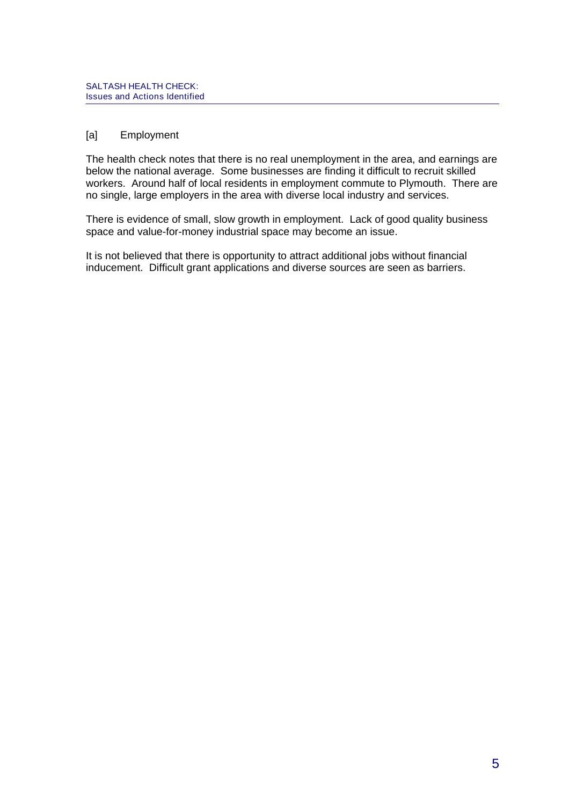# [a] Employment

The health check notes that there is no real unemployment in the area, and earnings are below the national average. Some businesses are finding it difficult to recruit skilled workers. Around half of local residents in employment commute to Plymouth. There are no single, large employers in the area with diverse local industry and services.

There is evidence of small, slow growth in employment. Lack of good quality business space and value-for-money industrial space may become an issue.

It is not believed that there is opportunity to attract additional jobs without financial inducement. Difficult grant applications and diverse sources are seen as barriers.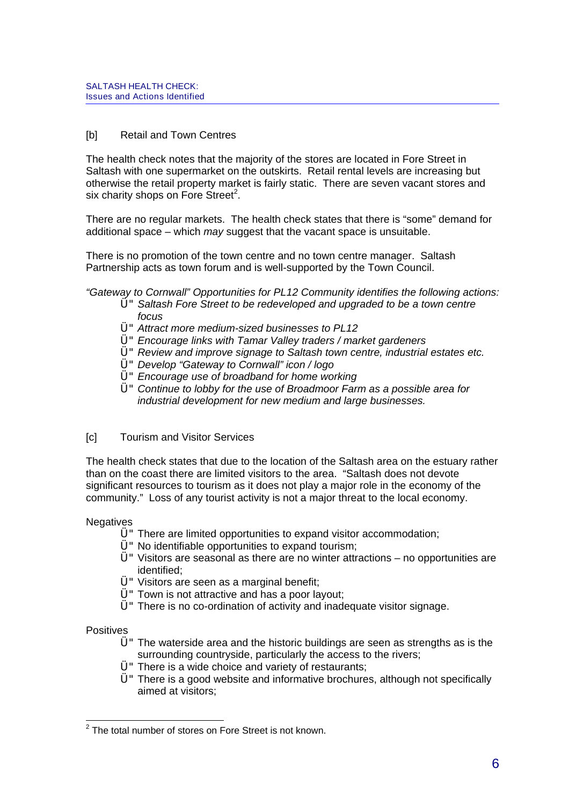### [b] Retail and Town Centres

The health check notes that the majority of the stores are located in Fore Street in Saltash with one supermarket on the outskirts. Retail rental levels are increasing but otherwise the retail property market is fairly static. There are seven vacant stores and six charity shops on Fore Street<sup>[2](#page-58-0)</sup>.

There are no regular markets. The health check states that there is "some" demand for additional space – which may suggest that the vacant space is unsuitable.

There is no promotion of the town centre and no town centre manager. Saltash Partnership acts as town forum and is well-supported by the Town Council.

"Gateway to Cornwall" Opportunities for PL12 Community identifies the following actions:

- Ü"Saltash Fore Street to be redeveloped and upgraded to be a town centre focus
- Ü"Attract more medium-sized businesses to PL12
- Ü"Encourage links with Tamar Valley traders / market gardeners
- Ü"Review and improve signage to Saltash town centre, industrial estates etc.
- Ü"Develop "Gateway to Cornwall" icon / logo
- $U$ " Encourage use of broadband for home working
- Ü"Continue to lobby for the use of Broadmoor Farm as a possible area for industrial development for new medium and large businesses.

### [c] Tourism and Visitor Services

The health check states that due to the location of the Saltash area on the estuary rather than on the coast there are limited visitors to the area. "Saltash does not devote significant resources to tourism as it does not play a major role in the economy of the community." Loss of any tourist activity is not a major threat to the local economy.

**Negatives** 

- Ü"There are limited opportunities to expand visitor accommodation;
- $Ü''$  No identifiable opportunities to expand tourism;
- $U^{\prime\prime}$  Visitors are seasonal as there are no winter attractions no opportunities are identified;
- Ü"Visitors are seen as a marginal benefit;
- $U$ " Town is not attractive and has a poor layout;
- $U$ " There is no co-ordination of activity and inadequate visitor signage.

**Positives** 

- $U$ " The waterside area and the historic buildings are seen as strengths as is the surrounding countryside, particularly the access to the rivers;
- $U$ " There is a wide choice and variety of restaurants;
- Ü"There is a good website and informative brochures, although not specifically aimed at visitors;

<span id="page-58-0"></span>  $2$  The total number of stores on Fore Street is not known.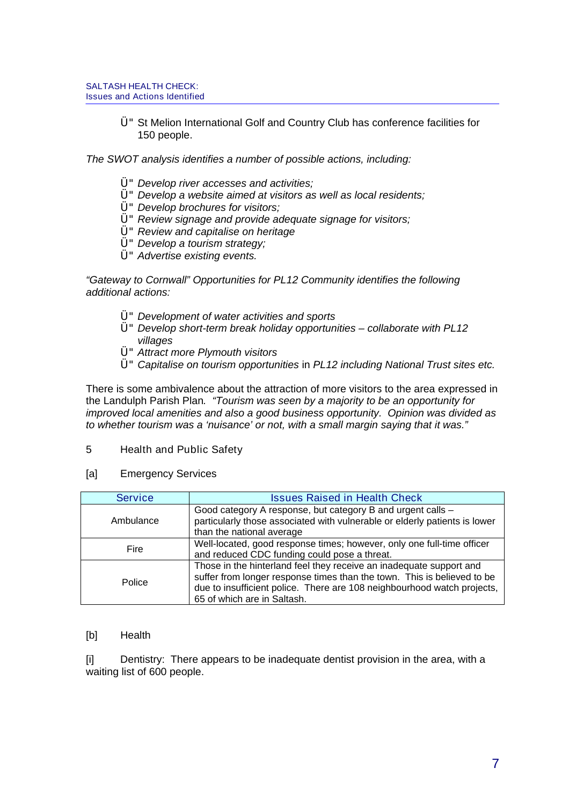Ü"St Melion International Golf and Country Club has conference facilities for 150 people.

The SWOT analysis identifies a number of possible actions, including:

- Ü"Develop river accesses and activities;
- Ü"Develop a website aimed at visitors as well as local residents;
- $Ü$ " Develop brochures for visitors;
- Ü"Review signage and provide adequate signage for visitors;
- Ü"Review and capitalise on heritage
- Ü"Develop a tourism strategy;
- Ü"Advertise existing events.

"Gateway to Cornwall" Opportunities for PL12 Community identifies the following additional actions:

- Ü"Development of water activities and sports
- $Ü$ " Develop short-term break holiday opportunities collaborate with PL12 villages
- Ü"Attract more Plymouth visitors
- Ü"Capitalise on tourism opportunities in PL12 including National Trust sites etc.

There is some ambivalence about the attraction of more visitors to the area expressed in the Landulph Parish Plan. "Tourism was seen by a majority to be an opportunity for improved local amenities and also a good business opportunity. Opinion was divided as to whether tourism was a 'nuisance' or not, with a small margin saying that it was."

5 Health and Public Safety

#### [a] Emergency Services

| <b>Service</b> | <b>Issues Raised in Health Check</b>                                                                                                                                                                                                                     |  |
|----------------|----------------------------------------------------------------------------------------------------------------------------------------------------------------------------------------------------------------------------------------------------------|--|
| Ambulance      | Good category A response, but category B and urgent calls -<br>particularly those associated with vulnerable or elderly patients is lower<br>than the national average                                                                                   |  |
| Fire           | Well-located, good response times; however, only one full-time officer<br>and reduced CDC funding could pose a threat.                                                                                                                                   |  |
| Police         | Those in the hinterland feel they receive an inadequate support and<br>suffer from longer response times than the town. This is believed to be<br>due to insufficient police. There are 108 neighbourhood watch projects,<br>65 of which are in Saltash. |  |

### [b] Health

[i] Dentistry: There appears to be inadequate dentist provision in the area, with a waiting list of 600 people.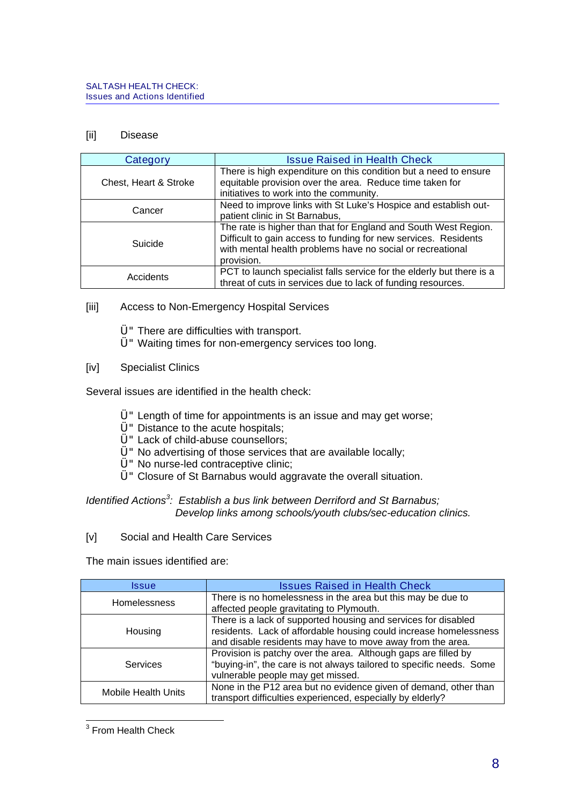### [ii] Disease

| Category              | <b>Issue Raised in Health Check</b>                                                                                                                                                                            |  |
|-----------------------|----------------------------------------------------------------------------------------------------------------------------------------------------------------------------------------------------------------|--|
| Chest, Heart & Stroke | There is high expenditure on this condition but a need to ensure<br>equitable provision over the area. Reduce time taken for<br>initiatives to work into the community.                                        |  |
| Cancer                | Need to improve links with St Luke's Hospice and establish out-<br>patient clinic in St Barnabus,                                                                                                              |  |
| Suicide               | The rate is higher than that for England and South West Region.<br>Difficult to gain access to funding for new services. Residents<br>with mental health problems have no social or recreational<br>provision. |  |
| Accidents             | PCT to launch specialist falls service for the elderly but there is a<br>threat of cuts in services due to lack of funding resources.                                                                          |  |

[iii] Access to Non-Emergency Hospital Services

Ü"There are difficulties with transport.

- Ü"Waiting times for non-emergency services too long.
- [iv] Specialist Clinics

Several issues are identified in the health check:

- Ü"Length of time for appointments is an issue and may get worse;
- U" Distance to the acute hospitals;
- Ü"Lack of child-abuse counsellors;
- Ü"No advertising of those services that are available locally;
- Ü"No nurse-led contraceptive clinic;
- Ü"Closure of St Barnabus would aggravate the overall situation.

Identified Actions<sup>[3](#page-60-0)</sup>: Establish a bus link between Derriford and St Barnabus; Develop links among schools/youth clubs/sec-education clinics.

[v] Social and Health Care Services

The main issues identified are:

| Issue               | <b>Issues Raised in Health Check</b>                                                                                                                                                              |  |
|---------------------|---------------------------------------------------------------------------------------------------------------------------------------------------------------------------------------------------|--|
| <b>Homelessness</b> | There is no homelessness in the area but this may be due to<br>affected people gravitating to Plymouth.                                                                                           |  |
| Housing             | There is a lack of supported housing and services for disabled<br>residents. Lack of affordable housing could increase homelessness<br>and disable residents may have to move away from the area. |  |
| Services            | Provision is patchy over the area. Although gaps are filled by<br>"buying-in", the care is not always tailored to specific needs. Some<br>vulnerable people may get missed.                       |  |
| Mobile Health Units | None in the P12 area but no evidence given of demand, other than<br>transport difficulties experienced, especially by elderly?                                                                    |  |

<span id="page-60-0"></span><sup>&</sup>lt;u>From Health Check</u><br>The From Health Check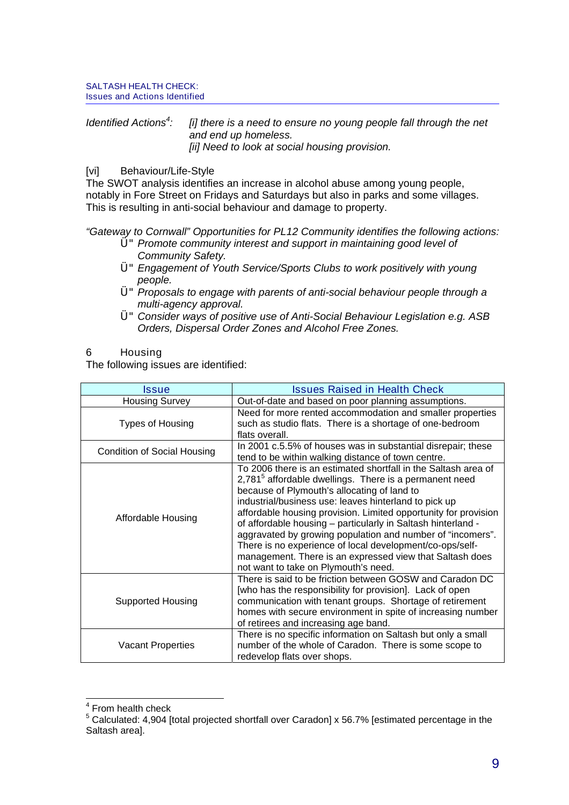#### Identified Actions<sup>[4](#page-61-0)</sup>: [i] there is a need to ensure no young people fall through the net and end up homeless. [ii] Need to look at social housing provision.

# [vi] Behaviour/Life-Style

The SWOT analysis identifies an increase in alcohol abuse among young people, notably in Fore Street on Fridays and Saturdays but also in parks and some villages. This is resulting in anti-social behaviour and damage to property.

"Gateway to Cornwall" Opportunities for PL12 Community identifies the following actions:

- Ü"Promote community interest and support in maintaining good level of Community Safety.
- Ü"Engagement of Youth Service/Sports Clubs to work positively with young people.
- Ü"Proposals to engage with parents of anti-social behaviour people through a multi-agency approval.
- Ü"Consider ways of positive use of Anti-Social Behaviour Legislation e.g. ASB Orders, Dispersal Order Zones and Alcohol Free Zones.

### 6 Housing

The following issues are identified:

| Issue                                                                                                                                                                             | <b>Issues Raised in Health Check</b>                                                                                                                                                                                                                                                                                                                                                                                                                                                                                                                                                                          |  |
|-----------------------------------------------------------------------------------------------------------------------------------------------------------------------------------|---------------------------------------------------------------------------------------------------------------------------------------------------------------------------------------------------------------------------------------------------------------------------------------------------------------------------------------------------------------------------------------------------------------------------------------------------------------------------------------------------------------------------------------------------------------------------------------------------------------|--|
| <b>Housing Survey</b>                                                                                                                                                             | Out-of-date and based on poor planning assumptions.                                                                                                                                                                                                                                                                                                                                                                                                                                                                                                                                                           |  |
| Types of Housing                                                                                                                                                                  | Need for more rented accommodation and smaller properties<br>such as studio flats. There is a shortage of one-bedroom<br>flats overall.                                                                                                                                                                                                                                                                                                                                                                                                                                                                       |  |
| <b>Condition of Social Housing</b>                                                                                                                                                | In 2001 c.5.5% of houses was in substantial disrepair; these<br>tend to be within walking distance of town centre.                                                                                                                                                                                                                                                                                                                                                                                                                                                                                            |  |
| Affordable Housing                                                                                                                                                                | To 2006 there is an estimated shortfall in the Saltash area of<br>2,781 <sup>5</sup> affordable dwellings. There is a permanent need<br>because of Plymouth's allocating of land to<br>industrial/business use: leaves hinterland to pick up<br>affordable housing provision. Limited opportunity for provision<br>of affordable housing - particularly in Saltash hinterland -<br>aggravated by growing population and number of "incomers".<br>There is no experience of local development/co-ops/self-<br>management. There is an expressed view that Saltash does<br>not want to take on Plymouth's need. |  |
| <b>Supported Housing</b>                                                                                                                                                          | There is said to be friction between GOSW and Caradon DC<br>[who has the responsibility for provision]. Lack of open<br>communication with tenant groups. Shortage of retirement<br>homes with secure environment in spite of increasing number<br>of retirees and increasing age band.                                                                                                                                                                                                                                                                                                                       |  |
| There is no specific information on Saltash but only a small<br>number of the whole of Caradon. There is some scope to<br><b>Vacant Properties</b><br>redevelop flats over shops. |                                                                                                                                                                                                                                                                                                                                                                                                                                                                                                                                                                                                               |  |

<span id="page-61-0"></span> 4 From health check

<span id="page-61-1"></span> $5$  Calculated: 4,904 [total projected shortfall over Caradon] x 56.7% [estimated percentage in the Saltash area].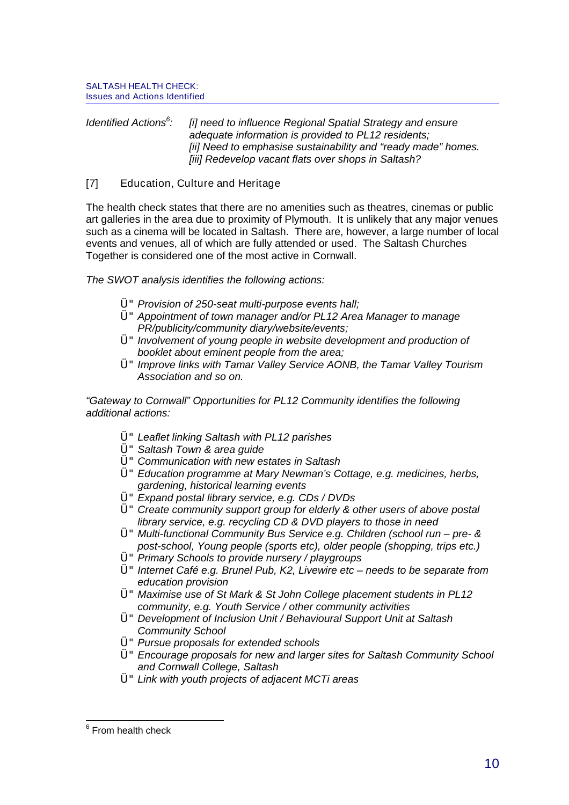#### Identified Actions<sup>[6](#page-62-0)</sup>: [i] need to influence Regional Spatial Strategy and ensure adequate information is provided to PL12 residents; [ii] Need to emphasise sustainability and "ready made" homes. [iii] Redevelop vacant flats over shops in Saltash?

# [7] Education, Culture and Heritage

The health check states that there are no amenities such as theatres, cinemas or public art galleries in the area due to proximity of Plymouth. It is unlikely that any major venues such as a cinema will be located in Saltash. There are, however, a large number of local events and venues, all of which are fully attended or used. The Saltash Churches Together is considered one of the most active in Cornwall.

The SWOT analysis identifies the following actions:

- $U^{\prime\prime}$  Provision of 250-seat multi-purpose events hall;
- Ü"Appointment of town manager and/or PL12 Area Manager to manage PR/publicity/community diary/website/events;
- $U$ " Involvement of young people in website development and production of booklet about eminent people from the area;
- U" Improve links with Tamar Valley Service AONB, the Tamar Valley Tourism Association and so on.

"Gateway to Cornwall" Opportunities for PL12 Community identifies the following additional actions:

- Ü"Leaflet linking Saltash with PL12 parishes
- Ü"Saltash Town & area guide
- Ü"Communication with new estates in Saltash
- Ü"Education programme at Mary Newman's Cottage, e.g. medicines, herbs, gardening, historical learning events
- Ü"Expand postal library service, e.g. CDs / DVDs
- Ü"Create community support group for elderly & other users of above postal library service, e.g. recycling CD & DVD players to those in need
- Ü"Multi-functional Community Bus Service e.g. Children (school run pre- & post-school, Young people (sports etc), older people (shopping, trips etc.)
- U" Primary Schools to provide nursery / playgroups
- U" Internet Café e.g. Brunel Pub, K2, Livewire etc needs to be separate from education provision
- Ü"Maximise use of St Mark & St John College placement students in PL12 community, e.g. Youth Service / other community activities
- Ü"Development of Inclusion Unit / Behavioural Support Unit at Saltash Community School
- $Ü''$  Pursue proposals for extended schools
- Ü"Encourage proposals for new and larger sites for Saltash Community School and Cornwall College, Saltash
- Ü"Link with youth projects of adjacent MCTi areas

<span id="page-62-0"></span>**Example 2**<br><sup>6</sup> From health check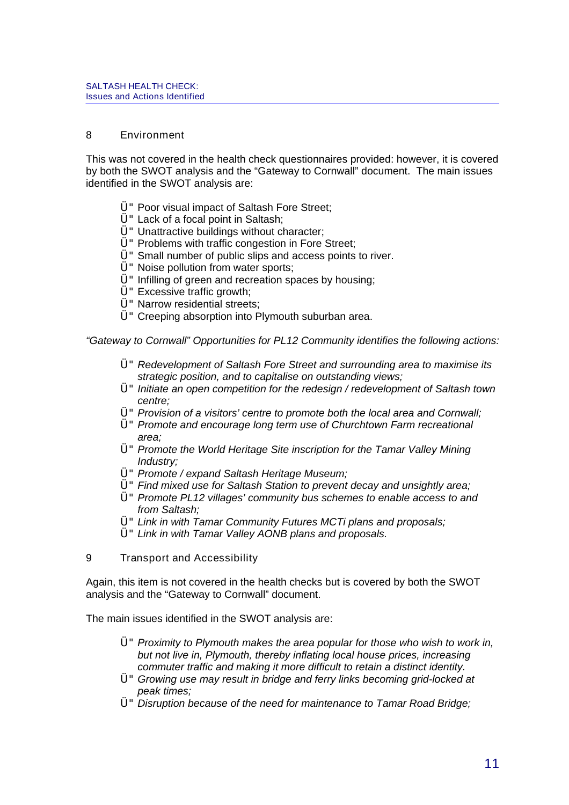### 8 Environment

This was not covered in the health check questionnaires provided: however, it is covered by both the SWOT analysis and the "Gateway to Cornwall" document. The main issues identified in the SWOT analysis are:

- Ü"Poor visual impact of Saltash Fore Street;
- Ü"Lack of a focal point in Saltash;
- Ü" Unattractive buildings without character;
- Ü"Problems with traffic congestion in Fore Street;
- Ü"Small number of public slips and access points to river.
- Ü"Noise pollution from water sports;
- $U$ " Infilling of green and recreation spaces by housing:
- Ü"Excessive traffic growth;
- Ü"Narrow residential streets;
- Ü"Creeping absorption into Plymouth suburban area.

"Gateway to Cornwall" Opportunities for PL12 Community identifies the following actions:

- Ü"Redevelopment of Saltash Fore Street and surrounding area to maximise its strategic position, and to capitalise on outstanding views;
- $U^*$  Initiate an open competition for the redesign / redevelopment of Saltash town centre;
- Ü"Provision of a visitors' centre to promote both the local area and Cornwall;
- Ü"Promote and encourage long term use of Churchtown Farm recreational area;
- U" Promote the World Heritage Site inscription for the Tamar Valley Mining Industry;
- Ü" Promote / expand Saltash Heritage Museum;
- Ü"Find mixed use for Saltash Station to prevent decay and unsightly area;
- Ü"Promote PL12 villages' community bus schemes to enable access to and from Saltash:
- Ü"Link in with Tamar Community Futures MCTi plans and proposals;
- Ü"Link in with Tamar Valley AONB plans and proposals.
- 9 Transport and Accessibility

Again, this item is not covered in the health checks but is covered by both the SWOT analysis and the "Gateway to Cornwall" document.

The main issues identified in the SWOT analysis are:

- $U^{\prime\prime}$  Proximity to Plymouth makes the area popular for those who wish to work in, but not live in, Plymouth, thereby inflating local house prices, increasing commuter traffic and making it more difficult to retain a distinct identity.
- Ü"Growing use may result in bridge and ferry links becoming grid-locked at peak times;
- Ü"Disruption because of the need for maintenance to Tamar Road Bridge;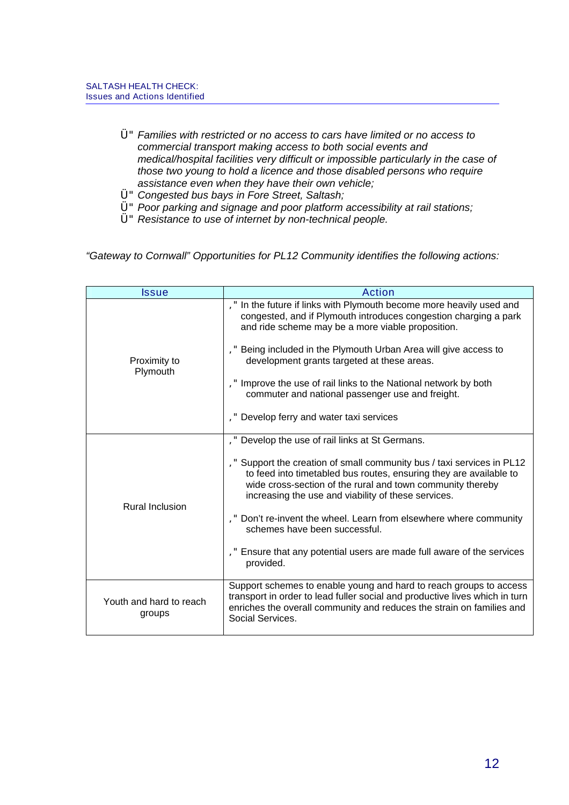- Ü"Families with restricted or no access to cars have limited or no access to commercial transport making access to both social events and medical/hospital facilities very difficult or impossible particularly in the case of those two young to hold a licence and those disabled persons who require assistance even when they have their own vehicle;
- Ü"Congested bus bays in Fore Street, Saltash;
- Ü"Poor parking and signage and poor platform accessibility at rail stations;
- Ü"Resistance to use of internet by non-technical people.

"Gateway to Cornwall" Opportunities for PL12 Community identifies the following actions:

| Issue                             | Action                                                                                                                                                                                                                                                                                                                                                                                                                                                                                                    |  |
|-----------------------------------|-----------------------------------------------------------------------------------------------------------------------------------------------------------------------------------------------------------------------------------------------------------------------------------------------------------------------------------------------------------------------------------------------------------------------------------------------------------------------------------------------------------|--|
| Proximity to<br>Plymouth          | ," In the future if links with Plymouth become more heavily used and<br>congested, and if Plymouth introduces congestion charging a park<br>and ride scheme may be a more viable proposition.<br>Being included in the Plymouth Urban Area will give access to<br>development grants targeted at these areas.<br>," Improve the use of rail links to the National network by both<br>commuter and national passenger use and freight.<br>," Develop ferry and water taxi services                         |  |
| <b>Rural Inclusion</b>            | ," Develop the use of rail links at St Germans.<br>Support the creation of small community bus / taxi services in PL12<br>to feed into timetabled bus routes, ensuring they are available to<br>wide cross-section of the rural and town community thereby<br>increasing the use and viability of these services.<br>Don't re-invent the wheel. Learn from elsewhere where community<br>schemes have been successful.<br>Ensure that any potential users are made full aware of the services<br>provided. |  |
| Youth and hard to reach<br>groups | Support schemes to enable young and hard to reach groups to access<br>transport in order to lead fuller social and productive lives which in turn<br>enriches the overall community and reduces the strain on families and<br>Social Services.                                                                                                                                                                                                                                                            |  |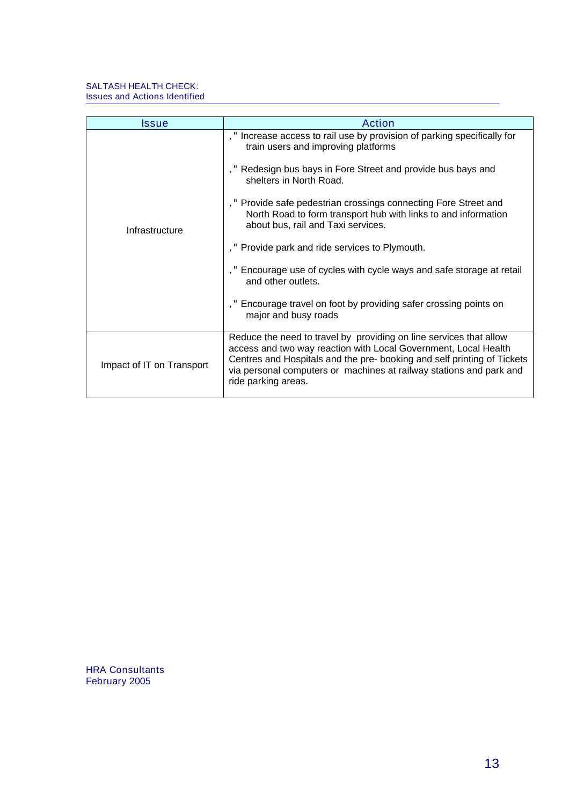| Issue                     | <b>Action</b>                                                                                                                                                                                                                                                                                                                                                                                                                                                                                                                                                                                                                    |
|---------------------------|----------------------------------------------------------------------------------------------------------------------------------------------------------------------------------------------------------------------------------------------------------------------------------------------------------------------------------------------------------------------------------------------------------------------------------------------------------------------------------------------------------------------------------------------------------------------------------------------------------------------------------|
| Infrastructure            | ," Increase access to rail use by provision of parking specifically for<br>train users and improving platforms<br>Redesign bus bays in Fore Street and provide bus bays and<br>shelters in North Road.<br>," Provide safe pedestrian crossings connecting Fore Street and<br>North Road to form transport hub with links to and information<br>about bus, rail and Taxi services.<br>, " Provide park and ride services to Plymouth.<br>," Encourage use of cycles with cycle ways and safe storage at retail<br>and other outlets.<br>," Encourage travel on foot by providing safer crossing points on<br>major and busy roads |
| Impact of IT on Transport | Reduce the need to travel by providing on line services that allow<br>access and two way reaction with Local Government, Local Health<br>Centres and Hospitals and the pre- booking and self printing of Tickets<br>via personal computers or machines at railway stations and park and<br>ride parking areas.                                                                                                                                                                                                                                                                                                                   |

HRA Consultants February 2005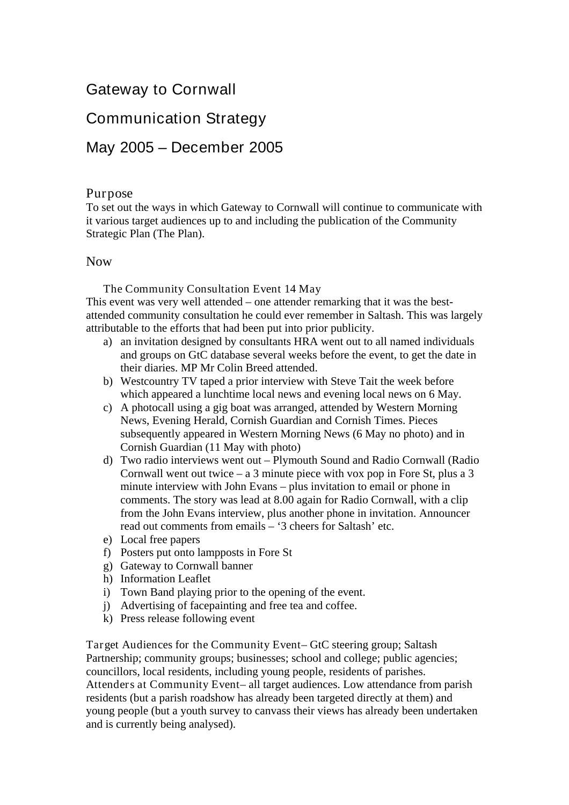# Gateway to Cornwall

# Communication Strategy

# May 2005 – December 2005

# Purpose

To set out the ways in which Gateway to Cornwall will continue to communicate with it various target audiences up to and including the publication of the Community Strategic Plan (The Plan).

# Now

The Community Consultation Event 14 May

This event was very well attended – one attender remarking that it was the bestattended community consultation he could ever remember in Saltash. This was largely attributable to the efforts that had been put into prior publicity.

- a) an invitation designed by consultants HRA went out to all named individuals and groups on GtC database several weeks before the event, to get the date in their diaries. MP Mr Colin Breed attended.
- b) Westcountry TV taped a prior interview with Steve Tait the week before which appeared a lunchtime local news and evening local news on 6 May.
- c) A photocall using a gig boat was arranged, attended by Western Morning News, Evening Herald, Cornish Guardian and Cornish Times. Pieces subsequently appeared in Western Morning News (6 May no photo) and in Cornish Guardian (11 May with photo)
- d) Two radio interviews went out Plymouth Sound and Radio Cornwall (Radio Cornwall went out twice – a 3 minute piece with vox pop in Fore St, plus a 3 minute interview with John Evans – plus invitation to email or phone in comments. The story was lead at 8.00 again for Radio Cornwall, with a clip from the John Evans interview, plus another phone in invitation. Announcer read out comments from emails – '3 cheers for Saltash' etc.
- e) Local free papers
- f) Posters put onto lampposts in Fore St
- g) Gateway to Cornwall banner
- h) Information Leaflet
- i) Town Band playing prior to the opening of the event.
- j) Advertising of facepainting and free tea and coffee.
- k) Press release following event

Target Audiences for the Community Event– GtC steering group; Saltash Partnership; community groups; businesses; school and college; public agencies; councillors, local residents, including young people, residents of parishes. Attenders at Community Event– all target audiences. Low attendance from parish residents (but a parish roadshow has already been targeted directly at them) and young people (but a youth survey to canvass their views has already been undertaken and is currently being analysed).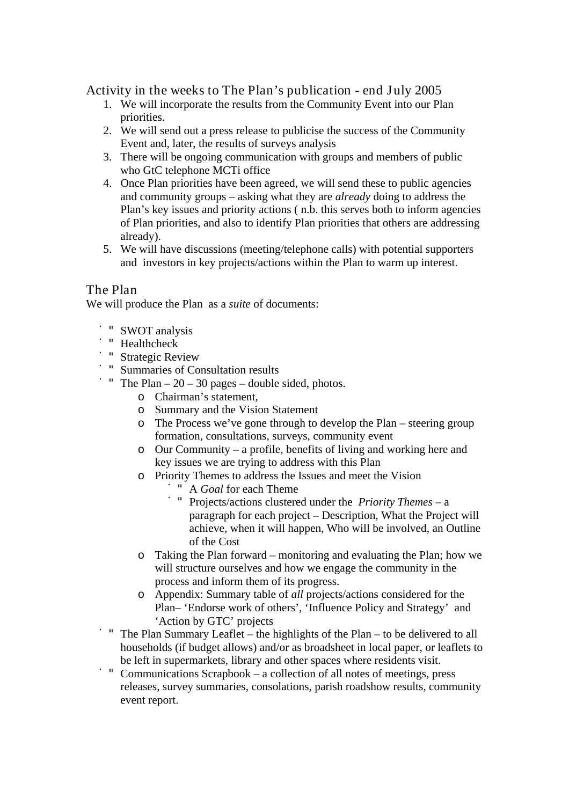Activity in the weeks to The Plan's publication - end July 2005

- 1. We will incorporate the results from the Community Event into our Plan priorities.
- 2. We will send out a press release to publicise the success of the Community Event and, later, the results of surveys analysis
- 3. There will be ongoing communication with groups and members of public who GtC telephone MCTi office
- 4. Once Plan priorities have been agreed, we will send these to public agencies and community groups – asking what they are *already* doing to address the Plan's key issues and priority actions ( n.b. this serves both to inform agencies of Plan priorities, and also to identify Plan priorities that others are addressing already).
- 5. We will have discussions (meeting/telephone calls) with potential supporters and investors in key projects/actions within the Plan to warm up interest.

# The Plan

We will produce the Plan as a *suite* of documents:

- ̇"SWOT analysis
- ̇"Healthcheck
- ̇"Strategic Review
- ̇"Summaries of Consultation results
- " The Plan  $-20 30$  pages double sided, photos.
	- o Chairman's statement,
	- o Summary and the Vision Statement
	- o The Process we've gone through to develop the Plan steering group formation, consultations, surveys, community event
	- o Our Community a profile, benefits of living and working here and key issues we are trying to address with this Plan
	- o Priority Themes to address the Issues and meet the Vision
		- ̇"A *Goal* for each Theme
		- ̇"Projects/actions clustered under the *Priority Themes* a paragraph for each project – Description, What the Project will achieve, when it will happen, Who will be involved, an Outline of the Cost
	- o Taking the Plan forward monitoring and evaluating the Plan; how we will structure ourselves and how we engage the community in the process and inform them of its progress.
	- o Appendix: Summary table of *all* projects/actions considered for the Plan– 'Endorse work of others', 'Influence Policy and Strategy' and 'Action by GTC' projects
- The Plan Summary Leaflet the highlights of the Plan to be delivered to all households (if budget allows) and/or as broadsheet in local paper, or leaflets to be left in supermarkets, library and other spaces where residents visit.
- Communications Scrapbook a collection of all notes of meetings, press releases, survey summaries, consolations, parish roadshow results, community event report.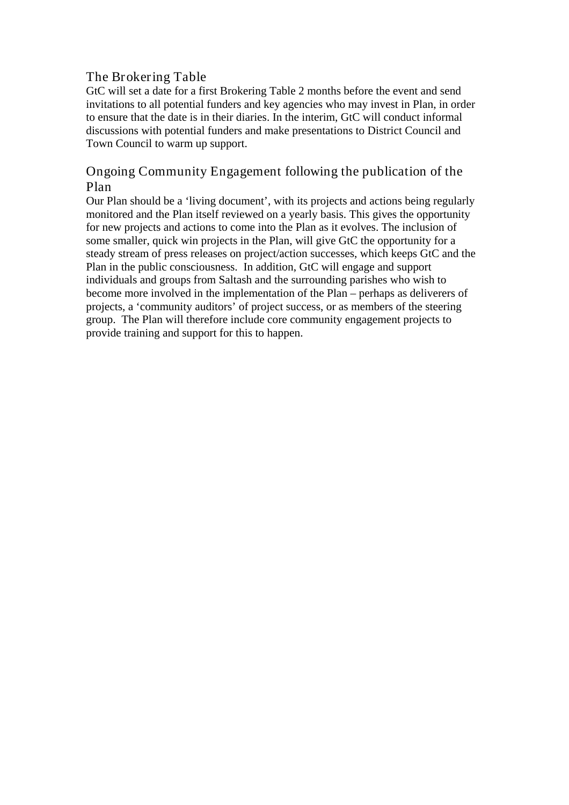# The Brokering Table

GtC will set a date for a first Brokering Table 2 months before the event and send invitations to all potential funders and key agencies who may invest in Plan, in order to ensure that the date is in their diaries. In the interim, GtC will conduct informal discussions with potential funders and make presentations to District Council and Town Council to warm up support.

# Ongoing Community Engagement following the publication of the Plan

Our Plan should be a 'living document', with its projects and actions being regularly monitored and the Plan itself reviewed on a yearly basis. This gives the opportunity for new projects and actions to come into the Plan as it evolves. The inclusion of some smaller, quick win projects in the Plan, will give GtC the opportunity for a steady stream of press releases on project/action successes, which keeps GtC and the Plan in the public consciousness. In addition, GtC will engage and support individuals and groups from Saltash and the surrounding parishes who wish to become more involved in the implementation of the Plan – perhaps as deliverers of projects, a 'community auditors' of project success, or as members of the steering group. The Plan will therefore include core community engagement projects to provide training and support for this to happen.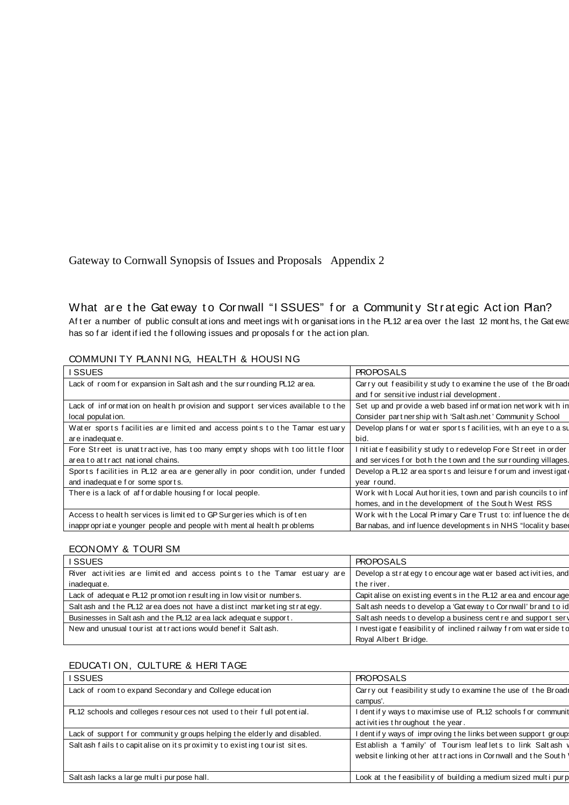# What are the Gateway to Cornwall "ISSUES" for a Community Strategic Action Plan?

Af ter a number of public consult at ions and meetings with organisations in the PL12 area over the last 12 months, the Gateway has so f ar ident if ied t he f ollowing issues and pr oposals f or t he act ion plan.

| I SSUES                                                                       | <b>PROPOSALS</b>                                               |
|-------------------------------------------------------------------------------|----------------------------------------------------------------|
| Lack of room for expansion in Saltash and the surrounding PL12 area.          | Carry out feasibility study to examine the use of the Broadi   |
|                                                                               | and f or sensitive industrial development.                     |
| Lack of information on health provision and support services available to the | Set up and provide a web based information net work with in    |
| local population.                                                             | Consider part ner ship with 'Salt ash.net' Community School    |
| Water sports facilities are limited and access points to the Tamar estuary    | Develop plans for water sports facilities, with an eye to a su |
| are inadequate.                                                               | bid.                                                           |
| Fore Street is unattractive, has too many empty shops with too little floor   | I nitiate feasibility study to redevelop Fore Street in order  |
| area to attract national chains.                                              | and services for both the town and the surrounding villages.   |
| Sports facilities in PL12 area are generally in poor condition, under funded  | Develop a PL12 area sports and leisure for um and investigate  |
| and inadequate for some sports.                                               | year round.                                                    |
| There is a lack of affordable housing for local people.                       | Work with Local Authorities, town and parish councils to inf   |
|                                                                               | homes, and in the development of the South West RSS            |
| Access to health services is limited to GP Surgeries which is of ten          | Work with the Local Primary Care Trust to: influence the de    |
| inappropriate younger people and people with ment al health problems          | Barnabas, and influence developments in NHS "locality based    |

### COMMUNI TY PLANNI NG, HEALTH & HOUSI NG

#### ECONOMY & TOURI SM

| I SSUES                                                                 | <b>PROPOSALS</b>                                                |
|-------------------------------------------------------------------------|-----------------------------------------------------------------|
| River activities are limited and access points to the Tamar estuary are | Develop a st rat egy to encourage wat er based activities, and  |
| inadequate.                                                             | the river.                                                      |
| Lack of adequate PL12 promotion resulting in low visitor numbers.       | Capit alise on existing events in the PL12 area and encourage   |
| Salt ash and the PL12 area does not have a distinct marketing strategy. | Salt ash needs to develop a 'Gat eway to Cornwall' brand to id  |
| Businesses in Salt ash and the PL12 area lack adequate support.         | Salt ash needs to develop a business cent re and support served |
| New and unusual tourist attractions would benefit Saltash.              | I nvestigate feasibility of inclined railway from waterside to  |
|                                                                         | Royal Albert Bridge.                                            |

#### EDUCATI ON, CULTURE & HERI TAGE

| I SSUES                                                                  | <b>PROPOSALS</b>                                                                                                             |
|--------------------------------------------------------------------------|------------------------------------------------------------------------------------------------------------------------------|
| Lack of room to expand Secondary and College education                   | Carry out feasibility study to examine the use of the Broadr<br>campus'.                                                     |
| PL12 schools and colleges resources not used to their full potential.    | I dentif y ways to maximise use of PL12 schools for communit<br>activities throughout the year.                              |
| Lack of support for community groups helping the elderly and disabled.   | I dent if y ways of improving the links bet ween support groups                                                              |
| Salt ash fails to capitalise on its proximity to existing tourist sites. | Establish a 'family' of Tourism leaflets to link Saltash v<br>website linking other at tractions in Cornwall and the South \ |
| Salt ash lacks a large multi purpose hall.                               | Look at the feasibility of building a medium sized multi purp                                                                |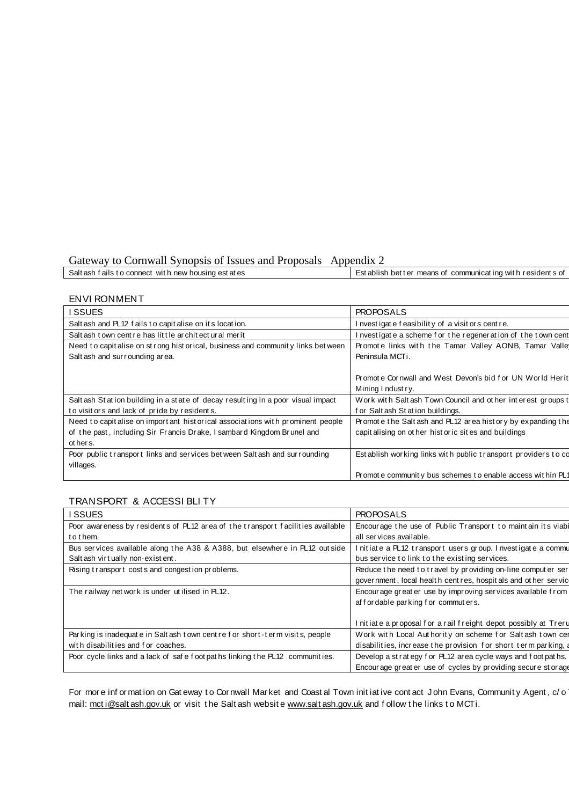Gateway to Cornwall Synopsis of Issues and Proposals Appendix 2

| Establish better means of communicating with residents of<br>Salt ash fails to connect with new housing est at es |
|-------------------------------------------------------------------------------------------------------------------|
|-------------------------------------------------------------------------------------------------------------------|

#### ENVI RONMENT

| I SSUES                                                                          | <b>PROPOSALS</b>                                              |
|----------------------------------------------------------------------------------|---------------------------------------------------------------|
| Salt ash and PL12 fails to capit alise on its location.                          | I nvestigate feasibility of a visit ors centre.               |
| Salt ash town cent re has little architect ural merit                            | I nvestigate a scheme for the regeneration of the town cent   |
| Need to capit alise on strong historical, business and community links between   | Promote links with the Tamar Valley AONB, Tamar Valle         |
| Salt ash and sur rounding area.                                                  | Peninsula MCTi.                                               |
|                                                                                  |                                                               |
|                                                                                  | Promote Cornwall and West Devon's bid for UN World Herit      |
|                                                                                  | Mining I ndust ry.                                            |
| Salt ash Station building in a state of decay resulting in a poor visual impact  | Work with Saltash Town Council and other interest groups to   |
| to visit or s and lack of pride by resident s.                                   | for Saltash Station buildings.                                |
| Need to capit alise on import ant hist orical associations with prominent people | Promote the Saltash and PL12 area history by expanding the    |
| of the past, including Sir Francis Drake, I sambard Kingdom Brunel and           | capit alising on other hist or ic sites and buildings         |
| ot her s.                                                                        |                                                               |
| Poor public transport links and services between Saltash and surrounding         | Establish working links with public transport providers to co |
| villages.                                                                        |                                                               |
|                                                                                  | Promote community bus schemes to enable access within PL1     |

#### TRANSPORT & ACCESSI BLI TY

| I SSUES                                                                        | <b>PROPOSALS</b>                                                |
|--------------------------------------------------------------------------------|-----------------------------------------------------------------|
| Poor awareness by residents of PL12 area of the transport facilities available | Encourage the use of Public Transport to maintain its viabi     |
| to them.                                                                       | all services available.                                         |
| Bus services available along the A38 & A388, but elsewhere in PL12 outside     | I nitiate a PL12 transport users group. I nvestigate a commu    |
| Salt ash virtually non-existent.                                               | bus service to link to the existing services.                   |
| Rising transport costs and congestion problems.                                | Reduce the need to travel by providing on-line computer ser     |
|                                                                                | government, local health cent res, hospit als and other service |
| The railway net work is under utilised in PL12.                                | Encourage greater use by improving services available from      |
|                                                                                | affordable parking for commuters.                               |
|                                                                                | I nitiate a proposal for a rail freight depot possibly at Treru |
| Parking is inadequate in Salt ash town centre for short-term visits, people    | Work with Local Authority on scheme for Saltash town cer        |
| with disabilities and for coaches.                                             | disabilities, increase the provision for short term parking, a  |
| Poor cycle links and a lack of safe f oot pat hs linking the PL12 communities. | Develop a strategy for PL12 area cycle ways and foot paths.     |
|                                                                                | Encourage greater use of cycles by providing secure storage     |

For more information on Gateway to Cornwall Market and Coastal Town initiative contact John Evans, Community Agent, c/o mail: [mct i@salt ash.gov.uk](mailto:mcti@saltash.gov.uk) or visit the Salt ash website [www.salt ash.gov.uk](http://www.saltash.gov.uk/) and follow the links to MCTi.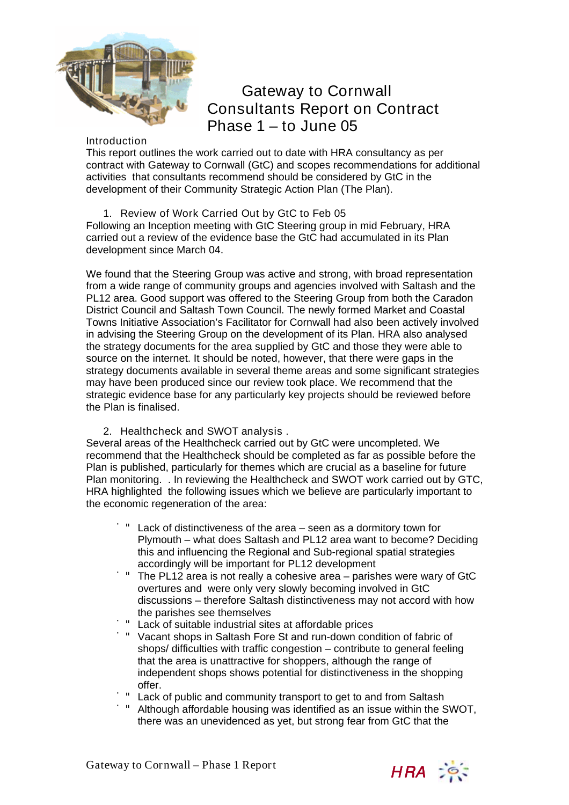

# Gateway to Cornwall Consultants Report on Contract Phase  $1 -$ to June 05

#### Introduction

This report outlines the work carried out to date with HRA consultancy as per contract with Gateway to Cornwall (GtC) and scopes recommendations for additional activities that consultants recommend should be considered by GtC in the development of their Community Strategic Action Plan (The Plan).

1. Review of Work Carried Out by GtC to Feb 05

Following an Inception meeting with GtC Steering group in mid February, HRA carried out a review of the evidence base the GtC had accumulated in its Plan development since March 04.

We found that the Steering Group was active and strong, with broad representation from a wide range of community groups and agencies involved with Saltash and the PL12 area. Good support was offered to the Steering Group from both the Caradon District Council and Saltash Town Council. The newly formed Market and Coastal Towns Initiative Association's Facilitator for Cornwall had also been actively involved in advising the Steering Group on the development of its Plan. HRA also analysed the strategy documents for the area supplied by GtC and those they were able to source on the internet. It should be noted, however, that there were gaps in the strategy documents available in several theme areas and some significant strategies may have been produced since our review took place. We recommend that the strategic evidence base for any particularly key projects should be reviewed before the Plan is finalised.

### 2. Healthcheck and SWOT analysis .

Several areas of the Healthcheck carried out by GtC were uncompleted. We recommend that the Healthcheck should be completed as far as possible before the Plan is published, particularly for themes which are crucial as a baseline for future Plan monitoring. . In reviewing the Healthcheck and SWOT work carried out by GTC, HRA highlighted the following issues which we believe are particularly important to the economic regeneration of the area:

- Lack of distinctiveness of the area seen as a dormitory town for Plymouth – what does Saltash and PL12 area want to become? Deciding this and influencing the Regional and Sub-regional spatial strategies accordingly will be important for PL12 development
- ̇" The PL12 area is not really a cohesive area parishes were wary of GtC overtures and were only very slowly becoming involved in GtC discussions – therefore Saltash distinctiveness may not accord with how the parishes see themselves
- Lack of suitable industrial sites at affordable prices
- ̇" Vacant shops in Saltash Fore St and run-down condition of fabric of shops/ difficulties with traffic congestion – contribute to general feeling that the area is unattractive for shoppers, although the range of independent shops shows potential for distinctiveness in the shopping offer.
- Lack of public and community transport to get to and from Saltash
- ̇" Although affordable housing was identified as an issue within the SWOT, there was an unevidenced as yet, but strong fear from GtC that the

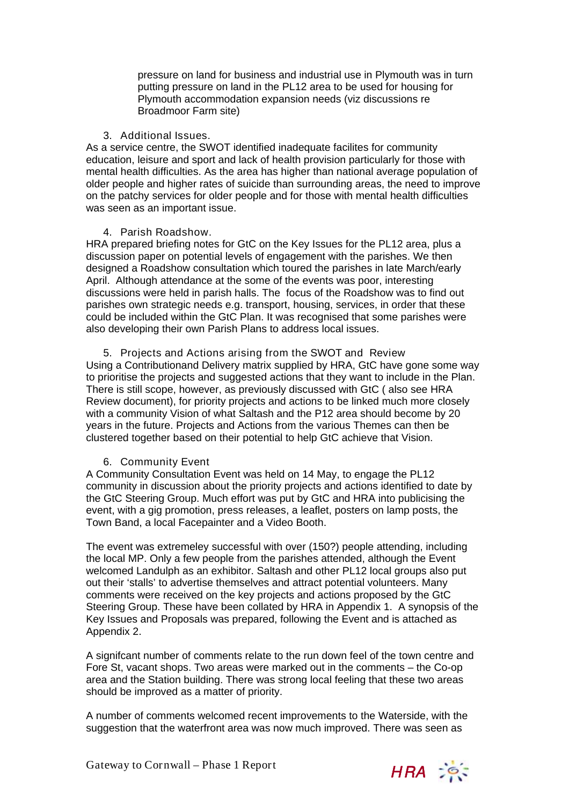pressure on land for business and industrial use in Plymouth was in turn putting pressure on land in the PL12 area to be used for housing for Plymouth accommodation expansion needs (viz discussions re Broadmoor Farm site)

## 3. Additional Issues.

As a service centre, the SWOT identified inadequate facilites for community education, leisure and sport and lack of health provision particularly for those with mental health difficulties. As the area has higher than national average population of older people and higher rates of suicide than surrounding areas, the need to improve on the patchy services for older people and for those with mental health difficulties was seen as an important issue.

## 4. Parish Roadshow.

HRA prepared briefing notes for GtC on the Key Issues for the PL12 area, plus a discussion paper on potential levels of engagement with the parishes. We then designed a Roadshow consultation which toured the parishes in late March/early April. Although attendance at the some of the events was poor, interesting discussions were held in parish halls. The focus of the Roadshow was to find out parishes own strategic needs e.g. transport, housing, services, in order that these could be included within the GtC Plan. It was recognised that some parishes were also developing their own Parish Plans to address local issues.

## 5. Projects and Actions arising from the SWOT and Review

Using a Contributionand Delivery matrix supplied by HRA, GtC have gone some way to prioritise the projects and suggested actions that they want to include in the Plan. There is still scope, however, as previously discussed with GtC ( also see HRA Review document), for priority projects and actions to be linked much more closely with a community Vision of what Saltash and the P12 area should become by 20 years in the future. Projects and Actions from the various Themes can then be clustered together based on their potential to help GtC achieve that Vision.

## 6. Community Event

A Community Consultation Event was held on 14 May, to engage the PL12 community in discussion about the priority projects and actions identified to date by the GtC Steering Group. Much effort was put by GtC and HRA into publicising the event, with a gig promotion, press releases, a leaflet, posters on lamp posts, the Town Band, a local Facepainter and a Video Booth.

The event was extremeley successful with over (150?) people attending, including the local MP. Only a few people from the parishes attended, although the Event welcomed Landulph as an exhibitor. Saltash and other PL12 local groups also put out their 'stalls' to advertise themselves and attract potential volunteers. Many comments were received on the key projects and actions proposed by the GtC Steering Group. These have been collated by HRA in Appendix 1. A synopsis of the Key Issues and Proposals was prepared, following the Event and is attached as Appendix 2.

A signifcant number of comments relate to the run down feel of the town centre and Fore St, vacant shops. Two areas were marked out in the comments – the Co-op area and the Station building. There was strong local feeling that these two areas should be improved as a matter of priority.

A number of comments welcomed recent improvements to the Waterside, with the suggestion that the waterfront area was now much improved. There was seen as

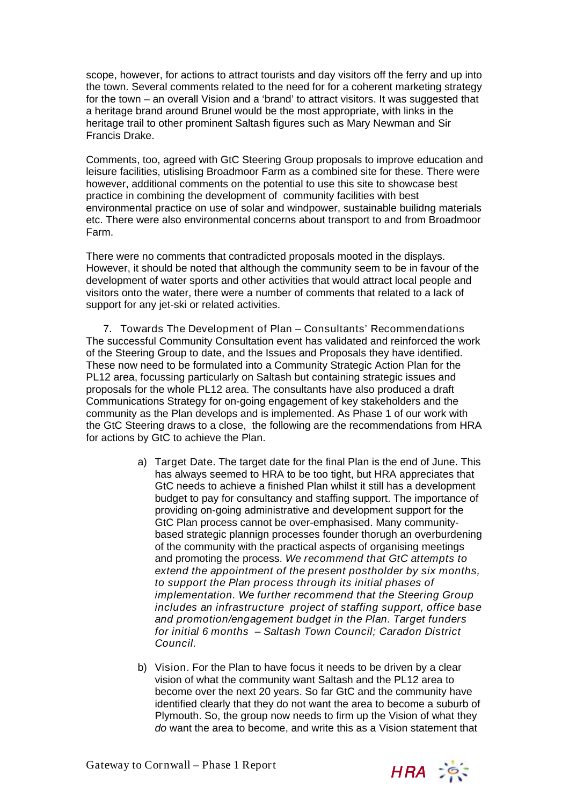scope, however, for actions to attract tourists and day visitors off the ferry and up into the town. Several comments related to the need for for a coherent marketing strategy for the town – an overall Vision and a 'brand' to attract visitors. It was suggested that a heritage brand around Brunel would be the most appropriate, with links in the heritage trail to other prominent Saltash figures such as Mary Newman and Sir Francis Drake.

Comments, too, agreed with GtC Steering Group proposals to improve education and leisure facilities, utislising Broadmoor Farm as a combined site for these. There were however, additional comments on the potential to use this site to showcase best practice in combining the development of community facilities with best environmental practice on use of solar and windpower, sustainable builidng materials etc. There were also environmental concerns about transport to and from Broadmoor Farm.

There were no comments that contradicted proposals mooted in the displays. However, it should be noted that although the community seem to be in favour of the development of water sports and other activities that would attract local people and visitors onto the water, there were a number of comments that related to a lack of support for any jet-ski or related activities.

7. Towards The Development of Plan – Consultants' Recommendations The successful Community Consultation event has validated and reinforced the work of the Steering Group to date, and the Issues and Proposals they have identified. These now need to be formulated into a Community Strategic Action Plan for the PL12 area, focussing particularly on Saltash but containing strategic issues and proposals for the whole PL12 area. The consultants have also produced a draft Communications Strategy for on-going engagement of key stakeholders and the community as the Plan develops and is implemented. As Phase 1 of our work with the GtC Steering draws to a close, the following are the recommendations from HRA for actions by GtC to achieve the Plan.

- a) Target Date. The target date for the final Plan is the end of June. This has always seemed to HRA to be too tight, but HRA appreciates that GtC needs to achieve a finished Plan whilst it still has a development budget to pay for consultancy and staffing support. The importance of providing on-going administrative and development support for the GtC Plan process cannot be over-emphasised. Many communitybased strategic plannign processes founder thorugh an overburdening of the community with the practical aspects of organising meetings and promoting the process. We recommend that GtC attempts to extend the appointment of the present postholder by six months, to support the Plan process through its initial phases of implementation. We further recommend that the Steering Group includes an infrastructure project of staffing support, office base and promotion/engagement budget in the Plan. Target funders for initial 6 months – Saltash Town Council; Caradon District Council.
- b) Vision. For the Plan to have focus it needs to be driven by a clear vision of what the community want Saltash and the PL12 area to become over the next 20 years. So far GtC and the community have identified clearly that they do not want the area to become a suburb of Plymouth. So, the group now needs to firm up the Vision of what they do want the area to become, and write this as a Vision statement that

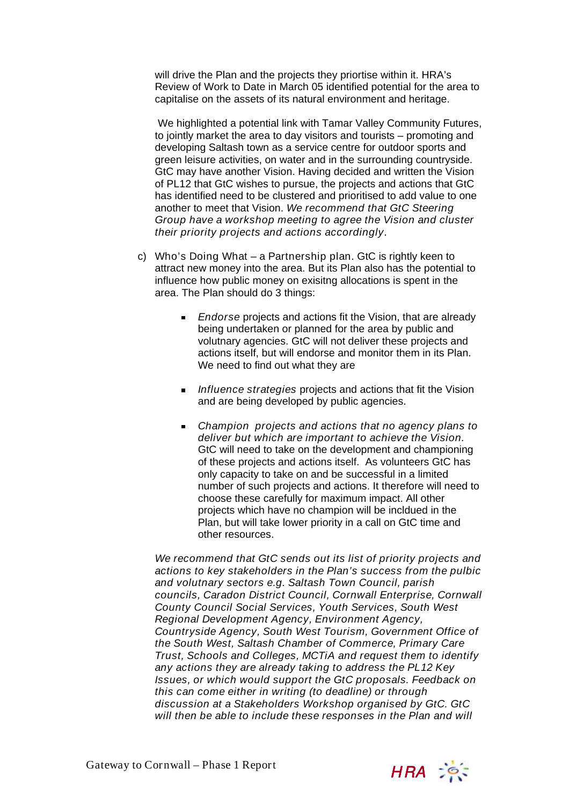will drive the Plan and the projects they priortise within it. HRA's Review of Work to Date in March 05 identified potential for the area to capitalise on the assets of its natural environment and heritage.

 We highlighted a potential link with Tamar Valley Community Futures, to jointly market the area to day visitors and tourists – promoting and developing Saltash town as a service centre for outdoor sports and green leisure activities, on water and in the surrounding countryside. GtC may have another Vision. Having decided and written the Vision of PL12 that GtC wishes to pursue, the projects and actions that GtC has identified need to be clustered and prioritised to add value to one another to meet that Vision. We recommend that GtC Steering Group have a workshop meeting to agree the Vision and cluster their priority projects and actions accordingly.

- c) Who's Doing What a Partnership plan. GtC is rightly keen to attract new money into the area. But its Plan also has the potential to influence how public money on exisitng allocations is spent in the area. The Plan should do 3 things:
	- **Endorse projects and actions fit the Vision, that are already** being undertaken or planned for the area by public and volutnary agencies. GtC will not deliver these projects and actions itself, but will endorse and monitor them in its Plan. We need to find out what they are
	- Influence strategies projects and actions that fit the Vision and are being developed by public agencies.
	- **EXTEND EXECT** Champion projects and actions that no agency plans to deliver but which are important to achieve the Vision. GtC will need to take on the development and championing of these projects and actions itself. As volunteers GtC has only capacity to take on and be successful in a limited number of such projects and actions. It therefore will need to choose these carefully for maximum impact. All other projects which have no champion will be incldued in the Plan, but will take lower priority in a call on GtC time and other resources.

We recommend that GtC sends out its list of priority projects and actions to key stakeholders in the Plan's success from the pulbic and volutnary sectors e.g. Saltash Town Council, parish councils, Caradon District Council, Cornwall Enterprise, Cornwall County Council Social Services, Youth Services, South West Regional Development Agency, Environment Agency, Countryside Agency, South West Tourism, Government Office of the South West, Saltash Chamber of Commerce, Primary Care Trust, Schools and Colleges, MCTiA and request them to identify any actions they are already taking to address the PL12 Key Issues, or which would support the GtC proposals. Feedback on this can come either in writing (to deadline) or through discussion at a Stakeholders Workshop organised by GtC. GtC will then be able to include these responses in the Plan and will

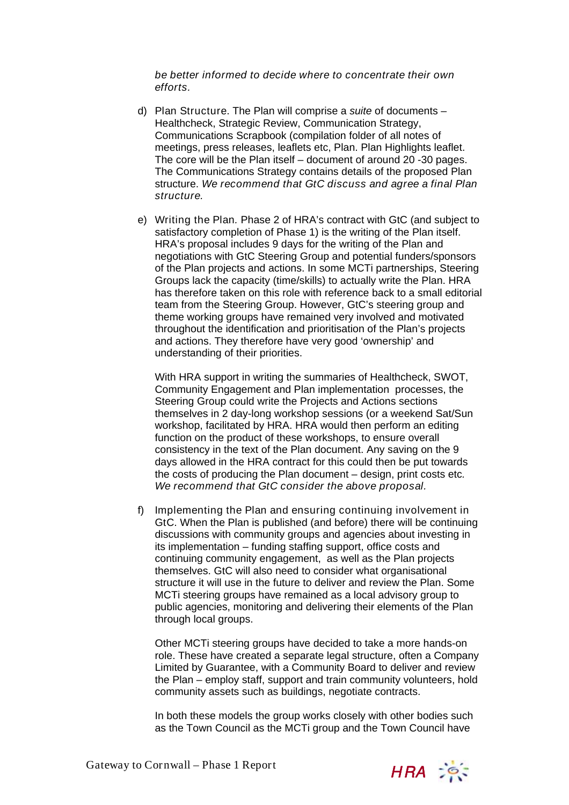be better informed to decide where to concentrate their own efforts.

- d) Plan Structure. The Plan will comprise a suite of documents Healthcheck, Strategic Review, Communication Strategy, Communications Scrapbook (compilation folder of all notes of meetings, press releases, leaflets etc, Plan. Plan Highlights leaflet. The core will be the Plan itself – document of around 20 -30 pages. The Communications Strategy contains details of the proposed Plan structure. We recommend that GtC discuss and agree a final Plan structure.
- e) Writing the Plan. Phase 2 of HRA's contract with GtC (and subject to satisfactory completion of Phase 1) is the writing of the Plan itself. HRA's proposal includes 9 days for the writing of the Plan and negotiations with GtC Steering Group and potential funders/sponsors of the Plan projects and actions. In some MCTi partnerships, Steering Groups lack the capacity (time/skills) to actually write the Plan. HRA has therefore taken on this role with reference back to a small editorial team from the Steering Group. However, GtC's steering group and theme working groups have remained very involved and motivated throughout the identification and prioritisation of the Plan's projects and actions. They therefore have very good 'ownership' and understanding of their priorities.

With HRA support in writing the summaries of Healthcheck, SWOT, Community Engagement and Plan implementation processes, the Steering Group could write the Projects and Actions sections themselves in 2 day-long workshop sessions (or a weekend Sat/Sun workshop, facilitated by HRA. HRA would then perform an editing function on the product of these workshops, to ensure overall consistency in the text of the Plan document. Any saving on the 9 days allowed in the HRA contract for this could then be put towards the costs of producing the Plan document – design, print costs etc. We recommend that GtC consider the above proposal.

f) Implementing the Plan and ensuring continuing involvement in GtC. When the Plan is published (and before) there will be continuing discussions with community groups and agencies about investing in its implementation – funding staffing support, office costs and continuing community engagement, as well as the Plan projects themselves. GtC will also need to consider what organisational structure it will use in the future to deliver and review the Plan. Some MCTi steering groups have remained as a local advisory group to public agencies, monitoring and delivering their elements of the Plan through local groups.

Other MCTi steering groups have decided to take a more hands-on role. These have created a separate legal structure, often a Company Limited by Guarantee, with a Community Board to deliver and review the Plan – employ staff, support and train community volunteers, hold community assets such as buildings, negotiate contracts.

In both these models the group works closely with other bodies such as the Town Council as the MCTi group and the Town Council have